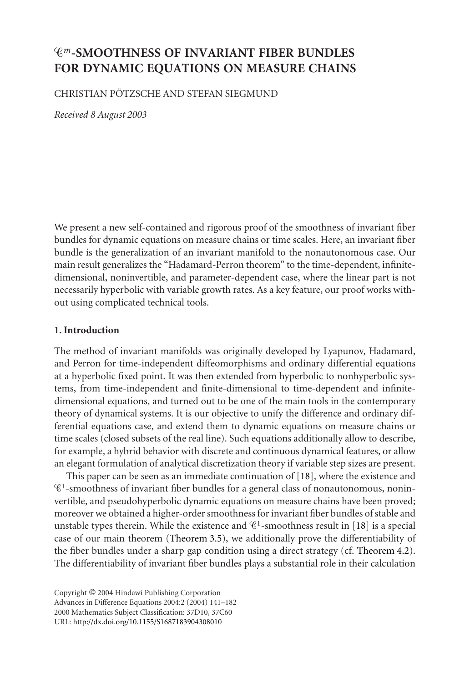# *m***-SMOOTHNESS OF INVARIANT FIBER BUNDLES FOR DYNAMIC EQUATIONS ON MEASURE CHAINS**

### CHRISTIAN PÖTZSCHE AND STEFAN SIEGMUND

*Received 8 August 2003*

We present a new self-contained and rigorous proof of the smoothness of invariant fiber bundles for dynamic equations on measure chains or time scales. Here, an invariant fiber bundle is the generalization of an invariant manifold to the nonautonomous case. Our main result generalizes the "Hadamard-Perron theorem" to the time-dependent, infinitedimensional, noninvertible, and parameter-dependent case, where the linear part is not necessarily hyperbolic with variable growth rates. As a key feature, our proof works without using complicated technical tools.

### **1. Introduction**

The method of invariant manifolds was originally developed by Lyapunov, Hadamard, and Perron for time-independent diffeomorphisms and ordinary differential equations at a hyperbolic fixed point. It was then extended from hyperbolic to nonhyperbolic systems, from time-independent and finite-dimensional to time-dependent and infinitedimensional equations, and turned out to be one of the main tools in the contemporary theory of dynamical systems. It is our objective to unify the difference and ordinary differential equations case, and extend them to dynamic equations on measure chains or time scales (closed subsets of the real line). Such equations additionally allow to describe, for example, a hybrid behavior with discrete and continuous dynamical features, or allow an elegant formulation of analytical discretization theory if variable step sizes are present.

This paper can be seen as an immediate continuation of [\[18\]](#page-41-0), where the existence and  $\mathscr{C}^1$ -smoothness of invariant fiber bundles for a general class of nonautonomous, noninvertible, and pseudohyperbolic dynamic equations on measure chains have been proved; moreover we obtained a higher-order smoothness for invariant fiber bundles of stable and unstable types therein. While the existence and  $\mathscr{C}^1$ -smoothness result in [\[18\]](#page-41-0) is a special case of our main theorem [\(Theorem 3.5\)](#page-9-0), we additionally prove the differentiability of the fiber bundles under a sharp gap condition using a direct strategy (cf. [Theorem 4.2\)](#page-26-0). The differentiability of invariant fiber bundles plays a substantial role in their calculation

Copyright © 2004 Hindawi Publishing Corporation Advances in Difference Equations 2004:2 (2004) 141–182 2000 Mathematics Subject Classification: 37D10, 37C60 URL: <http://dx.doi.org/10.1155/S1687183904308010>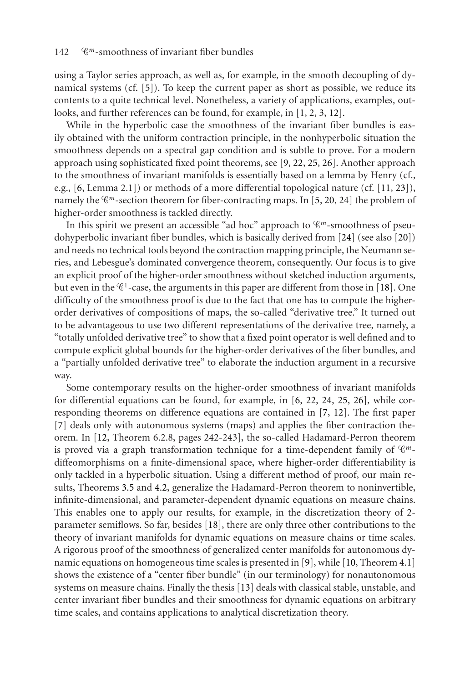using a Taylor series approach, as well as, for example, in the smooth decoupling of dynamical systems (cf. [\[5\]](#page-40-0)). To keep the current paper as short as possible, we reduce its contents to a quite technical level. Nonetheless, a variety of applications, examples, outlooks, and further references can be found, for example, in [\[1,](#page-40-1) [2,](#page-40-2) [3,](#page-40-3) [12\]](#page-41-1).

While in the hyperbolic case the smoothness of the invariant fiber bundles is easily obtained with the uniform contraction principle, in the nonhyperbolic situation the smoothness depends on a spectral gap condition and is subtle to prove. For a modern approach using sophisticated fixed point theorems, see [\[9,](#page-40-4) [22,](#page-41-2) [25,](#page-41-3) [26\]](#page-41-4). Another approach to the smoothness of invariant manifolds is essentially based on a lemma by Henry (cf., e.g., [\[6,](#page-40-5) Lemma 2.1]) or methods of a more differential topological nature (cf. [\[11,](#page-41-5) [23\]](#page-41-6)), namely the  $\mathcal{C}^m$ -section theorem for fiber-contracting maps. In [\[5,](#page-40-0) [20,](#page-41-7) [24\]](#page-41-8) the problem of higher-order smoothness is tackled directly.

In this spirit we present an accessible "ad hoc" approach to  $\mathscr{C}^m$ -smoothness of pseudohyperbolic invariant fiber bundles, which is basically derived from [\[24\]](#page-41-8) (see also [\[20\]](#page-41-7)) and needs no technical tools beyond the contraction mapping principle, the Neumann series, and Lebesgue's dominated convergence theorem, consequently. Our focus is to give an explicit proof of the higher-order smoothness without sketched induction arguments, but even in the  $\mathscr{C}^1$ -case, the arguments in this paper are different from those in [\[18\]](#page-41-0). One difficulty of the smoothness proof is due to the fact that one has to compute the higherorder derivatives of compositions of maps, the so-called "derivative tree." It turned out to be advantageous to use two different representations of the derivative tree, namely, a "totally unfolded derivative tree" to show that a fixed point operator is well defined and to compute explicit global bounds for the higher-order derivatives of the fiber bundles, and a "partially unfolded derivative tree" to elaborate the induction argument in a recursive way.

Some contemporary results on the higher-order smoothness of invariant manifolds for differential equations can be found, for example, in [\[6,](#page-40-5) [22,](#page-41-2) [24,](#page-41-8) [25,](#page-41-3) [26\]](#page-41-4), while corresponding theorems on difference equations are contained in [\[7,](#page-40-6) [12\]](#page-41-1). The first paper [\[7\]](#page-40-6) deals only with autonomous systems (maps) and applies the fiber contraction theorem. In [\[12,](#page-41-1) Theorem 6.2.8, pages 242-243], the so-called Hadamard-Perron theorem is proved via a graph transformation technique for a time-dependent family of *m*diffeomorphisms on a finite-dimensional space, where higher-order differentiability is only tackled in a hyperbolic situation. Using a different method of proof, our main results, Theorems [3.5](#page-9-0) and [4.2,](#page-26-0) generalize the Hadamard-Perron theorem to noninvertible, infinite-dimensional, and parameter-dependent dynamic equations on measure chains. This enables one to apply our results, for example, in the discretization theory of 2 parameter semiflows. So far, besides [\[18\]](#page-41-0), there are only three other contributions to the theory of invariant manifolds for dynamic equations on measure chains or time scales. A rigorous proof of the smoothness of generalized center manifolds for autonomous dynamic equations on homogeneous time scales is presented in [\[9\]](#page-40-4), while [\[10,](#page-41-9) Theorem 4.1] shows the existence of a "center fiber bundle" (in our terminology) for nonautonomous systems on measure chains. Finally the thesis [\[13\]](#page-41-10) deals with classical stable, unstable, and center invariant fiber bundles and their smoothness for dynamic equations on arbitrary time scales, and contains applications to analytical discretization theory.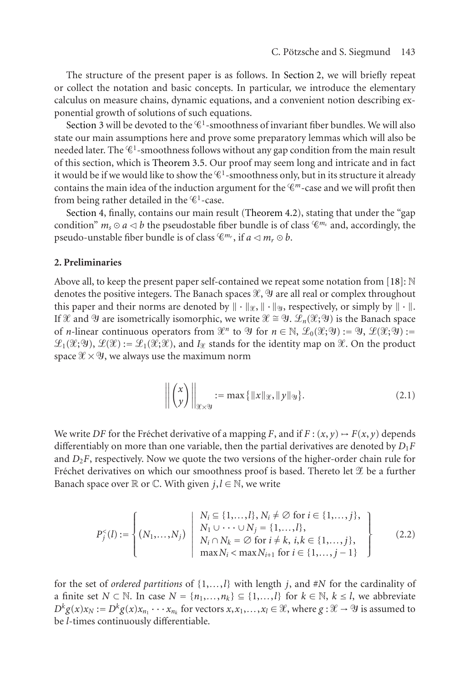The structure of the present paper is as follows. In [Section 2,](#page-2-0) we will briefly repeat or collect the notation and basic concepts. In particular, we introduce the elementary calculus on measure chains, dynamic equations, and a convenient notion describing exponential growth of solutions of such equations.

[Section 3](#page-6-0) will be devoted to the  $\mathscr{C}^1$ -smoothness of invariant fiber bundles. We will also state our main assumptions here and prove some preparatory lemmas which will also be needed later. The  $\mathscr{C}^1$ -smoothness follows without any gap condition from the main result of this section, which is [Theorem 3.5.](#page-9-0) Our proof may seem long and intricate and in fact it would be if we would like to show the  $\mathscr{C}^1$ -smoothness only, but in its structure it already contains the main idea of the induction argument for the  $\mathscr{C}^m$ -case and we will profit then from being rather detailed in the  $\mathscr{C}^1$ -case.

[Section 4,](#page-25-0) finally, contains our main result [\(Theorem 4.2\)](#page-26-0), stating that under the "gap condition"  $m_s \odot a \triangleleft b$  the pseudostable fiber bundle is of class  $\mathscr{C}^{m_s}$  and, accordingly, the pseudo-unstable fiber bundle is of class  $\mathcal{C}^{m_r}$ , if  $a \leq m_r \odot b$ .

### <span id="page-2-0"></span>**2. Preliminaries**

Above all, to keep the present paper self-contained we repeat some notation from [\[18\]](#page-41-0):  $\mathbb N$ denotes the positive integers. The Banach spaces  $\mathscr{X}, \mathscr{Y}$  are all real or complex throughout this paper and their norms are denoted by  $\|\cdot\|_{\mathcal{X}}, \|\cdot\|_{\mathcal{Y}},$  respectively, or simply by  $\|\cdot\|$ . If  $\mathscr X$  and  $\mathscr Y$  are isometrically isomorphic, we write  $\mathscr X \cong \mathscr Y$ .  $\mathscr L_n(\mathscr X;\mathscr Y)$  is the Banach space of *n*-linear continuous operators from  $\mathcal{X}^n$  to  $\mathcal{Y}$  for  $n \in \mathbb{N}$ ,  $\mathcal{L}_0(\mathcal{X}; \mathcal{Y}) := \mathcal{Y}$ ,  $\mathcal{L}(\mathcal{X}; \mathcal{Y}) :=$  $\mathscr{L}_1(\mathscr{X}; \mathscr{Y})$ ,  $\mathscr{L}(\mathscr{X})$ : $= \mathscr{L}_1(\mathscr{X}; \mathscr{X})$ , and  $I_{\mathscr{X}}$  stands for the identity map on  $\mathscr{X}$ . On the product space  $\mathcal{X}\times\mathcal{Y}$ , we always use the maximum norm

<span id="page-2-1"></span>
$$
\left\| \begin{pmatrix} x \\ y \end{pmatrix} \right\|_{\mathscr{X} \times \mathscr{Y}} := \max \{ \|x\|_{\mathscr{X}}, \|y\|_{\mathscr{Y}} \}.
$$
 (2.1)

We write *DF* for the Fréchet derivative of a mapping *F*, and if  $F : (x, y) \rightarrow F(x, y)$  depends differentiably on more than one variable, then the partial derivatives are denoted by  $D_1F$ and  $D_2F$ , respectively. Now we quote the two versions of the higher-order chain rule for Fréchet derivatives on which our smoothness proof is based. Thereto let  $\mathscr E$  be a further Banach space over  $\mathbb R$  or  $\mathbb C$ . With given  $j, l \in \mathbb N$ , we write

$$
P_j^<(l) := \left\{ (N_1, \ldots, N_j) \middle| \begin{array}{l} N_i \subseteq \{1, \ldots, l\}, N_i \neq \emptyset \text{ for } i \in \{1, \ldots, j\}, \\ N_1 \cup \cdots \cup N_j = \{1, \ldots, l\}, \\ N_i \cap N_k = \emptyset \text{ for } i \neq k, i, k \in \{1, \ldots, j\}, \\ \max N_i < \max N_{i+1} \text{ for } i \in \{1, \ldots, j-1\} \end{array} \right\} \tag{2.2}
$$

for the set of *ordered partitions* of {1,*...*,*l*} with length *j*, and #*N* for the cardinality of a finite set *N* ⊂ N. In case  $N = \{n_1, \ldots, n_k\}$  ⊆  $\{1, \ldots, l\}$  for  $k \in \mathbb{N}$ ,  $k \leq l$ , we abbreviate  $D^k g(x)x_N := D^k g(x)x_{n_1} \cdots x_{n_k}$  for vectors  $x, x_1, \ldots, x_l \in \mathcal{X}$ , where  $g : \mathcal{X} \to \mathcal{Y}$  is assumed to be *l*-times continuously differentiable.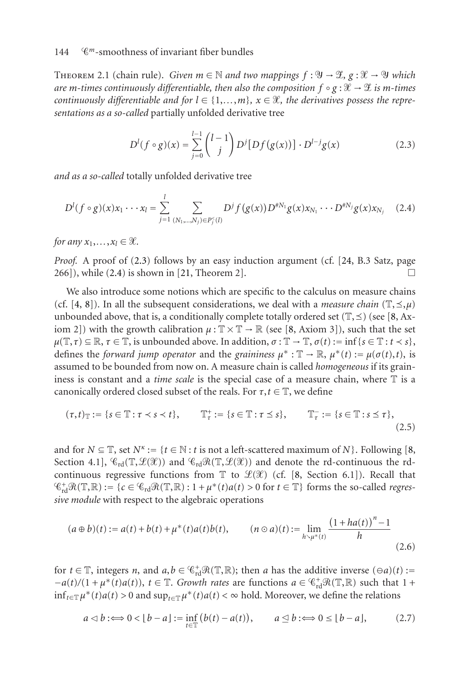<span id="page-3-2"></span>THEOREM 2.1 (chain rule). *Given*  $m \in \mathbb{N}$  and two mappings  $f : \mathcal{Y} \to \mathcal{X}$ ,  $g : \mathcal{X} \to \mathcal{Y}$  which are m-times continuously differentiable, then also the composition  $f \circ g : \mathscr{X} \to \mathscr{X}$  is m-times *continuously differentiable and for*  $l \in \{1, \ldots, m\}$ ,  $x \in \mathcal{X}$ , the derivatives possess the repre*sentations as a so-called* partially unfolded derivative tree

<span id="page-3-1"></span><span id="page-3-0"></span>
$$
D^{l}(f \circ g)(x) = \sum_{j=0}^{l-1} {l-1 \choose j} D^{j}[Df(g(x))] \cdot D^{l-j}g(x)
$$
 (2.3)

*and as a so-called* totally unfolded derivative tree

$$
D^{l}(f \circ g)(x)x_{1} \cdots x_{l} = \sum_{j=1}^{l} \sum_{(N_{1},...,N_{j}) \in P_{j}^{<}(l)} D^{j} f(g(x)) D^{\#N_{1}} g(x)x_{N_{1}} \cdots D^{\#N_{j}} g(x)x_{N_{j}} \quad (2.4)
$$

*for any*  $x_1, \ldots, x_l \in \mathcal{X}$ .

*Proof.* A proof of [\(2.3\)](#page-3-0) follows by an easy induction argument (cf. [\[24,](#page-41-8) B.3 Satz, page  $266$ ]), while [\(2.4\)](#page-3-1) is shown in [\[21,](#page-41-11) Theorem 2].

We also introduce some notions which are specific to the calculus on measure chains (cf. [\[4,](#page-40-7) [8\]](#page-40-8)). In all the subsequent considerations, we deal with a *measure chain*  $(\mathbb{T}, \leq, \mu)$ unbounded above, that is, a conditionally complete totally ordered set  $(\mathbb{T}, \preceq)$  (see [\[8,](#page-40-8) Axiom 2]) with the growth calibration  $\mu : \mathbb{T} \times \mathbb{T} \to \mathbb{R}$  (see [\[8,](#page-40-8) Axiom 3]), such that the set  $\mu(\mathbb{T}, \tau) \subseteq \mathbb{R}, \tau \in \mathbb{T}$ , is unbounded above. In addition,  $\sigma : \mathbb{T} \to \mathbb{T}, \sigma(t) := \inf \{ s \in \mathbb{T} : t < s \},$ defines the *forward jump operator* and the *graininess*  $\mu^* : \mathbb{T} \to \mathbb{R}, \mu^*(t) := \mu(\sigma(t), t)$ , is assumed to be bounded from now on. A measure chain is called *homogeneous* if its graininess is constant and a *time scale* is the special case of a measure chain, where T is a canonically ordered closed subset of the reals. For  $\tau, t \in \mathbb{T}$ , we define

$$
(\tau,t)_{\mathbb{T}} := \{ s \in \mathbb{T} : \tau \prec s \prec t \}, \qquad \mathbb{T}_{\tau}^+ := \{ s \in \mathbb{T} : \tau \le s \}, \qquad \mathbb{T}_{\tau}^- := \{ s \in \mathbb{T} : s \le \tau \}, \tag{2.5}
$$

and for  $N \subseteq \mathbb{T}$ , set  $N^k := \{t \in \mathbb{N} : t \text{ is not a left-scattered maximum of } N\}$ . Following [\[8,](#page-40-8) Section 4.1],  $\mathcal{C}_{rd}(\mathbb{T},\mathcal{L}(\mathcal{X}))$  and  $\mathcal{C}_{rd}\mathcal{R}(\mathbb{T},\mathcal{L}(\mathcal{X}))$  and denote the rd-continuous the rdcontinuous regressive functions from  $\mathbb T$  to  $\mathscr L(\mathscr X)$  (cf. [\[8,](#page-40-8) Section 6.1]). Recall that  $\mathcal{C}_{rd}^+\mathcal{R}(\mathbb{T},\mathbb{R}) := \{c \in \mathcal{C}_{rd}\mathcal{R}(\mathbb{T},\mathbb{R}): 1 + \mu^*(t)a(t) > 0 \text{ for } t \in \mathbb{T}\}\)$  forms the so-called *regressive module* with respect to the algebraic operations

$$
(a \oplus b)(t) := a(t) + b(t) + \mu^*(t)a(t)b(t), \qquad (n \odot a)(t) := \lim_{h \searrow \mu^*(t)} \frac{(1 + ha(t))^n - 1}{h}
$$
\n(2.6)

for  $t \in \mathbb{T}$ , integers *n*, and  $a, b \in \mathcal{C}_{rd}^+ \mathcal{R}(\mathbb{T}, \mathbb{R})$ ; then *a* has the additive inverse  $(\Theta a)(t)$  :=  $-a(t)/(1 + \mu^*(t)a(t))$ ,  $t \in \mathbb{T}$ . *Growth rates* are functions  $a \in \mathcal{C}_{rd}^+\mathcal{R}(\mathbb{T},\mathbb{R})$  such that  $1 +$ inf<sub>*t*∈T</sub>  $\mu^*(t)a(t) > 0$  and sup<sub>*t*∈T</sub>  $\mu^*(t)a(t) < \infty$  hold. Moreover, we define the relations

$$
a \triangleleft b : \Longleftrightarrow 0 < \lfloor b - a \rfloor : = \inf_{t \in \mathbb{T}} \big( b(t) - a(t) \big), \qquad a \triangleleft b : \Longleftrightarrow 0 \leq \lfloor b - a \rfloor, \tag{2.7}
$$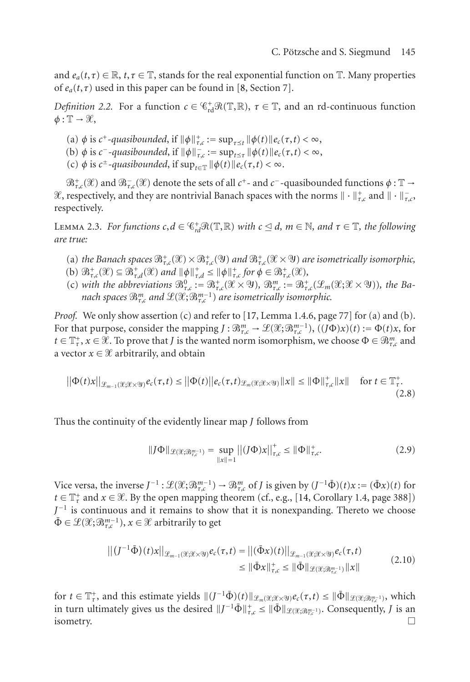<span id="page-4-0"></span>and  $e_a(t, \tau) \in \mathbb{R}$ ,  $t, \tau \in \mathbb{T}$ , stands for the real exponential function on  $\mathbb{T}$ . Many properties of  $e_a(t, \tau)$  used in this paper can be found in [\[8,](#page-40-8) Section 7].

*Definition 2.2.* For a function  $c \in \mathcal{C}_{rd}^+ \mathcal{R}(\mathbb{T}, \mathbb{R})$ ,  $\tau \in \mathbb{T}$ , and an rd-continuous function  $\phi: \mathbb{T} \to \mathcal{X},$ 

 $\phi$  is *c*<sup>+</sup>-quasibounded, if  $\|\phi\|_{\tau,c}^+ := \sup_{\tau \leq t} \|\phi(t)\|_{\mathcal{C}_c}(\tau,t) < \infty$ ,

- (b)  $\phi$  is *c*<sup>-</sup>-quasibounded, if  $\|\phi\|_{\tau,c}$  := sup<sub>*t*≤τ</sub>  $\|\phi(t)\|_{e_c}(\tau,t) < \infty$ ,
- $\phi$  is *c*<sup>±</sup>*-quasibounded*, if  $\sup_{t \in \mathbb{T}} \|\phi(t)\|e_c(\tau,t) < \infty$ .

 $\mathfrak{B}^+_{\tau,c}(\mathscr{X})$  and  $\mathfrak{B}^-_{\tau,c}(\mathscr{X})$  denote the sets of all  $c^+$ - and  $c^-$ -quasibounded functions  $\phi:\mathbb{T}\to$ &, respectively, and they are nontrivial Banach spaces with the norms  $\|\cdot\|_{\tau,c}^+$  and  $\|\cdot\|_{\tau,c}^$ respectively.

<span id="page-4-1"></span>LEMMA 2.3. *For functions*  $c, d \in \mathbb{C}_{rd}^+ \mathcal{R}(\mathbb{T}, \mathbb{R})$  *with*  $c \leq d$ ,  $m \in \mathbb{N}$ , and  $\tau \in \mathbb{T}$ , the following *are true:*

- (a) *the Banach spaces*  $\mathfrak{B}^+_{\tau,c}(\mathfrak{X}) \times \mathfrak{B}^+_{\tau,c}(\mathfrak{Y})$  *and*  $\mathfrak{B}^+_{\tau,c}(\mathfrak{X} \times \mathfrak{Y})$  *are isometrically isomorphic,*
- $(\mathbf{b}) \ \mathcal{B}^+_{\tau,c}(\mathcal{X}) \subseteq \mathcal{B}^+_{\tau,d}(\mathcal{X}) \text{ and } \|\phi\|_{\tau,d}^+ \le \|\phi\|_{\tau,c}^+ \text{ for } \phi \in \mathcal{B}^+_{\tau,c}(\mathcal{X}),$
- (c) with the abbreviations  $\mathfrak{B}^0_{\tau,c} := \mathfrak{B}^+_{\tau,c}(\mathcal{X} \times \mathcal{Y})$ ,  $\mathfrak{B}^m_{\tau,c} := \mathfrak{B}^+_{\tau,c}(\mathcal{L}_m(\mathcal{X}; \mathcal{X} \times \mathcal{Y}))$ , the Ba*nach spaces*  $\mathfrak{B}^m_{\tau,c}$  *and*  $\mathfrak{L}(\mathfrak{X};\mathfrak{B}^{m-1}_{\tau,c})$  *are isometrically isomorphic.*

*Proof.* We only show assertion (c) and refer to [\[17,](#page-41-12) Lemma 1.4.6, page 77] for (a) and (b). For that purpose, consider the mapping  $J : \mathfrak{B}^m_{\tau,c} \to \mathcal{L}(\mathcal{X}; \mathfrak{B}^{m-1}_{\tau,c}), ((J\Phi)x)(t) := \Phi(t)x$ , for  $t \in \mathbb{T}^+_r$ ,  $x \in \mathscr{X}$ . To prove that *J* is the wanted norm isomorphism, we choose  $\Phi \in \mathscr{B}_{\tau,c}^m$  and a vector  $x \in \mathcal{X}$  arbitrarily, and obtain

$$
\left| \left| \Phi(t) x \right| \right|_{\mathcal{L}_{m-1}(\mathcal{X}; \mathcal{X} \times \mathcal{Y})} e_c(\tau, t) \leq \left| \left| \Phi(t) \right| \right| e_c(\tau, t)_{\mathcal{L}_m(\mathcal{X}; \mathcal{X} \times \mathcal{Y})} \|x\| \leq \left| \Phi \right\|_{\tau, c}^+ \|x\| \quad \text{for } t \in \mathbb{T}_{\tau}^+.
$$
\n(2.8)

Thus the continuity of the evidently linear map *J* follows from

$$
||J\Phi||_{\mathcal{L}(\mathcal{X};\mathcal{B}_{\tau,c}^{m-1})} = \sup_{||x||=1} ||(J\Phi)x||_{\tau,c}^{+} \le ||\Phi||_{\tau,c}^{+}.
$$
 (2.9)

Vice versa, the inverse  $J^{-1}$ :  $\mathscr{L}(\mathscr{X}; \mathscr{B}_{\tau,c}^{m-1}) \to \mathscr{B}_{\tau,c}^m$  of *J* is given by  $(J^{-1}\bar{\Phi})(t)x := (\bar{\Phi}x)(t)$  for *t* ∈  $\mathbb{T}_{\tau}^{+}$  and *x* ∈  $\mathcal{X}$ . By the open mapping theorem (cf., e.g., [\[14,](#page-41-13) Corollary 1.4, page 388]) *J*−<sup>1</sup> is continuous and it remains to show that it is nonexpanding. Thereto we choose  $\bar{\Phi} \in \mathcal{L}(\mathcal{X}; \mathcal{B}_{\tau,c}^{m-1}), x \in \mathcal{X}$  arbitrarily to get

$$
\left\| (J^{-1} \bar{\Phi})(t)x \right\|_{\mathcal{L}_{m-1}(\mathcal{X};\mathcal{X}\times \mathcal{Y})} e_c(\tau,t) = \left\| (\bar{\Phi}x)(t) \right\|_{\mathcal{L}_{m-1}(\mathcal{X};\mathcal{X}\times \mathcal{Y})} e_c(\tau,t)
$$
  
\$\leq \|\bar{\Phi}x\|\_{\tau,c}^+ \leq \|\bar{\Phi}\|\_{\mathcal{L}(\mathcal{X};\mathcal{B}\_{T,c}^{\pi-1})} \|x\|\$ (2.10)

for  $t \in \mathbb{T}_{\tau}^+$ , and this estimate yields  $||(J^{-1}\bar{\Phi})(t)||_{\mathscr{L}_m(\mathscr{X};\mathscr{X}\times\mathscr{Y})}e_c(\tau,t) \leq ||\bar{\Phi}||_{\mathscr{L}(\mathscr{X};\mathscr{B}_{\tau,c}^{m-1})}$ , which in turn ultimately gives us the desired  $||J^{-1}\bar{\Phi}||_{\tau,c}^{\dagger} \le ||\bar{\Phi}||_{\mathscr{L}(\mathscr{X};\mathscr{B}_{\tau,c}^{m-1})}$ . Consequently, *J* is an isometry.  $\Box$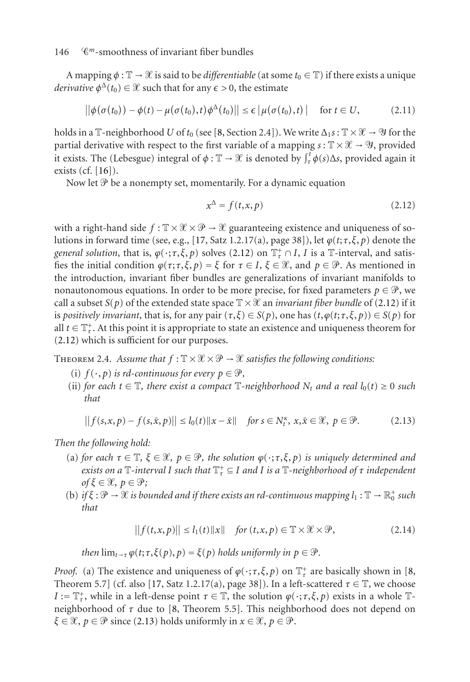A mapping  $\phi : \mathbb{T} \to \mathcal{X}$  is said to be *differentiable* (at some  $t_0 \in \mathbb{T}$ ) if there exists a unique *derivative*  $\phi^{\Delta}(t_0) \in \mathcal{X}$  such that for any  $\epsilon > 0$ , the estimate

$$
\left| \left| \phi(\sigma(t_0)) - \phi(t) - \mu(\sigma(t_0), t) \phi^{\Delta}(t_0) \right| \right| \leq \epsilon \left| \mu(\sigma(t_0), t) \right| \quad \text{for } t \in U,
$$
 (2.11)

holds in a  $\mathbb{T}$ -neighborhood *U* of  $t_0$  (see [\[8,](#page-40-8) Section 2.4]). We write  $\Delta_1 s : \mathbb{T} \times \mathcal{X} \to \mathcal{Y}$  for the partial derivative with respect to the first variable of a mapping  $s : \mathbb{T} \times \mathcal{X} \to \mathcal{Y}$ , provided it exists. The (Lebesgue) integral of  $\phi : \mathbb{T} \to \mathcal{X}$  is denoted by  $\int_{\tau}^{t} \phi(s) \Delta s$ , provided again it exists (cf. [\[16\]](#page-41-14)).

Now let  $\mathcal P$  be a nonempty set, momentarily. For a dynamic equation

<span id="page-5-0"></span>
$$
x^{\Delta} = f(t, x, p) \tag{2.12}
$$

with a right-hand side  $f : \mathbb{T} \times \mathcal{X} \times \mathcal{P} \to \mathcal{X}$  guaranteeing existence and uniqueness of so-lutions in forward time (see, e.g., [\[17,](#page-41-12) Satz 1.2.17(a), page 38]), let  $\varphi(t; \tau, \xi, p)$  denote the *general solution*, that is,  $\varphi(\cdot;\tau,\xi,p)$  solves [\(2.12\)](#page-5-0) on  $\mathbb{T}_\tau^+\cap I$ , *I* is a  $\mathbb{T}\text{-}$ interval, and satisfies the initial condition  $\varphi(\tau;\tau,\xi,p) = \xi$  for  $\tau \in I$ ,  $\xi \in \mathcal{X}$ , and  $p \in \mathcal{P}$ . As mentioned in the introduction, invariant fiber bundles are generalizations of invariant manifolds to nonautonomous equations. In order to be more precise, for fixed parameters  $p \in \mathcal{P}$ , we call a subset  $S(p)$  of the extended state space  $\mathbb{T} \times \mathcal{X}$  an *invariant fiber bundle* of [\(2.12\)](#page-5-0) if it is *positively invariant*, that is, for any pair  $(\tau, \xi) \in S(p)$ , one has  $(t, \varphi(t; \tau, \xi, p)) \in S(p)$  for all  $t \in \mathbb{T}_\tau^+$ . At this point it is appropriate to state an existence and uniqueness theorem for [\(2.12\)](#page-5-0) which is sufficient for our purposes.

<span id="page-5-3"></span>THEOREM 2.4. Assume that  $f: \mathbb{T} \times \mathcal{X} \times \mathcal{P} \to \mathcal{X}$  satisfies the following conditions:

- (i)  $f(\cdot, p)$  *is rd-continuous for every*  $p \in \mathcal{P}$ *,*
- (ii) *for each*  $t \in \mathbb{T}$ *, there exist a compact*  $\mathbb{T}$ *-neighborhood*  $N_t$  *and a real*  $l_0(t) \ge 0$  *such that*

$$
||f(s,x,p)-f(s,\bar{x},p)|| \leq l_0(t)||x-\bar{x}|| \quad \text{for } s \in N_t^{\kappa}, x,\bar{x} \in \mathcal{X}, \ p \in \mathcal{P}. \tag{2.13}
$$

*Then the following hold:*

- (a) for each  $\tau \in \mathbb{T}$ ,  $\xi \in \mathcal{X}$ ,  $p \in \mathcal{P}$ , the solution  $\varphi(\cdot;\tau,\xi,p)$  is uniquely determined and *exists on a* T*-interval I such that* T<sup>+</sup> *<sup>τ</sup>* <sup>⊆</sup> *I and I is a* <sup>T</sup>*-neighborhood of τ independent of* ξ ∈ *θ*,  $p$  ∈ *θ*;
- (b) if  $\xi : \mathcal{P} \to \mathcal{X}$  is bounded and if there exists an rd-continuous mapping  $l_1 : \mathbb{T} \to \mathbb{R}_0^+$  such *that*

<span id="page-5-2"></span><span id="page-5-1"></span>
$$
||f(t, x, p)|| \le I_1(t)||x|| \quad \text{for } (t, x, p) \in \mathbb{T} \times \mathcal{X} \times \mathcal{P}, \tag{2.14}
$$

*then*  $\lim_{t\to\tau} \varphi(t;\tau,\xi(p),p) = \xi(p)$  *holds uniformly in*  $p \in \mathcal{P}$ *.* 

*Proof.* (a) The existence and uniqueness of  $\varphi(\cdot; \tau, \xi, p)$  on  $\mathbb{T}^+$  are basically shown in [\[8,](#page-40-8) Theorem 5.7] (cf. also [\[17,](#page-41-12) Satz 1.2.17(a), page 38]). In a left-scattered  $\tau \in \mathbb{T}$ , we choose *I* :=  $\mathbb{T}_{\tau}^+$ , while in a left-dense point  $\tau \in \mathbb{T}$ , the solution  $\varphi(\cdot;\tau,\xi,p)$  exists in a whole  $\mathbb{T}$ neighborhood of *τ* due to [\[8,](#page-40-8) Theorem 5.5]. This neighborhood does not depend on  $\xi \in \mathcal{X}, p \in \mathcal{P}$  since [\(2.13\)](#page-5-1) holds uniformly in  $x \in \mathcal{X}, p \in \mathcal{P}$ .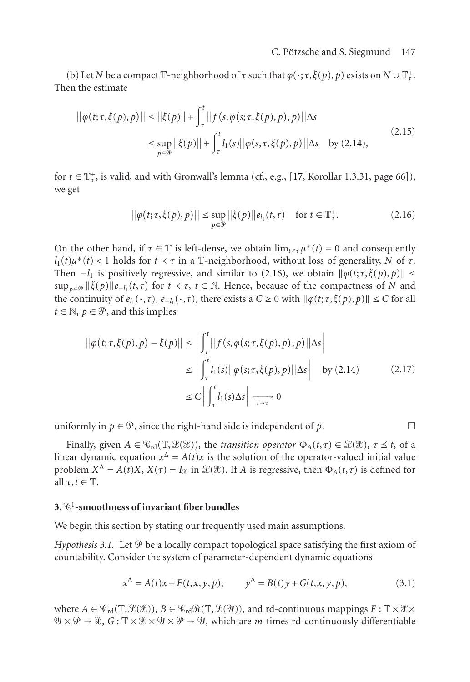(b) Let *N* be a compact  $\mathbb{T}$ -neighborhood of  $\tau$  such that  $\varphi(\cdot;\tau,\xi(p),p)$  exists on  $N \cup \mathbb{T}^+_{\tau}$ . Then the estimate

$$
||\varphi(t;\tau,\xi(p),p)|| \le ||\xi(p)|| + \int_{\tau}^{t} ||f(s,\varphi(s;\tau,\xi(p),p),p)||\Delta s
$$
  
\n
$$
\le \sup_{p\in\mathcal{P}} ||\xi(p)|| + \int_{\tau}^{t} l_1(s)||\varphi(s,\tau,\xi(p),p)||\Delta s \quad \text{by (2.14)},
$$
\n(2.15)

for  $t \in \mathbb{T}^+_r$ , is valid, and with Gronwall's lemma (cf., e.g., [\[17,](#page-41-12) Korollar 1.3.31, page 66]), we get

<span id="page-6-1"></span>
$$
\|\varphi(t;\tau,\xi(p),p)\| \le \sup_{p\in\mathcal{P}} \|\xi(p)\|e_{l_1}(t,\tau) \quad \text{for } t\in\mathbb{T}^+_{\tau}.\tag{2.16}
$$

On the other hand, if  $\tau \in \mathbb{T}$  is left-dense, we obtain  $\lim_{t \to \tau} \mu^*(t) = 0$  and consequently  $l_1(t) \mu^*(t) < 1$  holds for  $t \prec \tau$  in a T-neighborhood, without loss of generality, *N* of  $\tau$ . Then  $-l_1$  is positively regressive, and similar to [\(2.16\)](#page-6-1), we obtain  $\|\varphi(t;\tau,\xi(p),p)\|$  $\sup_{p \in \mathcal{P}} ||\xi(p)||e_{-l_1}(t,\tau)$  for  $t \prec \tau$ ,  $t \in \mathbb{N}$ . Hence, because of the compactness of *N* and the continuity of  $e_{l_1}(\cdot,\tau)$ ,  $e_{-l_1}(\cdot,\tau)$ , there exists a  $C \ge 0$  with  $\|\varphi(t;\tau,\xi(p),p)\| \le C$  for all  $t \in \mathbb{N}, p \in \mathcal{P}$ , and this implies

$$
\left| \left| \varphi(t;\tau,\xi(p),p) - \xi(p) \right| \right| \le \left| \int_{\tau}^{t} \left| \left| f(s,\varphi(s;\tau,\xi(p),p),p) \right| \right| \Delta s \right|
$$
  
\n
$$
\le \left| \int_{\tau}^{t} l_1(s) \left| \left| \varphi(s;\tau,\xi(p),p) \right| \right| \Delta s \right| \quad \text{by (2.14)} \tag{2.17}
$$
  
\n
$$
\le C \left| \int_{\tau}^{t} l_1(s) \Delta s \right| \xrightarrow[t \to \tau]{} 0
$$

uniformly in  $p \in \mathcal{P}$ , since the right-hand side is independent of *p*.

Finally, given  $A \in \mathcal{C}_{rd}(\mathbb{T}, \mathcal{L}(\mathcal{X}))$ , the *transition operator*  $\Phi_A(t, \tau) \in \mathcal{L}(\mathcal{X})$ ,  $\tau \leq t$ , of a linear dynamic equation  $x^{\Delta} = A(t)x$  is the solution of the operator-valued initial value problem  $X^{\Delta} = A(t)X$ ,  $X(\tau) = I_{\mathcal{X}}$  in  $\mathcal{L}(\mathcal{X})$ . If *A* is regressive, then  $\Phi_A(t, \tau)$  is defined for all  $\tau, t \in \mathbb{T}$ .

### <span id="page-6-0"></span>**3.** 1**-smoothness of invariant fiber bundles**

<span id="page-6-2"></span>We begin this section by stating our frequently used main assumptions.

*Hypothesis 3.1.* Let  $\mathcal P$  be a locally compact topological space satisfying the first axiom of countability. Consider the system of parameter-dependent dynamic equations

<span id="page-6-3"></span>
$$
x^{\Delta} = A(t)x + F(t, x, y, p), \qquad y^{\Delta} = B(t)y + G(t, x, y, p), \tag{3.1}
$$

where  $A \in C_{rd}(\mathbb{T}, \mathcal{L}(\mathcal{X}))$ ,  $B \in C_{rd}\mathcal{R}(\mathbb{T}, \mathcal{L}(\mathcal{Y}))$ , and rd-continuous mappings  $F : \mathbb{T} \times \mathcal{X} \times \mathcal{Y}$  $\mathcal{Y} \times \mathcal{P} \to \mathcal{X}, G: \mathbb{T} \times \mathcal{X} \times \mathcal{Y} \times \mathcal{P} \to \mathcal{Y},$  which are *m*-times rd-continuously differentiable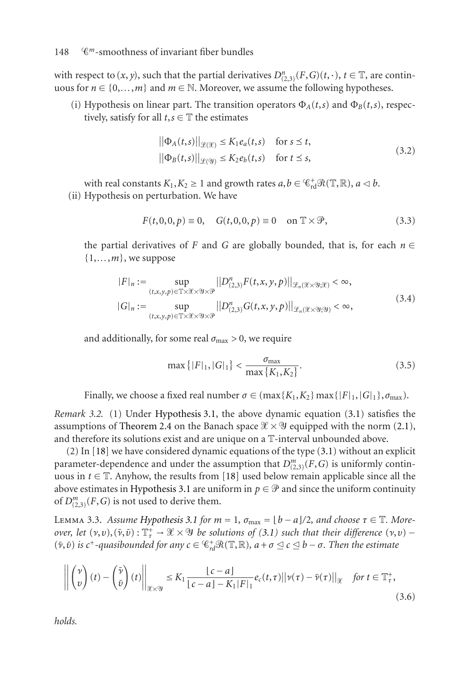#### 148 *<sup>m</sup>*-smoothness of invariant fiber bundles

with respect to  $(x, y)$ , such that the partial derivatives  $D_{(2,3)}^n(F, G)(t, \cdot)$ ,  $t \in \mathbb{T}$ , are continuous for  $n \in \{0, \ldots, m\}$  and  $m \in \mathbb{N}$ . Moreover, we assume the following hypotheses.

(i) Hypothesis on linear part. The transition operators  $\Phi_A(t,s)$  and  $\Phi_B(t,s)$ , respectively, satisfy for all  $t, s \in \mathbb{T}$  the estimates

<span id="page-7-4"></span><span id="page-7-3"></span>
$$
\|\Phi_A(t,s)\|_{\mathcal{L}(\mathcal{X})} \le K_1 e_a(t,s) \quad \text{for } s \le t,
$$
  

$$
\|\Phi_B(t,s)\|_{\mathcal{L}(\mathcal{Y})} \le K_2 e_b(t,s) \quad \text{for } t \le s,
$$
 (3.2)

with real constants  $K_1, K_2 \ge 1$  and growth rates  $a, b \in \mathcal{C}_{rd}^+ \mathcal{R}(\mathbb{T}, \mathbb{R}), a \le b$ . (ii) Hypothesis on perturbation. We have

$$
F(t,0,0,p) \equiv 0, \quad G(t,0,0,p) \equiv 0 \quad \text{on } \mathbb{T} \times \mathcal{P}, \tag{3.3}
$$

the partial derivatives of *F* and *G* are globally bounded, that is, for each  $n \in$  $\{1,\ldots,m\}$ , we suppose

$$
|F|_{n} := \sup_{(t,x,y,p)\in\mathbb{T}\times\mathcal{X}\times\mathcal{Y}\times\mathcal{P}} ||D_{(2,3)}^{n}F(t,x,y,p)||_{\mathcal{L}_{n}(\mathcal{X}\times\mathcal{Y},\mathcal{X})} < \infty,
$$
  

$$
|G|_{n} := \sup_{(t,x,y,p)\in\mathbb{T}\times\mathcal{X}\times\mathcal{Y}\times\mathcal{P}} ||D_{(2,3)}^{n}G(t,x,y,p)||_{\mathcal{L}_{n}(\mathcal{X}\times\mathcal{Y},\mathcal{Y})} < \infty,
$$
 (3.4)

and additionally, for some real  $\sigma_{\text{max}} > 0$ , we require

<span id="page-7-1"></span><span id="page-7-0"></span>
$$
\max\{|F|_1, |G|_1\} < \frac{\sigma_{\max}}{\max\{K_1, K_2\}}.\tag{3.5}
$$

Finally, we choose a fixed real number  $\sigma \in (\max\{K_1, K_2\} \max\{|F|_1, |G|_1\}, \sigma_{\max}).$ 

*Remark 3.2.* (1) Under [Hypothesis 3.1,](#page-6-2) the above dynamic equation [\(3.1\)](#page-6-3) satisfies the assumptions of [Theorem 2.4](#page-5-3) on the Banach space  $\mathcal{X} \times \mathcal{Y}$  equipped with the norm [\(2.1\)](#page-2-1), and therefore its solutions exist and are unique on a T-interval unbounded above.

(2) In [\[18\]](#page-41-0) we have considered dynamic equations of the type [\(3.1\)](#page-6-3) without an explicit parameter-dependence and under the assumption that  $D_{(2,3)}^m(F, G)$  is uniformly continuous in  $t \in \mathbb{T}$ . Anyhow, the results from [\[18\]](#page-41-0) used below remain applicable since all the above estimates in [Hypothesis 3.1](#page-6-2) are uniform in  $p \in \mathcal{P}$  and since the uniform continuity of  $D_{(2,3)}^m(F, G)$  is not used to derive them.

<span id="page-7-5"></span>LEMMA 3.3. *Assume Hypothesis* 3.1 *for*  $m = 1$ ,  $\sigma_{\text{max}} = \lfloor b - a \rfloor / 2$ , and choose  $\tau \in \mathbb{T}$ . More*over, let*  $(\nu,\nu), (\bar{\nu},\bar{\nu}) : \mathbb{T}_{\tau}^{+} \to \mathcal{X} \times \mathcal{Y}$  *be solutions of*  $(3.1)$  *such that their difference*  $(\nu,\nu)$  –  $(v, \bar{v})$  *is*  $c^+$ -quasibounded for any  $c \in \mathbb{G}^+_{rd} \mathcal{R}(\mathbb{T}, \mathbb{R})$ ,  $a + \sigma \leq c \leq b - \sigma$ . Then the estimate

<span id="page-7-2"></span>
$$
\left\| \begin{pmatrix} \nu \\ v \end{pmatrix} (t) - \begin{pmatrix} \bar{\nu} \\ \bar{v} \end{pmatrix} (t) \right\|_{\mathcal{X} \times \mathcal{Y}} \leq K_1 \frac{|c - a|}{|c - a| - K_1|F|_1} e_c(t, \tau) ||\nu(\tau) - \bar{\nu}(\tau)||_{\mathcal{X}} \quad \text{for } t \in \mathbb{T}_\tau^*,
$$
\n(3.6)

*holds.*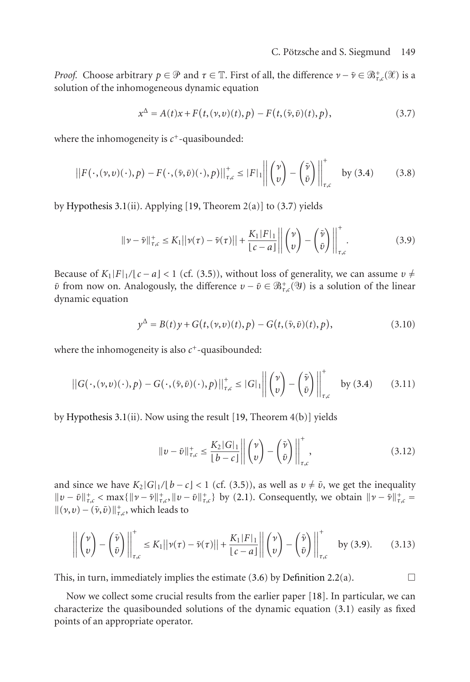*Proof.* Choose arbitrary  $p \in \mathcal{P}$  and  $\tau \in \mathbb{T}$ . First of all, the difference  $\nu - \bar{\nu} \in \mathcal{B}^+_{\tau,c}(\mathcal{X})$  is a solution of the inhomogeneous dynamic equation

<span id="page-8-0"></span>
$$
x^{\Delta} = A(t)x + F(t, (\nu, \nu)(t), p) - F(t, (\bar{\nu}, \bar{\nu})(t), p),
$$
\n(3.7)

where the inhomogeneity is  $c^+$ -quasibounded:

$$
\left\|F(\cdot,(\nu,\nu)(\cdot),p)-F(\cdot,(\bar{\nu},\bar{\nu})(\cdot),p)\right\|_{\tau,c}^{+}\leq\left|F\right|_{1}\left\|\begin{pmatrix}\nu\\v\end{pmatrix}-\begin{pmatrix}\bar{\nu}\\\bar{\nu}\end{pmatrix}\right\|_{\tau,c}^{+} \quad \text{by (3.4)}\tag{3.8}
$$

by [Hypothesis 3.1\(](#page-6-2)ii). Applying [\[19,](#page-41-15) Theorem  $2(a)$ ] to [\(3.7\)](#page-8-0) yields

<span id="page-8-1"></span>
$$
\|\nu - \bar{\nu}\|_{\tau,c}^+ \le K_1 \|\nu(\tau) - \bar{\nu}(\tau)\| + \frac{K_1|F|_1}{|c-a|} \left\| \begin{pmatrix} \nu \\ v \end{pmatrix} - \begin{pmatrix} \bar{\nu} \\ \bar{\nu} \end{pmatrix} \right\|_{\tau,c}^+.
$$
 (3.9)

Because of  $K_1|F|_1/(c-a) < 1$  (cf. [\(3.5\)](#page-7-1)), without loss of generality, we can assume  $v \neq$  $\bar{v}$  from now on. Analogously, the difference  $v - \bar{v} \in \mathcal{B}^+_{\tau,c}(\mathcal{Y})$  is a solution of the linear dynamic equation

$$
y^{\Delta} = B(t)y + G(t, (v, v)(t), p) - G(t, (\bar{v}, \bar{v})(t), p),
$$
\n(3.10)

where the inhomogeneity is also  $c^+$ -quasibounded:

$$
\left\|G(\cdot,(\nu,\nu)(\cdot),p)-G(\cdot,(\bar{\nu},\bar{\nu})(\cdot),p)\right\|_{\tau,c}^{+}\leq |G|_1\left\|\begin{pmatrix}\nu\\v\end{pmatrix}-\begin{pmatrix}\bar{\nu}\\\bar{\nu}\end{pmatrix}\right\|_{\tau,c}^{+} \quad \text{by (3.4)}\tag{3.11}
$$

by [Hypothesis 3.1\(](#page-6-2)ii). Now using the result [\[19,](#page-41-15) Theorem 4(b)] yields

$$
||v - \bar{v}||_{\tau,c}^+ \le \frac{K_2|G|_1}{|b - c|} \left\| \begin{pmatrix} v \\ v \end{pmatrix} - \begin{pmatrix} \bar{v} \\ \bar{v} \end{pmatrix} \right\|_{\tau,c}^+, \tag{3.12}
$$

and since we have  $K_2|G|_1/[b-c] < 1$  (cf. [\(3.5\)](#page-7-1)), as well as  $v \neq \bar{v}$ , we get the inequality  $||v - \bar{v}||_{\tau,c}^+ < \max{||v - \bar{v}||_{\tau,c}^+} ||v - \bar{v}||_{\tau,c}^+}$  by [\(2.1\)](#page-2-1). Consequently, we obtain  $||v - \bar{v}||_{\tau,c}^+ =$  $\|(\nu, v) - (\bar{\nu}, \bar{v})\|_{\tau,c}^+$ , which leads to

$$
\left\| \begin{pmatrix} \nu \\ v \end{pmatrix} - \begin{pmatrix} \bar{\nu} \\ \bar{v} \end{pmatrix} \right\|_{\tau,c}^{\dagger} \le K_1 ||\nu(\tau) - \bar{\nu}(\tau)|| + \frac{K_1 |F|_1}{|c - a|} \left\| \begin{pmatrix} \nu \\ v \end{pmatrix} - \begin{pmatrix} \bar{\nu} \\ \bar{v} \end{pmatrix} \right\|_{\tau,c}^{\dagger} \quad \text{by (3.9).} \tag{3.13}
$$

This, in turn, immediately implies the estimate  $(3.6)$  by [Definition 2.2\(](#page-4-0)a).

Now we collect some crucial results from the earlier paper [\[18\]](#page-41-0). In particular, we can characterize the quasibounded solutions of the dynamic equation [\(3.1\)](#page-6-3) easily as fixed points of an appropriate operator.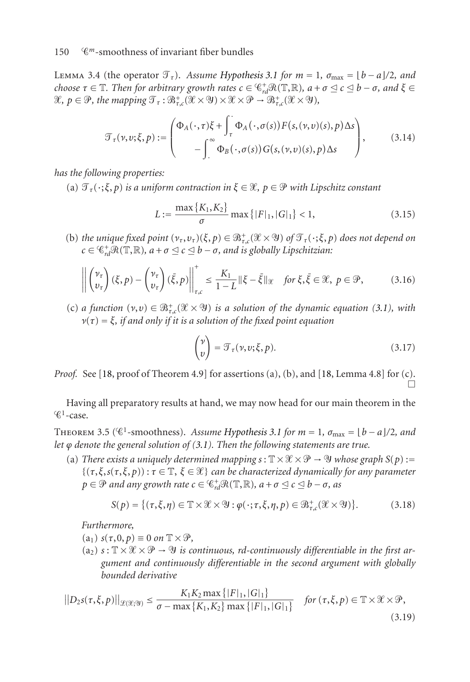### <span id="page-9-1"></span>150 *<sup>m</sup>*-smoothness of invariant fiber bundles

LEMMA 3.4 (the operator  $\mathcal{T}_\tau$ ). Assume [Hypothesis 3.1](#page-6-2) for  $m = 1$ ,  $\sigma_{\text{max}} = \lfloor b - a \rfloor / 2$ , and  $c$  *choose*  $\tau \in \mathbb{T}$ *. Then for arbitrary growth rates*  $c \in \mathscr{C}^+_{rd} \mathscr{R}(\mathbb{T}, \mathbb{R})$ *,*  $a + \sigma \leq c \leq b - \sigma$ *, and*  $\xi \in \mathbb{T}$  $\mathscr{X}, p \in \mathscr{P}$ , the mapping  $\mathscr{T}_{\tau} : \mathscr{B}^+_{\tau,c}(\mathscr{X} \times \mathscr{Y}) \times \mathscr{X} \times \mathscr{P} \to \mathscr{B}^+_{\tau,c}(\mathscr{X} \times \mathscr{Y})$ ,

$$
\mathcal{T}_{\tau}(\nu,\nu;\xi,p) := \begin{pmatrix} \Phi_A(\cdot,\tau)\xi + \int_{\tau}^{\cdot} \Phi_A(\cdot,\sigma(s))F(s,(\nu,\nu)(s),p)\Delta s \\ -\int_{\cdot}^{\infty} \Phi_B(\cdot,\sigma(s))G(s,(\nu,\nu)(s),p)\Delta s \end{pmatrix},
$$
(3.14)

*has the following properties:*

(a)  $\mathcal{T}_{\tau}(\cdot;\xi,p)$  *is a uniform contraction in*  $\xi \in \mathcal{X}, p \in \mathcal{P}$  with Lipschitz constant

<span id="page-9-3"></span><span id="page-9-2"></span>
$$
L := \frac{\max\{K_1, K_2\}}{\sigma} \max\{|F|_1, |G|_1\} < 1,\tag{3.15}
$$

(b) *the unique fixed point*  $(\nu_\tau, \nu_\tau)(\xi, p) \in \mathbb{B}^+_{\tau,c}(\mathcal{X} \times \mathcal{Y})$  *of*  $\mathcal{T}_\tau(\cdot; \xi, p)$  does not depend on  $c \in \mathbb{G}_{rd}^+ \mathcal{R}(\mathbb{T}, \mathbb{R})$ *, a* +  $\sigma \leq c \leq b - \sigma$ *, and is globally Lipschitzian:* 

$$
\left\| \begin{pmatrix} \nu_{\tau} \\ \nu_{\tau} \end{pmatrix} (\xi, p) - \begin{pmatrix} \nu_{\tau} \\ \nu_{\tau} \end{pmatrix} (\bar{\xi}, p) \right\|_{\tau, c}^{\dagger} \le \frac{K_1}{1 - L} \|\xi - \bar{\xi}\|_{\mathcal{X}} \quad \text{for } \xi, \bar{\xi} \in \mathcal{X}, \ p \in \mathcal{P}, \tag{3.16}
$$

(c) *a function*  $(v, v) \in \mathbb{B}^+_{\tau,c}(\mathcal{X} \times \mathcal{Y})$  *is a solution of the dynamic equation* [\(3.1\)](#page-6-3)*, with ν*(*τ*) = *ξ, if and only if it is a solution of the fixed point equation*

<span id="page-9-5"></span><span id="page-9-4"></span>
$$
\begin{pmatrix} \nu \\ v \end{pmatrix} = \mathcal{T}_{\tau}(\nu, \nu; \xi, p). \tag{3.17}
$$

*Proof.* See [\[18,](#page-41-0) proof of Theorem 4.9] for assertions (a), (b), and [18, Lemma 4.8] for (c).  $\Box$ 

<span id="page-9-0"></span>Having all preparatory results at hand, we may now head for our main theorem in the  $\mathscr{C}^1$ -case.

THEOREM 3.5 ( $\mathcal{C}^1$ -smoothness). *Assume [Hypothesis 3.1](#page-6-2) for*  $m = 1$ ,  $\sigma_{\text{max}} = \lfloor b - a \rfloor / 2$ , and *let ϕ denote the general solution of [\(3.1\)](#page-6-3). Then the following statements are true.*

(a) *There exists a uniquely determined mapping*  $s : \mathbb{T} \times \mathcal{X} \times \mathcal{P} \rightarrow \mathcal{Y}$  whose graph  $S(p) :=$  $\{(τ,ξ, s(τ,ξ, p)) : τ ∈ ℤ, ξ ∈ ℜ\}$  can be characterized dynamically for any parameter  $p \in \mathcal{P}$  and any growth rate  $c \in \mathcal{C}_{rd}^+ \mathcal{R}(\mathbb{T}, \mathbb{R})$ ,  $a + \sigma \leq c \leq b - \sigma$ , as

$$
S(p) = \{(\tau, \xi, \eta) \in \mathbb{T} \times \mathcal{X} \times \mathcal{Y} : \varphi(\cdot; \tau, \xi, \eta, p) \in \mathcal{B}^+_{\tau, c}(\mathcal{X} \times \mathcal{Y})\}.
$$
 (3.18)

*Furthermore,*

- $(a_1)$   $s(\tau, 0, p) \equiv 0$  *on*  $\mathbb{T} \times \mathcal{P}$ ,
- $(a_2)$   $s: \mathbb{T} \times \mathcal{X} \times \mathcal{P} \rightarrow \mathcal{Y}$  is continuous, rd-continuously differentiable in the first ar*gument and continuously differentiable in the second argument with globally bounded derivative*

$$
||D_{2}S(\tau,\xi,p)||_{\mathscr{L}(\mathscr{X};\mathscr{Y})} \leq \frac{K_{1}K_{2} \max\{|F|_{1},|G|_{1}\}}{\sigma - \max\{K_{1},K_{2}\}\max\{|F|_{1},|G|_{1}\}} \quad \text{for } (\tau,\xi,p) \in \mathbb{T} \times \mathscr{X} \times \mathscr{P},\tag{3.19}
$$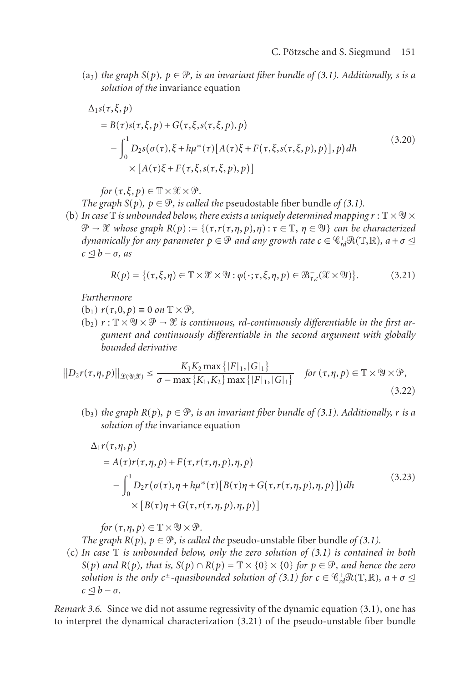(a<sub>3</sub>) *the graph S*(*p*)*,*  $p \in \mathcal{P}$ *, is an invariant fiber bundle of [\(3.1\)](#page-6-3). Additionally, s is a solution of the* invariance equation

$$
\Delta_1 s(\tau, \xi, p)
$$
  
=  $B(\tau)s(\tau, \xi, p) + G(\tau, \xi, s(\tau, \xi, p), p)$   

$$
- \int_0^1 D_2 s(\sigma(\tau), \xi + h\mu^*(\tau)[A(\tau)\xi + F(\tau, \xi, s(\tau, \xi, p), p)], p) dh
$$
  

$$
\times [A(\tau)\xi + F(\tau, \xi, s(\tau, \xi, p), p)]
$$
 (3.20)

*for*  $(\tau, \xi, p) \in \mathbb{T} \times \mathcal{X} \times \mathcal{P}$ .

*The graph S*(*p*)*,*  $p \in \mathcal{P}$ *, is called the pseudostable fiber bundle of [\(3.1\)](#page-6-3).* 

(b) In case  $\mathbb T$  *is unbounded below, there exists a uniquely determined mapping*  $r : \mathbb T \times \mathfrak Y \times$  $\mathcal{P} \to \mathcal{X}$  whose graph  $R(p) := \{(\tau, r(\tau, \eta, p), \eta) : \tau \in \mathbb{T}, \ \eta \in \mathcal{Y}\}\)$  can be characterized  $d$ ynamically for any parameter  $p \in \mathcal{P}$  and any growth rate  $c \in \mathcal{C}_{rd}^+\mathcal{R}(\mathbb{T},\mathbb{R}),\, a+\sigma \leq 0$  $c \leq b - \sigma$ *, as* 

<span id="page-10-0"></span>
$$
R(p) = \{(\tau, \xi, \eta) \in \mathbb{T} \times \mathcal{X} \times \mathcal{Y} : \varphi(\cdot; \tau, \xi, \eta, p) \in \mathcal{B}_{\tau, c}(\mathcal{X} \times \mathcal{Y})\}.
$$
 (3.21)

*Furthermore*

 $(b_1)$   $r(\tau, 0, p) \equiv 0$  *on*  $\mathbb{T} \times \mathcal{P}$ ,

 $(b_2)$   $r : \mathbb{T} \times \mathcal{Y} \times \mathcal{P} \rightarrow \mathcal{X}$  is continuous, rd-continuously differentiable in the first ar*gument and continuously differentiable in the second argument with globally bounded derivative*

$$
||D_2r(\tau,\eta,p)||_{\mathcal{L}(\mathfrak{Y};\mathcal{X})} \leq \frac{K_1K_2 \max\{|F|_1, |G|_1\}}{\sigma - \max\{K_1, K_2\} \max\{|F|_1, |G|_1\}} \quad \text{for } (\tau,\eta,p) \in \mathbb{T} \times \mathfrak{Y} \times \mathfrak{P},\tag{3.22}
$$

 $(b_3)$  *the graph*  $R(p)$ *,*  $p \in \mathcal{P}$ *, is an invariant fiber bundle of [\(3.1\)](#page-6-3). Additionally, r is a solution of the* invariance equation

$$
\Delta_1 r(\tau, \eta, p)
$$
  
=  $A(\tau)r(\tau, \eta, p) + F(\tau, r(\tau, \eta, p), \eta, p)$   

$$
- \int_0^1 D_2 r(\sigma(\tau), \eta + h\mu^*(\tau)[B(\tau)\eta + G(\tau, r(\tau, \eta, p), \eta, p)])dh
$$
  

$$
\times [B(\tau)\eta + G(\tau, r(\tau, \eta, p), \eta, p)]
$$
 (3.23)

*for*  $(\tau, \eta, p) \in \mathbb{T} \times \mathcal{Y} \times \mathcal{P}$ .

*The graph*  $R(p)$ *,*  $p \in \mathcal{P}$ *, is called the pseudo-unstable fiber bundle of [\(3.1\)](#page-6-3).* 

(c) *In case* T *is unbounded below, only the zero solution of [\(3.1\)](#page-6-3) is contained in both S*(*p*) *and R*(*p*)*, that is, S*(*p*)  $\cap$  *R*(*p*) =  $\mathbb{T} \times \{0\} \times \{0\}$  *for p*  $\in \mathcal{P}$ *, and hence the zero solution is the only c*<sup>±</sup>-quasibounded solution of [\(3.1\)](#page-6-3) for  $c \in C_{rd}^+\mathcal{R}(\mathbb{T},\mathbb{R})$ ,  $a+\sigma \leq 0$  $c \triangleleft b - \sigma$ .

*Remark 3.6.* Since we did not assume regressivity of the dynamic equation [\(3.1\)](#page-6-3), one has to interpret the dynamical characterization [\(3.21\)](#page-10-0) of the pseudo-unstable fiber bundle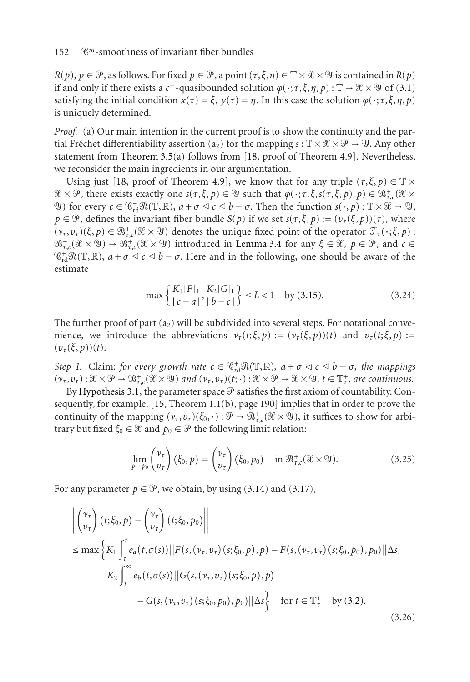$R(p), p \in \mathcal{P}$ , as follows. For fixed  $p \in \mathcal{P}$ , a point  $(\tau, \xi, \eta) \in \mathbb{T} \times \mathcal{X} \times \mathcal{Y}$  is contained in  $R(p)$ if and only if there exists a *c*<sup>−</sup>-quasibounded solution  $\varphi(\cdot;\tau,\xi,\eta,p) : \mathbb{T} \to \mathcal{X} \times \mathcal{Y}$  of [\(3.1\)](#page-6-3) satisfying the initial condition  $x(\tau) = \xi$ ,  $y(\tau) = \eta$ . In this case the solution  $\varphi(\cdot; \tau, \xi, \eta, \rho)$ is uniquely determined.

*Proof.* (a) Our main intention in the current proof is to show the continuity and the partial Fréchet differentiability assertion (a<sub>2</sub>) for the mapping  $s : \mathbb{T} \times \mathcal{X} \times \mathcal{P} \to \mathcal{Y}$ . Any other statement from [Theorem 3.5\(](#page-9-0)a) follows from [\[18,](#page-41-0) proof of Theorem 4.9]. Nevertheless, we reconsider the main ingredients in our argumentation.

Using just [\[18,](#page-41-0) proof of Theorem 4.9], we know that for any triple  $(\tau, \xi, p) \in \mathbb{T} \times$  $\mathscr{X} \times \mathscr{P}$ , there exists exactly one  $s(\tau, \xi, p) \in \mathscr{Y}$  such that  $\varphi(\cdot; \tau, \xi, s(\tau, \xi, p), p) \in \mathscr{B}^+_{\tau,c}(\mathscr{X} \times \mathscr{P}^+_{\tau,c}(\mathscr{X} \times \mathscr{P}^+_{\tau,c}))$  $\mathcal{P}(Y)$  for every  $c \in \mathbb{G}_{\rm rd}^+ \mathcal{R}(\mathbb{T}, \mathbb{R}), a + \sigma \leq c \leq b - \sigma$ . Then the function  $s(\cdot, p) : \mathbb{T} \times \mathcal{X} \to \mathcal{Y}$ ,  $p \in \mathcal{P}$ , defines the invariant fiber bundle *S*(*p*) if we set  $s(\tau, \xi, p) := (v_\tau(\xi, p))(\tau)$ , where  $(v_\tau, v_\tau)(\xi, p) \in \mathbb{B}^+_{\tau,c}(\mathcal{X} \times \mathcal{Y})$  denotes the unique fixed point of the operator  $\mathcal{T}_\tau(\cdot; \xi, p)$ :  $\mathfrak{B}^+_{\tau,c}(\mathcal{X}\times \mathcal{Y}) \to \mathfrak{B}^+_{\tau,c}(\mathcal{X}\times \mathcal{Y})$  introduced in [Lemma 3.4](#page-9-1) for any  $\xi\in \mathcal{X},\ p\in \mathcal{P},\$  and  $c\in$  $\mathcal{C}_{rd}^+\mathcal{R}(\mathbb{T},\mathbb{R})$ ,  $a+\sigma \leq c \leq b-\sigma$ . Here and in the following, one should be aware of the estimate

<span id="page-11-0"></span>
$$
\max\left\{\frac{K_1|F|_1}{\lfloor c-a\rfloor}, \frac{K_2|G|_1}{\lfloor b-c\rfloor}\right\} \le L < 1 \quad \text{by (3.15).} \tag{3.24}
$$

The further proof of part  $(a_2)$  will be subdivided into several steps. For notational convenience, we introduce the abbreviations  $v_{\tau}(t;\xi,p) := (v_{\tau}(\xi,p))(t)$  and  $v_{\tau}(t;\xi,p) :=$  $(v_\tau(\xi, p))(t)$ .

<span id="page-11-2"></span>*Step 1.* Claim: *for every growth rate*  $c \in \mathcal{C}_{rd}^+ \mathcal{R}(\mathbb{T}, \mathbb{R})$ ,  $a + \sigma \lhd c \leq b - \sigma$ , the mappings  $(v_{\tau}, v_{\tau}): \mathcal{X} \times \mathcal{P} \to \mathcal{B}^+_{\tau,c}(\mathcal{X} \times \mathcal{Y})$  and  $(v_{\tau}, v_{\tau})(t; \cdot): \mathcal{X} \times \mathcal{P} \to \mathcal{X} \times \mathcal{Y}$ ,  $t \in \mathbb{T}^+_{\tau}$ , are continuous.

By [Hypothesis 3.1,](#page-6-2) the parameter space  $\mathcal P$  satisfies the first axiom of countability. Consequently, for example, [\[15,](#page-41-16) Theorem 1.1(b), page 190] implies that in order to prove the continuity of the mapping  $(\nu_\tau, \nu_\tau)(\xi_0, \cdot) : \mathcal{P} \to \mathcal{B}^+_{\tau,c}(\mathcal{X} \times \mathcal{Y})$ , it suffices to show for arbitrary but fixed  $\xi_0 \in \mathcal{X}$  and  $p_0 \in \mathcal{P}$  the following limit relation:

<span id="page-11-1"></span>
$$
\lim_{p \to p_0} \begin{pmatrix} \nu_\tau \\ v_\tau \end{pmatrix} (\xi_0, p) = \begin{pmatrix} \nu_\tau \\ v_\tau \end{pmatrix} (\xi_0, p_0) \quad \text{in } \mathfrak{B}^+_{\tau,c}(\mathcal{X} \times \mathfrak{Y}). \tag{3.25}
$$

For any parameter  $p \in \mathcal{P}$ , we obtain, by using [\(3.14\)](#page-9-3) and [\(3.17\)](#page-9-4),

$$
\left\| \begin{pmatrix} \nu_{\tau} \\ v_{\tau} \end{pmatrix} (t; \xi_{0}, p) - \begin{pmatrix} \nu_{\tau} \\ v_{\tau} \end{pmatrix} (t; \xi_{0}, p_{0}) \right\|
$$
  
\n
$$
\leq \max \left\{ K_{1} \int_{\tau}^{t} e_{a}(t, \sigma(s)) || F(s, (\nu_{\tau}, \nu_{\tau})(s; \xi_{0}, p), p) - F(s, (\nu_{\tau}, \nu_{\tau})(s; \xi_{0}, p_{0}), p_{0}) || \Delta s, \right\}
$$
  
\n
$$
K_{2} \int_{t}^{\infty} e_{b}(t, \sigma(s)) || G(s, (\nu_{\tau}, \nu_{\tau})(s; \xi_{0}, p), p) - G(s, (\nu_{\tau}, \nu_{\tau})(s; \xi_{0}, p_{0}), p_{0}) || \Delta s \right\} \text{ for } t \in \mathbb{T}_{\tau}^{+} \text{ by (3.2).}
$$
  
\n(3.26)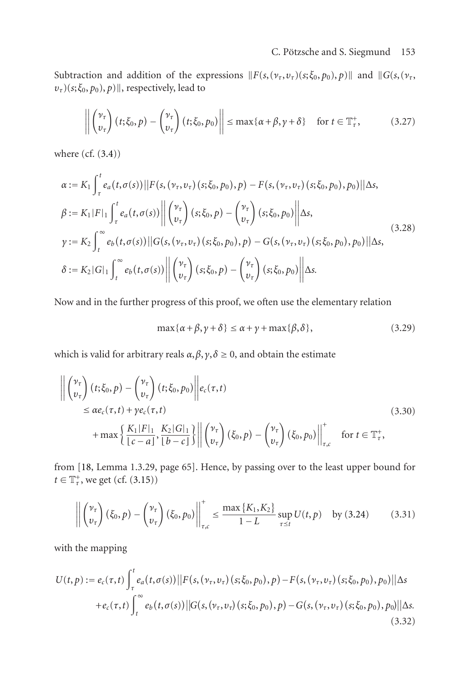Subtraction and addition of the expressions  $||F(s, (\nu_\tau, \nu_\tau)(s; \xi_0, p_0), p)||$  and  $||G(s, (\nu_\tau,$  $v_{\tau}$ )(*s*;  $\xi_0$ ,  $p_0$ ),  $p$ )||, respectively, lead to

$$
\left\| \begin{pmatrix} \nu_{\tau} \\ v_{\tau} \end{pmatrix} (t; \xi_0, p) - \begin{pmatrix} \nu_{\tau} \\ v_{\tau} \end{pmatrix} (t; \xi_0, p_0) \right\| \le \max\{\alpha + \beta, \gamma + \delta\} \quad \text{for } t \in \mathbb{T}_{\tau}^+, \tag{3.27}
$$

where (cf. [\(3.4\)](#page-7-0))

$$
\alpha := K_1 \int_{\tau}^{t} e_a(t, \sigma(s)) ||F(s, (\nu_{\tau}, \nu_{\tau}) (s; \xi_0, p_0), p) - F(s, (\nu_{\tau}, \nu_{\tau}) (s; \xi_0, p_0), p_0) || \Delta s,\n\beta := K_1 |F|_1 \int_{\tau}^{t} e_a(t, \sigma(s)) ||\left(\begin{matrix} \nu_{\tau} \\ \nu_{\tau} \end{matrix}\right) (s; \xi_0, p) - \left(\begin{matrix} \nu_{\tau} \\ \nu_{\tau} \end{matrix}\right) (s; \xi_0, p_0) || \Delta s,\n\gamma := K_2 \int_{t}^{\infty} e_b(t, \sigma(s)) ||G(s, (\nu_{\tau}, \nu_{\tau}) (s; \xi_0, p_0), p) - G(s, (\nu_{\tau}, \nu_{\tau}) (s; \xi_0, p_0), p_0) || \Delta s,\n\delta := K_2 |G|_1 \int_{t}^{\infty} e_b(t, \sigma(s)) ||\left(\begin{matrix} \nu_{\tau} \\ \nu_{\tau} \end{matrix}\right) (s; \xi_0, p) - \left(\begin{matrix} \nu_{\tau} \\ \nu_{\tau} \end{matrix}\right) (s; \xi_0, p_0) || \Delta s.
$$
\n(3.28)

Now and in the further progress of this proof, we often use the elementary relation

<span id="page-12-1"></span>
$$
\max\{\alpha + \beta, \gamma + \delta\} \le \alpha + \gamma + \max\{\beta, \delta\},\tag{3.29}
$$

which is valid for arbitrary reals  $\alpha$ ,  $\beta$ ,  $\gamma$ ,  $\delta$  ≥ 0, and obtain the estimate

$$
\left\| \begin{pmatrix} \nu_{\tau} \\ v_{\tau} \end{pmatrix} (t; \xi_{0}, p) - \begin{pmatrix} \nu_{\tau} \\ v_{\tau} \end{pmatrix} (t; \xi_{0}, p_{0}) \right\| e_{c}(\tau, t)
$$
\n
$$
\leq \alpha e_{c}(\tau, t) + \gamma e_{c}(\tau, t)
$$
\n
$$
+ \max \left\{ \frac{K_{1}|F|_{1}}{\lfloor c - a \rfloor}, \frac{K_{2}|G|_{1}}{\lfloor b - c \rfloor} \right\} \left\| \begin{pmatrix} \nu_{\tau} \\ v_{\tau} \end{pmatrix} (\xi_{0}, p) - \begin{pmatrix} \nu_{\tau} \\ v_{\tau} \end{pmatrix} (\xi_{0}, p_{0}) \right\|_{\tau, c}^{+} \quad \text{for } t \in \mathbb{T}_{\tau}^{+},
$$
\n(3.30)

from [\[18,](#page-41-0) Lemma 1.3.29, page 65]. Hence, by passing over to the least upper bound for  $t \in \mathbb{T}^+_7$ , we get (cf. [\(3.15\)](#page-9-2))

<span id="page-12-0"></span>
$$
\left\| \begin{pmatrix} \nu_{\tau} \\ v_{\tau} \end{pmatrix} (\xi_0, p) - \begin{pmatrix} \nu_{\tau} \\ v_{\tau} \end{pmatrix} (\xi_0, p_0) \right\|_{\tau, c}^{\dagger} \le \frac{\max\{K_1, K_2\}}{1 - L} \sup_{\tau \le t} U(t, p) \text{ by (3.24)} \qquad (3.31)
$$

with the mapping

$$
U(t, p) := e_c(\tau, t) \int_{\tau}^{t} e_a(t, \sigma(s)) ||F(s, (\nu_{\tau}, \nu_{\tau}) (s; \xi_0, p_0), p) - F(s, (\nu_{\tau}, \nu_{\tau}) (s; \xi_0, p_0), p_0) ||\Delta s + e_c(\tau, t) \int_{t}^{\infty} e_b(t, \sigma(s)) ||G(s, (\nu_{\tau}, \nu_{\tau}) (s; \xi_0, p_0), p) - G(s, (\nu_{\tau}, \nu_{\tau}) (s; \xi_0, p_0), p_0) ||\Delta s. \tag{3.32}
$$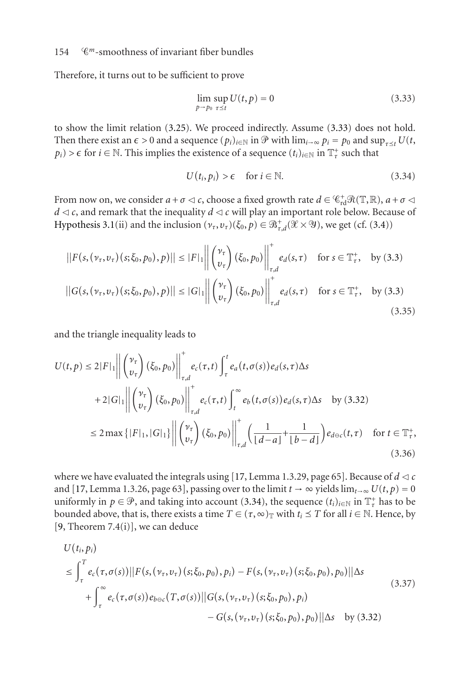Therefore, it turns out to be sufficient to prove

<span id="page-13-0"></span>
$$
\lim_{p \to p_0} \sup_{\tau \le t} U(t, p) = 0 \tag{3.33}
$$

to show the limit relation [\(3.25\)](#page-11-1). We proceed indirectly. Assume [\(3.33\)](#page-13-0) does not hold. Then there exist an  $\epsilon > 0$  and a sequence  $(p_i)_{i \in \mathbb{N}}$  in  $\mathcal{P}$  with  $\lim_{i \to \infty} p_i = p_0$  and  $\sup_{\tau \prec t} U(t,$  $p_i$ ) >  $\epsilon$  for  $i \in \mathbb{N}$ . This implies the existence of a sequence  $(t_i)_{i \in \mathbb{N}}$  in  $\mathbb{T}^+_t$  such that

<span id="page-13-1"></span>
$$
U(t_i, p_i) > \epsilon \quad \text{for } i \in \mathbb{N}.\tag{3.34}
$$

From now on, we consider  $a + \sigma \lhd c$ , choose a fixed growth rate  $d \in \mathcal{C}_{rd}^+ \mathcal{R}(\mathbb{T}, \mathbb{R})$ ,  $a + \sigma \lhd c$  $d \leq c$ , and remark that the inequality  $d \leq c$  will play an important role below. Because of [Hypothesis 3.1\(](#page-6-2)ii) and the inclusion  $(\nu_\tau, \nu_\tau)(\xi_0, p) \in \mathfrak{B}^+_{\tau, d}(\mathcal{X} \times \mathcal{Y})$ , we get (cf. [\(3.4\)](#page-7-0))

$$
||F(s, (\nu_{\tau}, \nu_{\tau}) (s; \xi_{0}, p_{0}), p)|| \leq |F|_{1} \left\| \begin{pmatrix} \nu_{\tau} \\ \nu_{\tau} \end{pmatrix} (\xi_{0}, p_{0}) \right\|_{\tau,d}^{+} e_{d}(s, \tau) \quad \text{for } s \in \mathbb{T}_{\tau}^{+}, \quad \text{by (3.3)}
$$
  
 
$$
||G(s, (\nu_{\tau}, \nu_{\tau}) (s; \xi_{0}, p_{0}), p)|| \leq |G|_{1} \left\| \begin{pmatrix} \nu_{\tau} \\ \nu_{\tau} \end{pmatrix} (\xi_{0}, p_{0}) \right\|_{\tau,d}^{+} e_{d}(s, \tau) \quad \text{for } s \in \mathbb{T}_{\tau}^{+}, \quad \text{by (3.3)}
$$
(3.35)

and the triangle inequality leads to

$$
U(t, p) \le 2|F|_1 \left\| \begin{pmatrix} \nu_r \\ v_\tau \end{pmatrix} (\xi_0, p_0) \right\|_{\tau, d}^{\tau} e_c(\tau, t) \int_{\tau}^t e_a(t, \sigma(s)) e_d(s, \tau) \Delta s
$$
  
+2|G|\_1 \left\| \begin{pmatrix} \nu\_r \\ v\_\tau \end{pmatrix} (\xi\_0, p\_0) \right\|\_{\tau, d}^{\tau} e\_c(\tau, t) \int\_{t}^{\infty} e\_b(t, \sigma(s)) e\_d(s, \tau) \Delta s \quad \text{by (3.32)}  
\n
$$
\le 2 \max \{|F|_1, |G|_1\} \left\| \begin{pmatrix} \nu_r \\ v_\tau \end{pmatrix} (\xi_0, p_0) \right\|_{\tau, d}^{\tau} \left( \frac{1}{[d-a]} + \frac{1}{[b-d]} \right) e_{d\ominus c}(t, \tau) \quad \text{for } t \in \mathbb{T}_\tau^*,
$$
  
(3.36)

where we have evaluated the integrals using [\[17,](#page-41-12) Lemma 1.3.29, page 65]. Because of  $d \lt c$ and [\[17,](#page-41-12) Lemma 1.3.26, page 63], passing over to the limit  $t \to \infty$  yields lim<sub> $t\to\infty$ </sub>  $U(t, p) = 0$ uniformly in  $p \in \mathcal{P}$ , and taking into account [\(3.34\)](#page-13-1), the sequence  $(t_i)_{i \in \mathbb{N}}$  in  $\mathbb{T}^+_r$  has to be bounded above, that is, there exists a time  $T \in (\tau, \infty)$  with  $t_i \leq T$  for all  $i \in \mathbb{N}$ . Hence, by [\[9,](#page-40-4) Theorem  $7.4(i)$ ], we can deduce

$$
U(t_i, p_i)
$$
  
\n
$$
\leq \int_{\tau}^{T} e_c(\tau, \sigma(s)) ||F(s, (\nu_{\tau}, \nu_{\tau}) (s; \xi_0, p_0), p_i) - F(s, (\nu_{\tau}, \nu_{\tau}) (s; \xi_0, p_0), p_0) || \Delta s
$$
  
\n
$$
+ \int_{\tau}^{\infty} e_c(\tau, \sigma(s)) e_{b \ominus c}(T, \sigma(s)) ||G(s, (\nu_{\tau}, \nu_{\tau}) (s; \xi_0, p_0), p_i) - G(s, (\nu_{\tau}, \nu_{\tau}) (s; \xi_0, p_0), p_0) || \Delta s \quad \text{by (3.32)}
$$
\n(3.37)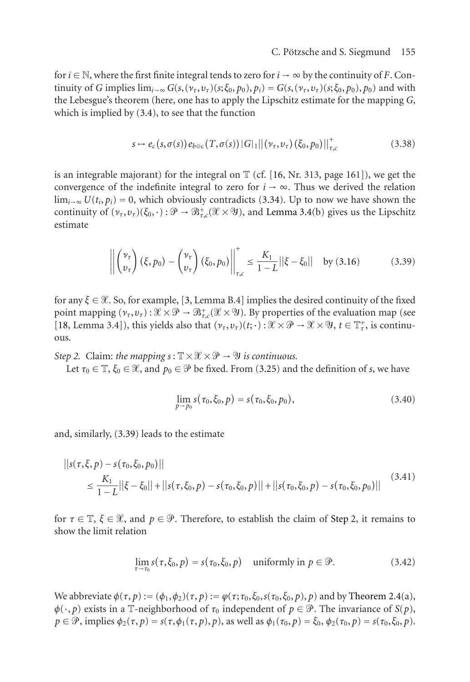for *i*  $\in$  N, where the first finite integral tends to zero for *i*  $\rightarrow \infty$  by the continuity of *F*. Continuity of G implies  $\lim_{i\to\infty} G(s,(\nu_\tau,\nu_\tau)(s;\xi_0,p_0),p_i) = G(s,(\nu_\tau,\nu_\tau)(s;\xi_0,p_0),p_0)$  and with the Lebesgue's theorem (here, one has to apply the Lipschitz estimate for the mapping *G*, which is implied by [\(3.4\)](#page-7-0), to see that the function

$$
s \mapsto e_c(s, \sigma(s)) e_{b \ominus c}(T, \sigma(s)) |G|_1 ||(\nu_\tau, \nu_\tau) (\xi_0, p_0)||_{\tau,c}^+ \tag{3.38}
$$

is an integrable majorant) for the integral on  $\mathbb T$  (cf. [\[16,](#page-41-14) Nr. 313, page 161]), we get the convergence of the indefinite integral to zero for  $i \rightarrow \infty$ . Thus we derived the relation  $\lim_{i\to\infty} U(t_i, p_i) = 0$ , which obviously contradicts [\(3.34\)](#page-13-1). Up to now we have shown the continuity of  $(\nu_\tau, \nu_\tau)(\xi_0, \cdot) : \mathcal{P} \to \mathcal{B}^+_{\tau,c}(\mathcal{X} \times \mathcal{Y})$ , and [Lemma 3.4\(](#page-9-1)b) gives us the Lipschitz estimate

<span id="page-14-0"></span>
$$
\left\| \begin{pmatrix} \nu_{\tau} \\ v_{\tau} \end{pmatrix} (\xi, p_0) - \begin{pmatrix} \nu_{\tau} \\ v_{\tau} \end{pmatrix} (\xi_0, p_0) \right\|_{\tau,c}^{\dagger} \le \frac{K_1}{1 - L} ||\xi - \xi_0|| \text{ by (3.16)} \tag{3.39}
$$

for any  $\xi \in \mathcal{X}$ . So, for example, [\[3,](#page-40-3) Lemma B.4] implies the desired continuity of the fixed point mapping  $(\nu_\tau, \nu_\tau) : \mathcal{X} \times \mathcal{P} \to \mathcal{B}^+_{\tau,c}(\mathcal{X} \times \mathcal{Y})$ . By properties of the evaluation map (see [\[18,](#page-41-0) Lemma 3.4]), this yields also that  $(\nu_\tau, \nu_\tau)(t; \cdot) : \mathcal{X} \times \mathcal{P} \to \mathcal{X} \times \mathcal{Y}$ ,  $t \in \mathbb{T}^+_\tau$ , is continuous.

<span id="page-14-1"></span>*Step 2.* Claim: *the mapping*  $s: \mathbb{T} \times \mathcal{X} \times \mathcal{P} \rightarrow \mathcal{Y}$  *is continuous.* 

Let  $\tau_0 \in \mathbb{T}$ ,  $\xi_0 \in \mathcal{X}$ , and  $p_0 \in \mathcal{P}$  be fixed. From [\(3.25\)](#page-11-1) and the definition of *s*, we have

$$
\lim_{p \to p_0} s(\tau_0, \xi_0, p) = s(\tau_0, \xi_0, p_0), \tag{3.40}
$$

and, similarly, [\(3.39\)](#page-14-0) leads to the estimate

$$
||s(\tau,\xi,p) - s(\tau_0,\xi_0,p_0)||
$$
  
\n
$$
\leq \frac{K_1}{1-L}||\xi - \xi_0|| + ||s(\tau,\xi_0,p) - s(\tau_0,\xi_0,p)|| + ||s(\tau_0,\xi_0,p) - s(\tau_0,\xi_0,p_0)||
$$
\n(3.41)

for  $\tau \in \mathbb{T}$ ,  $\xi \in \mathcal{X}$ , and  $p \in \mathcal{P}$ . Therefore, to establish the claim of [Step 2,](#page-14-1) it remains to show the limit relation

<span id="page-14-2"></span>
$$
\lim_{\tau \to \tau_0} s(\tau, \xi_0, p) = s(\tau_0, \xi_0, p) \quad \text{uniformly in } p \in \mathcal{P}.
$$
 (3.42)

We abbreviate  $\phi(\tau, p) := (\phi_1, \phi_2)(\tau, p) := \phi(\tau; \tau_0, \xi_0, s(\tau_0, \xi_0, p), p)$  and by [Theorem 2.4\(](#page-5-3)a),  $\phi(\cdot, p)$  exists in a T-neighborhood of  $\tau_0$  independent of  $p \in \mathcal{P}$ . The invariance of *S*(*p*),  $p \in \mathcal{P}$ , implies  $\phi_2(\tau, p) = s(\tau, \phi_1(\tau, p), p)$ , as well as  $\phi_1(\tau_0, p) = \xi_0$ ,  $\phi_2(\tau_0, p) = s(\tau_0, \xi_0, p)$ .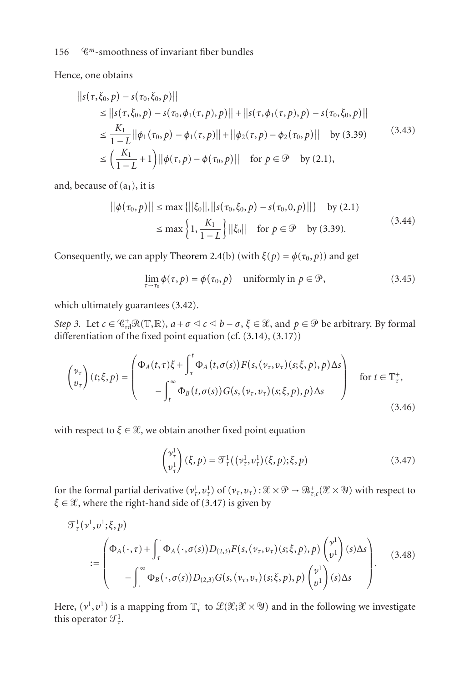Hence, one obtains

$$
||s(\tau, \xi_0, p) - s(\tau_0, \xi_0, p)||
$$
  
\n
$$
\leq ||s(\tau, \xi_0, p) - s(\tau_0, \phi_1(\tau, p), p)|| + ||s(\tau, \phi_1(\tau, p), p) - s(\tau_0, \xi_0, p)||
$$
  
\n
$$
\leq \frac{K_1}{1 - L} ||\phi_1(\tau_0, p) - \phi_1(\tau, p)|| + ||\phi_2(\tau, p) - \phi_2(\tau_0, p)||
$$
 by (3.39)  
\n
$$
\leq \left(\frac{K_1}{1 - L} + 1\right) ||\phi(\tau, p) - \phi(\tau_0, p)||
$$
 for  $p \in \mathcal{P}$  by (2.1),

and, because of  $(a_1)$ , it is

$$
||\phi(\tau_0, p)|| \le \max\{||\xi_0||, ||s(\tau_0, \xi_0, p) - s(\tau_0, 0, p)||\} \quad \text{by (2.1)}
$$
  

$$
\le \max\left\{1, \frac{K_1}{1 - L}\right\} ||\xi_0|| \quad \text{for } p \in \mathcal{P} \quad \text{by (3.39).}
$$
 (3.44)

Consequently, we can apply [Theorem 2.4\(](#page-5-3)b) (with  $\xi(p) = \phi(\tau_0, p)$ ) and get

$$
\lim_{\tau \to \tau_0} \phi(\tau, p) = \phi(\tau_0, p) \quad \text{uniformly in } p \in \mathcal{P}, \tag{3.45}
$$

<span id="page-15-4"></span>which ultimately guarantees [\(3.42\)](#page-14-2).

*Step 3.* Let  $c \in \mathbb{G}_{rd}^+ \mathcal{R}(\mathbb{T}, \mathbb{R})$ ,  $a + \sigma \leq c \leq b - \sigma$ ,  $\xi \in \mathcal{X}$ , and  $p \in \mathcal{P}$  be arbitrary. By formal differentiation of the fixed point equation (cf. [\(3.14\)](#page-9-3), [\(3.17\)](#page-9-4))

$$
\begin{pmatrix} \nu_{\tau} \\ v_{\tau} \end{pmatrix} (t; \xi, p) = \begin{pmatrix} \Phi_A(t, \tau) \xi + \int_{\tau}^{t} \Phi_A(t, \sigma(s)) F(s, (\nu_{\tau}, \nu_{\tau}) (s; \xi, p), p) \Delta s \\ - \int_{t}^{\infty} \Phi_B(t, \sigma(s)) G(s, (\nu_{\tau}, \nu_{\tau}) (s; \xi, p), p) \Delta s \end{pmatrix} \quad \text{for } t \in \mathbb{T}_{\tau}^+,
$$
\n(3.46)

with respect to  $\xi \in \mathcal{X}$ , we obtain another fixed point equation

<span id="page-15-2"></span><span id="page-15-1"></span><span id="page-15-0"></span>
$$
\begin{pmatrix} \nu_{\tau}^{1} \\ \nu_{\tau}^{1} \end{pmatrix} (\xi, p) = \mathcal{T}_{\tau}^{1} ((\nu_{\tau}^{1}, \nu_{\tau}^{1})(\xi, p); \xi, p) \tag{3.47}
$$

for the formal partial derivative  $(\nu^1_\tau, \nu^1_\tau)$  of  $(\nu_\tau, \nu_\tau) : \mathcal{X} \times \mathcal{P} \to \mathcal{B}^+_{\tau,c}(\mathcal{X} \times \mathcal{Y})$  with respect to  $\xi \in \mathcal{X}$ , where the right-hand side of [\(3.47\)](#page-15-0) is given by

$$
\mathcal{T}_{\tau}^{1}(\nu^{1},\nu^{1};\xi,p)
$$
\n
$$
:= \begin{pmatrix}\n\Phi_{A}(\cdot,\tau) + \int_{\tau}^{\cdot} \Phi_{A}(\cdot,\sigma(s))D_{(2,3)}F(s,(\nu_{\tau},\nu_{\tau})(s;\xi,p),p) \begin{pmatrix} \nu^{1} \\ \nu^{1} \end{pmatrix}(s)\Delta s \\
-\int_{\cdot}^{\infty} \Phi_{B}(\cdot,\sigma(s))D_{(2,3)}G(s,(\nu_{\tau},\nu_{\tau})(s;\xi,p),p) \begin{pmatrix} \nu^{1} \\ \nu^{1} \end{pmatrix}(s)\Delta s\n\end{pmatrix}.
$$
\n(3.48)

<span id="page-15-3"></span>Here,  $(v^1, v^1)$  is a mapping from  $\mathbb{T}^+_r$  to  $\mathscr{L}(\mathscr{X}; \mathscr{X} \times \mathscr{Y})$  and in the following we investigate this operator  $\mathcal{T}_\tau^1$ .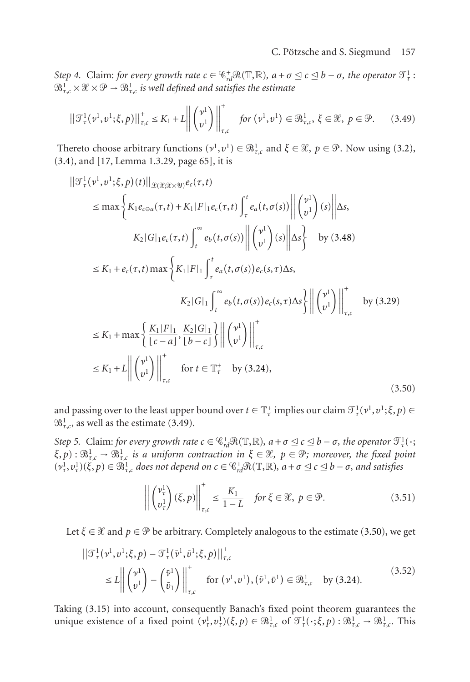*Step 4.* Claim: *for every growth rate*  $c \in \mathbb{C}_{rd}^+ \mathcal{R}(\mathbb{T}, \mathbb{R})$ *,*  $a + \sigma \leq c \leq b - \sigma$ *, the operator*  $\mathcal{T}_\tau^1$ *:*  $\mathfrak{B}^1_{\tau,\mathfrak{c}}\!\times\!\mathfrak{X} \times\mathfrak{P}\to \mathfrak{B}^1_{\tau,\mathfrak{c}}$  is well defined and satisfies the estimate

<span id="page-16-0"></span>
$$
\left\|\mathcal{T}_{\tau}^{1}(\nu^{1},\nu^{1};\xi,p)\right\|_{\tau,c}^{+} \leq K_{1} + L\left\|\begin{pmatrix} \nu^{1} \\ \nu^{1} \end{pmatrix}\right\|_{\tau,c}^{+} \quad \text{for } (\nu^{1},\nu^{1}) \in \mathfrak{B}_{\tau,c}^{1}, \ \xi \in \mathcal{X}, \ p \in \mathcal{P}. \tag{3.49}
$$

Thereto choose arbitrary functions  $(v^1, v^1) \in \mathbb{R}^1_{\tau,c}$  and  $\xi \in \mathcal{X}, p \in \mathcal{P}$ . Now using [\(3.2\)](#page-7-3), [\(3.4\)](#page-7-0), and [\[17,](#page-41-12) Lemma 1.3.29, page 65], it is

$$
||\mathcal{T}_{\tau}^{1}(v^{1},v^{1};\xi,p)(t)||_{\mathcal{L}(\mathcal{X};\mathcal{X}\times\mathcal{Y})}e_{c}(\tau,t)
$$
\n
$$
\leq \max \left\{ K_{1}e_{c\Theta a}(\tau,t) + K_{1}|F|_{1}e_{c}(\tau,t) \int_{\tau}^{t} e_{a}(t,\sigma(s)) \left\| \begin{pmatrix} v^{1} \\ v^{1} \end{pmatrix}(s) \right\| \Delta s, \right.
$$
\n
$$
K_{2}|G|_{1}e_{c}(\tau,t) \int_{t}^{\infty} e_{b}(t,\sigma(s)) \left\| \begin{pmatrix} v^{1} \\ v^{1} \end{pmatrix}(s) \right\| \Delta s \right\} \text{ by (3.48)}
$$
\n
$$
\leq K_{1} + e_{c}(\tau,t) \max \left\{ K_{1}|F|_{1} \int_{\tau}^{t} e_{a}(t,\sigma(s)) e_{c}(s,\tau) \Delta s, \right.
$$
\n
$$
K_{2}|G|_{1} \int_{t}^{\infty} e_{b}(t,\sigma(s)) e_{c}(s,\tau) \Delta s \left\| \begin{pmatrix} v^{1} \\ v^{1} \end{pmatrix} \right\|_{\tau,c}^{+} \text{ by (3.29)}
$$
\n
$$
\leq K_{1} + \max \left\{ \frac{K_{1}|F|_{1}}{c-a!}, \frac{K_{2}|G|_{1}}{b-c!} \right\} \left\| \begin{pmatrix} v^{1} \\ v^{1} \end{pmatrix} \right\|_{\tau,c}^{+}
$$
\n
$$
\leq K_{1} + L \left\| \begin{pmatrix} v^{1} \\ v^{1} \end{pmatrix} \right\|_{\tau,c}^{+} \text{ for } t \in \mathbb{T}_{\tau}^{+} \text{ by (3.24)}, \tag{3.50}
$$

and passing over to the least upper bound over  $t \in \mathbb{T}^+_t$  implies our claim  $\mathcal{T}^1_\tau(\nu^1,\nu^1;\xi,p) \in$  $\mathfrak{B}^1_{\tau,c}$ , as well as the estimate [\(3.49\)](#page-16-0).

<span id="page-16-3"></span>*Step 5.* Claim: *for every growth rate*  $c \in \mathbb{C}^+_{rd} \mathcal{R}(\mathbb{T}, \mathbb{R})$ ,  $a + \sigma \leq c \leq b - \sigma$ , the operator  $\mathcal{T}_\tau^1(\cdot;$  $f(x, p)$  :  $\mathcal{B}^1_{\tau,c} \to \mathcal{B}^1_{\tau,c}$  *is a uniform contraction in*  $\xi \in \mathcal{X}$ ,  $p \in \mathcal{P}$ ; moreover, the fixed point  $(v^1_\tau, v^1_\tau)(\xi, p) \in \mathfrak{B}^1_{\tau,\epsilon}$  does not depend on  $c \in \mathbb{G}^+_{rd}\mathfrak{R}(\mathbb{T}, \mathbb{R})$ ,  $a + \sigma \leq c \leq b - \sigma$ , and satisfies

<span id="page-16-2"></span><span id="page-16-1"></span>
$$
\left\| \begin{pmatrix} \nu_{\tau}^{1} \\ \nu_{\tau}^{1} \end{pmatrix} (\xi, p) \right\|_{\tau, c}^{+} \le \frac{K_{1}}{1 - L} \quad \text{for } \xi \in \mathcal{X}, \ p \in \mathcal{P}. \tag{3.51}
$$

Let  $\xi \in \mathcal{X}$  and  $p \in \mathcal{P}$  be arbitrary. Completely analogous to the estimate [\(3.50\)](#page-16-1), we get

$$
\|\mathcal{T}_{\tau}^{1}(v^{1},v^{1};\xi,p) - \mathcal{T}_{\tau}^{1}(\bar{v}^{1},\bar{v}^{1};\xi,p)\|_{\tau,c}^{+}
$$
\n
$$
\leq L \left\| \begin{pmatrix} v^{1} \\ v^{1} \end{pmatrix} - \begin{pmatrix} \bar{v}^{1} \\ \bar{v}_{1} \end{pmatrix} \right\|_{\tau,c}^{+} \quad \text{for } (v^{1},v^{1}), (\bar{v}^{1},\bar{v}^{1}) \in \mathcal{B}_{\tau,c}^{1} \quad \text{by (3.24).}
$$
\n(3.52)

Taking [\(3.15\)](#page-9-2) into account, consequently Banach's fixed point theorem guarantees the unique existence of a fixed point  $(v_\tau^1, v_\tau^1)(\xi, p) \in \mathbb{B}^1_{\tau,c}$  of  $\mathcal{T}_\tau^1(\cdot; \xi, p) : \mathbb{B}^1_{\tau,c} \to \mathbb{B}^1_{\tau,c}$ . This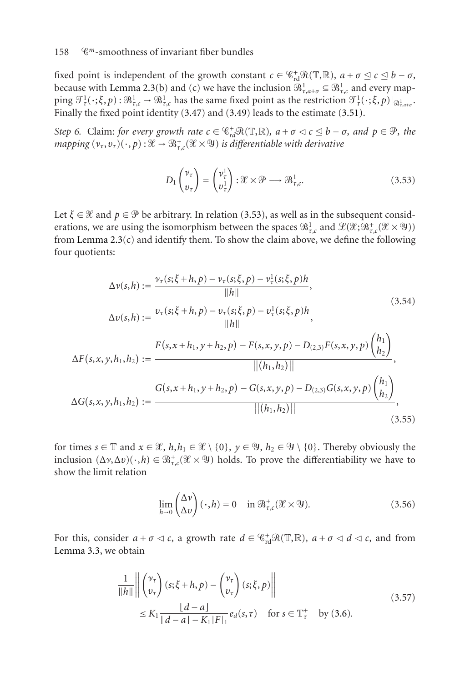fixed point is independent of the growth constant  $c \in C_{rd}^+ \mathcal{R}(\mathbb{T}, \mathbb{R})$ ,  $a + \sigma \leq c \leq b - \sigma$ , because with [Lemma 2.3\(](#page-4-1)b) and (c) we have the inclusion  $\mathcal{B}^1_{\tau,a+\sigma} \subseteq \mathcal{B}^1_{\tau,c}$  and every map- $\text{ping } \mathcal{T}_\tau^1(\cdot;\xi,p) : \mathfrak{B}_{\tau,c}^1 \to \mathfrak{B}_{\tau,c}^1$  has the same fixed point as the restriction  $\mathcal{T}_\tau^1(\cdot;\xi,p)|_{\mathfrak{B}_{\tau,a+\sigma}^1}$ . Finally the fixed point identity [\(3.47\)](#page-15-0) and [\(3.49\)](#page-16-0) leads to the estimate [\(3.51\)](#page-16-2).

<span id="page-17-2"></span>*Step 6.* Claim: *for every growth rate*  $c \in \mathcal{C}_{rd}^+ \mathcal{R}(\mathbb{T}, \mathbb{R})$ *,*  $a + \sigma \lhd c \leq b - \sigma$ *, and*  $p \in \mathcal{P}$ *, the*  $mapping\ (\nu_\tau,\nu_\tau)(\,\cdot\,,p):\mathscr{X}\to\mathfrak{B}^+_{\tau,c}(\mathscr{X}\times \mathfrak{Y})$  is differentiable with derivative

<span id="page-17-3"></span><span id="page-17-0"></span>
$$
D_1 \begin{pmatrix} \nu_\tau \\ v_\tau \end{pmatrix} = \begin{pmatrix} \nu_\tau^1 \\ \nu_\tau^1 \end{pmatrix} : \mathcal{X} \times \mathcal{P} \longrightarrow \mathcal{B}^1_{\tau,c}. \tag{3.53}
$$

Let  $\xi \in \mathcal{X}$  and  $p \in \mathcal{P}$  be arbitrary. In relation [\(3.53\)](#page-17-0), as well as in the subsequent considerations, we are using the isomorphism between the spaces  $\mathcal{B}^1_{\tau,c}$  and  $\mathcal{L}(\mathcal{X};\mathcal{B}^+_{\tau,c}(\mathcal{X}\times \mathcal{Y}))$ from [Lemma 2.3\(](#page-4-1)c) and identify them. To show the claim above, we define the following four quotients:

$$
\Delta v(s,h) := \frac{v_{\tau}(s;\xi+h,p) - v_{\tau}(s;\xi,p) - v_{\tau}^1(s;\xi,p)h}{\|h\|},
$$
\n
$$
\Delta v(s,h) := \frac{v_{\tau}(s;\xi+h,p) - v_{\tau}(s;\xi,p) - v_{\tau}^1(s;\xi,p)h}{\|h\|},
$$
\n
$$
\Delta F(s,x,y,h_1,h_2) := \frac{F(s,x+h_1,y+h_2,p) - F(s,x,y,p) - D_{(2,3)}F(s,x,y,p) \binom{h_1}{h_2}}{\| (h_1,h_2) \|},
$$
\n
$$
\Delta G(s,x,y,h_1,h_2) := \frac{G(s,x+h_1,y+h_2,p) - G(s,x,y,p) - D_{(2,3)}G(s,x,y,p) \binom{h_1}{h_2}}{\| (h_1,h_2) \|},
$$
\n(3.55)

for times  $s \in \mathbb{T}$  and  $x \in \mathcal{X}$ ,  $h, h_1 \in \mathcal{X} \setminus \{0\}$ ,  $y \in \mathcal{Y}$ ,  $h_2 \in \mathcal{Y} \setminus \{0\}$ . Thereby obviously the inclusion  $(\Delta \nu, \Delta \nu)(\cdot, h) \in \mathfrak{B}^+_{\tau,c}(\mathcal{X} \times \mathcal{Y})$  holds. To prove the differentiability we have to show the limit relation

<span id="page-17-1"></span>
$$
\lim_{h \to 0} \begin{pmatrix} \Delta \nu \\ \Delta \nu \end{pmatrix} (\cdot, h) = 0 \quad \text{in } \mathfrak{B}^+_{\tau, c}(\mathcal{X} \times \mathfrak{Y}). \tag{3.56}
$$

For this, consider  $a + \sigma \lhd c$ , a growth rate  $d \in \mathcal{C}^+_{rd}(\mathcal{R}(\mathbb{T}, \mathbb{R})$ ,  $a + \sigma \lhd d \lhd c$ , and from [Lemma 3.3,](#page-7-5) we obtain

$$
\frac{1}{\|h\|} \left\| \begin{pmatrix} \nu_{\tau} \\ v_{\tau} \end{pmatrix} (s; \xi + h, p) - \begin{pmatrix} \nu_{\tau} \\ v_{\tau} \end{pmatrix} (s; \xi, p) \right\|
$$
\n
$$
\leq K_1 \frac{|d - a|}{|d - a| - K_1|F|_1} e_d(s, \tau) \quad \text{for } s \in \mathbb{T}_\tau^+ \quad \text{by (3.6).}
$$
\n(3.57)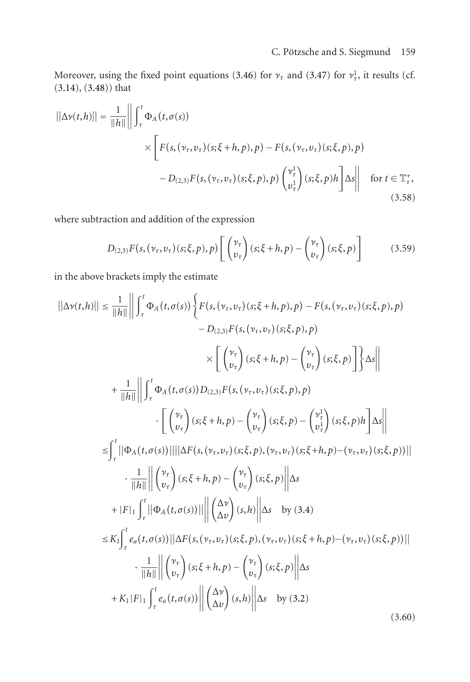Moreover, using the fixed point equations [\(3.46\)](#page-15-2) for  $\nu_{\tau}$  and [\(3.47\)](#page-15-0) for  $\nu_{\tau}^1$ , it results (cf. [\(3.14\)](#page-9-3), [\(3.48\)](#page-15-1)) that

$$
||\Delta v(t,h)|| = \frac{1}{||h||} \left| \int_{\tau}^{t} \Phi_A(t,\sigma(s)) \times \left[ F(s,(\nu_{\tau},\nu_{\tau})(s;\xi+h,p),p) - F(s,(\nu_{\tau},\nu_{\tau})(s;\xi,p),p) \right. \right|
$$

$$
- D_{(2,3)}F(s,(\nu_{\tau},\nu_{\tau})(s;\xi,p),p) \left( \frac{\nu_{\tau}^1}{\nu_{\tau}^1} \right) (s;\xi,p)h \left] \Delta s \right| \quad \text{for } t \in \mathbb{T}_{\tau}^*,
$$

$$
(3.58)
$$

where subtraction and addition of the expression

$$
D_{(2,3)}F(s,(\nu_{\tau},\nu_{\tau})(s;\xi,p),p)\left[\begin{pmatrix} \nu_{\tau} \\ v_{\tau} \end{pmatrix}(s;\xi+h,p) - \begin{pmatrix} \nu_{\tau} \\ v_{\tau} \end{pmatrix}(s;\xi,p)\right]
$$
(3.59)

in the above brackets imply the estimate

$$
||\Delta v(t,h)|| \leq \frac{1}{||h||} \left\| \int_{\tau}^{t} \Phi_{A}(t,\sigma(s)) \left\{ F(s,(\nu_{\tau},\nu_{\tau})(s;\xi+h,p),p) - F(s,(\nu_{\tau},\nu_{\tau})(s;\xi,p),p) \right. \\ - D_{(2,3)}F(s,(\nu_{\tau},\nu_{\tau})(s;\xi,p),p) \right\}
$$
  

$$
\times \left[ \left( \frac{\nu_{\tau}}{\nu_{\tau}} \right) (s;\xi+h,p) - \left( \frac{\nu_{\tau}}{\nu_{\tau}} \right) (s;\xi,p) \right] \right\} \Delta s \left\|
$$
  
+ 
$$
\frac{1}{||h||} \left\| \int_{\tau}^{t} \Phi_{A}(t,\sigma(s)) D_{(2,3)}F(s,(\nu_{\tau},\nu_{\tau})(s;\xi,p),p) \right\} \Delta s \right\|
$$
  

$$
\leq \int_{\tau}^{t} ||\Phi_{A}(t,\sigma(s))|| ||\Delta F(s,(\nu_{\tau},\nu_{\tau})(s;\xi,p),(\nu_{\tau},\nu_{\tau})(s;\xi+h,p) - (\nu_{\tau},\nu_{\tau})(s;\xi,p))||
$$
  

$$
\cdot \frac{1}{||h||} \left\| \begin{pmatrix} \nu_{\tau} \\ \nu_{\tau} \end{pmatrix} (s;\xi+h,p) - \begin{pmatrix} \nu_{\tau} \\ \nu_{\tau} \end{pmatrix} (s;\xi,p),(\nu_{\tau},\nu_{\tau})(s;\xi,p) \right\| \Delta s
$$
  
+ 
$$
|F|_{1} \int_{\tau}^{t} ||\Phi_{A}(t,\sigma(s))|| ||\Delta F(s,(\nu_{\tau},\nu_{\tau})(s;\xi,p),(\nu_{\tau},\nu_{\tau})(s;\xi+h,p) - (\nu_{\tau},\nu_{\tau})(s;\xi,p))||
$$
  

$$
\cdot \frac{1}{||h||} ||\begin{pmatrix} \nu_{\tau} \\ \nu_{\tau} \end{pmatrix} (s;\xi+h,p) - \left( \frac{\nu_{\tau}}{\nu_{\tau}} \right) (s;\xi,p),(\nu_{\tau},\nu_{\tau})(s;\xi+h,p) - (\nu_{\tau},\nu_{\tau})(s;\xi,p))||
$$
  

$$
\cdot \frac{1}{||h||} ||\begin{pmatrix} \nu_{\tau} \\ \nu_{\tau} \end{pmatrix}
$$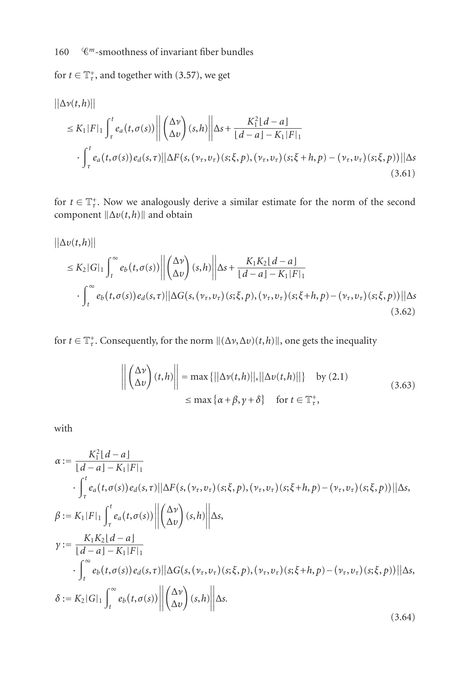for  $t \in \mathbb{T}_\tau^+$ , and together with [\(3.57\)](#page-17-1), we get

$$
\begin{aligned}\n||\Delta v(t,h)|| \\
&\leq K_1|F|_1 \int_{\tau}^t e_a(t,\sigma(s)) \left\| \begin{pmatrix} \Delta v \\ \Delta v \end{pmatrix} (s,h) \right\| \Delta s + \frac{K_1^2|d-a|}{|d-a|-K_1|F|_1} \\
&\cdot \int_{\tau}^t e_a(t,\sigma(s)) e_d(s,\tau) ||\Delta F(s,(\nu_{\tau},\nu_{\tau})(s;\xi,p),(\nu_{\tau},\nu_{\tau})(s;\xi+h,p)-(\nu_{\tau},\nu_{\tau})(s;\xi,p))||\Delta s\n\end{aligned}
$$
\n(3.61)

for  $t \in \mathbb{T}_\tau^+$ . Now we analogously derive a similar estimate for the norm of the second component  $\|\Delta v(t, h)\|$  and obtain

$$
\begin{split} ||\Delta v(t,h)|| \\ &\leq K_2|G|_1 \int_t^\infty e_b\big(t,\sigma(s)\big) \left\| \begin{pmatrix} \Delta v \\ \Delta v \end{pmatrix} (s,h) \right\| \Delta s + \frac{K_1K_2\lfloor d-a \rfloor}{\lfloor d-a \rfloor - K_1|F|_1} \\ &\cdot \int_t^\infty e_b\big(t,\sigma(s)\big) e_d(s,\tau) \left\| \Delta G\big(s,(\nu_\tau,\nu_\tau)(s;\xi,p),(\nu_\tau,\nu_\tau)(s;\xi+h,p) - (\nu_\tau,\nu_\tau)(s;\xi,p)\big) \right\| \Delta s \end{split} \tag{3.62}
$$

for  $t \in \mathbb{T}^+_r$ . Consequently, for the norm  $\|(\Delta \nu, \Delta \nu)(t, h)\|$ , one gets the inequality

$$
\left\| \begin{pmatrix} \Delta v \\ \Delta v \end{pmatrix} (t, h) \right\| = \max \{ ||\Delta v(t, h)||, ||\Delta v(t, h)|| \} \text{ by (2.1)}
$$
  

$$
\leq \max \{ \alpha + \beta, \gamma + \delta \} \text{ for } t \in \mathbb{T}_{\tau}^{+},
$$
 (3.63)

with

$$
\alpha := \frac{K_1^2 \lfloor d - a \rfloor}{\lfloor d - a \rfloor - K_1 \lfloor F \rfloor_1} \cdot \int_{\tau}^{t} e_a(t, \sigma(s)) e_a(s, \tau) ||\Delta F(s, (\nu_{\tau}, \nu_{\tau})(s; \xi, p), (\nu_{\tau}, \nu_{\tau})(s; \xi + h, p) - (\nu_{\tau}, \nu_{\tau})(s; \xi, p))||\Delta s, \n\beta := K_1 \lfloor F \rfloor_1 \int_{\tau}^{t} e_a(t, \sigma(s)) ||\Delta \omega \rangle (s, h) ||\Delta s, \n\gamma := \frac{K_1 K_2 \lfloor d - a \rfloor}{\lfloor d - a \rfloor - K_1 \lfloor F \rfloor_1} \cdot \int_{t}^{\infty} e_b(t, \sigma(s)) e_a(s, \tau) ||\Delta G(s, (\nu_{\tau}, \nu_{\tau})(s; \xi, p), (\nu_{\tau}, \nu_{\tau})(s; \xi + h, p) - (\nu_{\tau}, \nu_{\tau})(s; \xi, p))||\Delta s, \n\delta := K_2 \lfloor G \rfloor_1 \int_{t}^{\infty} e_b(t, \sigma(s)) ||\Delta \omega \rangle (s, h) ||\Delta s. \tag{3.64}
$$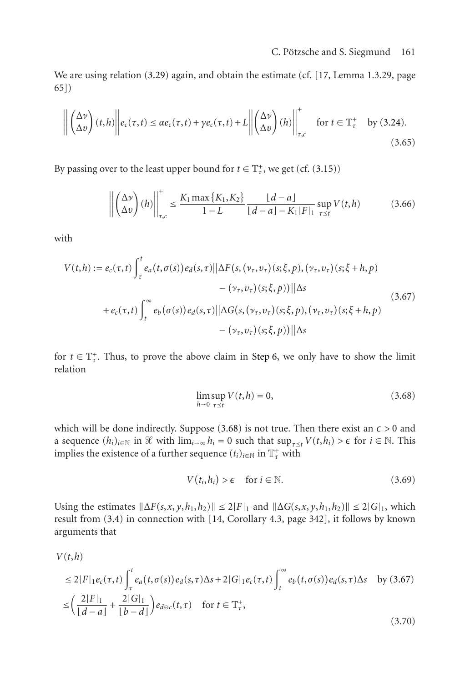We are using relation [\(3.29\)](#page-12-1) again, and obtain the estimate (cf. [\[17,](#page-41-12) Lemma 1.3.29, page 65])

$$
\left\| \begin{pmatrix} \Delta v \\ \Delta v \end{pmatrix} (t, h) \right\| e_c(\tau, t) \le \alpha e_c(\tau, t) + \gamma e_c(\tau, t) + L \left\| \begin{pmatrix} \Delta v \\ \Delta v \end{pmatrix} (h) \right\|_{\tau, c}^+ \quad \text{for } t \in \mathbb{T}_\tau^+ \quad \text{by (3.24).}
$$
\n(3.65)

By passing over to the least upper bound for  $t \in \mathbb{T}^+_r$ , we get (cf. [\(3.15\)](#page-9-2))

$$
\left\| \begin{pmatrix} \Delta v \\ \Delta v \end{pmatrix} (h) \right\|_{\tau,c}^+ \le \frac{K_1 \max \{ K_1, K_2 \}}{1 - L} \frac{[d - a]}{[d - a] - K_1 |F|_1} \sup_{\tau \le t} V(t, h) \tag{3.66}
$$

with

$$
V(t,h) := e_c(\tau,t) \int_{\tau}^{t} e_a(t,\sigma(s)) e_d(s,\tau) ||\Delta F(s,(\nu_{\tau},\nu_{\tau})(s;\xi,p),(\nu_{\tau},\nu_{\tau})(s;\xi+h,p) - (\nu_{\tau},\nu_{\tau})(s;\xi,p)) ||\Delta s + e_c(\tau,t) \int_{t}^{\infty} e_b(\sigma(s)) e_d(s,\tau) ||\Delta G(s,(\nu_{\tau},\nu_{\tau})(s;\xi,p),(\nu_{\tau},\nu_{\tau})(s;\xi+h,p) - (\nu_{\tau},\nu_{\tau})(s;\xi,p)) ||\Delta s
$$
\n(3.67)

for  $t \in \mathbb{T}_\tau^+$ . Thus, to prove the above claim in [Step 6,](#page-17-2) we only have to show the limit relation

<span id="page-20-1"></span><span id="page-20-0"></span>
$$
\limsup_{h \to 0} V(t, h) = 0,\tag{3.68}
$$

which will be done indirectly. Suppose  $(3.68)$  is not true. Then there exist an  $\epsilon > 0$  and a sequence  $(h_i)_{i \in \mathbb{N}}$  in  $\mathcal{X}$  with  $\lim_{i \to \infty} h_i = 0$  such that  $\sup_{\tau \leq t} V(t, h_i) > \epsilon$  for  $i \in \mathbb{N}$ . This implies the existence of a further sequence  $(t_i)_{i \in \mathbb{N}}$  in  $\mathbb{T}^+_r$  with

<span id="page-20-2"></span>
$$
V(t_i, h_i) > \epsilon \quad \text{for } i \in \mathbb{N}.\tag{3.69}
$$

Using the estimates  $\|\Delta F(s, x, y, h_1, h_2)\| \leq 2|F|_1$  and  $\|\Delta G(s, x, y, h_1, h_2)\| \leq 2|G|_1$ , which result from [\(3.4\)](#page-7-0) in connection with [\[14,](#page-41-13) Corollary 4.3, page 342], it follows by known arguments that

$$
V(t,h)
$$
  
\n
$$
\leq 2|F|_1 e_c(\tau,t) \int_{\tau}^t e_a(t,\sigma(s)) e_d(s,\tau) \Delta s + 2|G|_1 e_c(\tau,t) \int_t^{\infty} e_b(t,\sigma(s)) e_d(s,\tau) \Delta s \quad \text{by (3.67)}
$$
  
\n
$$
\leq \left(\frac{2|F|_1}{\lfloor d-a \rfloor} + \frac{2|G|_1}{\lfloor b-d \rfloor}\right) e_{d\ominus c}(t,\tau) \quad \text{for } t \in \mathbb{T}_{\tau}^+,
$$
\n(3.70)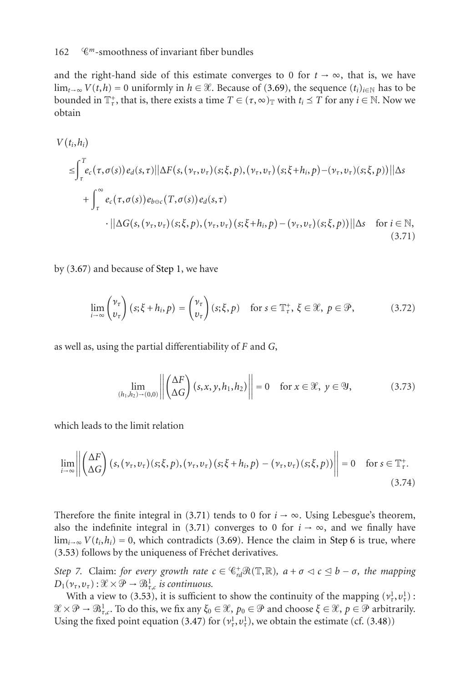#### 162 *<sup>m</sup>*-smoothness of invariant fiber bundles

and the right-hand side of this estimate converges to 0 for  $t \rightarrow \infty$ , that is, we have  $\lim_{t\to\infty} V(t,h) = 0$  uniformly in  $h \in \mathcal{X}$ . Because of [\(3.69\)](#page-20-2), the sequence  $(t_i)_{i \in \mathbb{N}}$  has to be bounded in  $\mathbb{T}^+_r$ , that is, there exists a time  $T \in (\tau, \infty)_{\mathbb{T}}$  with  $t_i \leq T$  for any  $i \in \mathbb{N}$ . Now we obtain

$$
V(t_i, h_i)
$$
\n
$$
\leq \int_{\tau}^{T} e_c(\tau, \sigma(s)) e_d(s, \tau) \|\Delta F(s, (\nu_\tau, \nu_\tau)(s; \xi, p), (\nu_\tau, \nu_\tau)(s; \xi + h_i, p) - (\nu_\tau, \nu_\tau)(s; \xi, p))\|\Delta s
$$
\n
$$
+ \int_{\tau}^{\infty} e_c(\tau, \sigma(s)) e_{b \ominus c}(\tau, \sigma(s)) e_d(s, \tau)
$$
\n
$$
\cdot \|\Delta G(s, (\nu_\tau, \nu_\tau)(s; \xi, p), (\nu_\tau, \nu_\tau)(s; \xi + h_i, p) - (\nu_\tau, \nu_\tau)(s; \xi, p))\|\Delta s \quad \text{for } i \in \mathbb{N},
$$
\n(3.71)

by [\(3.67\)](#page-20-1) and because of [Step 1,](#page-11-2) we have

<span id="page-21-0"></span>
$$
\lim_{i \to \infty} {\nu_\tau \choose \nu_\tau} (s; \xi + h_i, p) = {\nu_\tau \choose \nu_\tau} (s; \xi, p) \quad \text{for } s \in \mathbb{T}^+_\tau, \xi \in \mathcal{X}, \ p \in \mathcal{P}, \tag{3.72}
$$

as well as, using the partial differentiability of *F* and *G*,

$$
\lim_{(h_1, h_2) \to (0,0)} \left\| \begin{pmatrix} \Delta F \\ \Delta G \end{pmatrix} (s, x, y, h_1, h_2) \right\| = 0 \quad \text{for } x \in \mathcal{X}, y \in \mathcal{Y}, \tag{3.73}
$$

which leads to the limit relation

$$
\lim_{i \to \infty} \left\| \begin{pmatrix} \Delta F \\ \Delta G \end{pmatrix} (s, (\nu_{\tau}, \nu_{\tau}) (s; \xi, p), (\nu_{\tau}, \nu_{\tau}) (s; \xi + h_i, p) - (\nu_{\tau}, \nu_{\tau}) (s; \xi, p)) \right\| = 0 \quad \text{for } s \in \mathbb{T}_{\tau}^+.
$$
\n(3.74)

Therefore the finite integral in [\(3.71\)](#page-21-0) tends to 0 for  $i \rightarrow \infty$ . Using Lebesgue's theorem, also the indefinite integral in [\(3.71\)](#page-21-0) converges to 0 for  $i \rightarrow \infty$ , and we finally have  $\lim_{i\to\infty} V(t_i, h_i) = 0$ , which contradicts [\(3.69\)](#page-20-2). Hence the claim in [Step 6](#page-17-2) is true, where [\(3.53\)](#page-17-0) follows by the uniqueness of Fréchet derivatives.

<span id="page-21-1"></span>*Step 7.* Claim: *for every growth rate*  $c \in \mathcal{C}_{rd}^+ \mathcal{R}(\mathbb{T}, \mathbb{R})$ *,*  $a + \sigma \lhd c \leq b - \sigma$ *, the mapping*  $D_1(\nu_\tau, \nu_\tau): \mathcal{X} \times \mathcal{P} \to \mathcal{B}^1_{\tau,c}$  *is continuous.* 

With a view to [\(3.53\)](#page-17-0), it is sufficient to show the continuity of the mapping  $(v^1_\tau, v^1_\tau)$ :  $\mathscr{X} \times \mathscr{P} \to \mathscr{B}^1_{\tau,c}$ . To do this, we fix any  $\xi_0 \in \mathscr{X}$ ,  $p_0 \in \mathscr{P}$  and choose  $\xi \in \mathscr{X}$ ,  $p \in \mathscr{P}$  arbitrarily. Using the fixed point equation [\(3.47\)](#page-15-0) for  $(v_\tau^1, v_\tau^1)$ , we obtain the estimate (cf. [\(3.48\)](#page-15-1))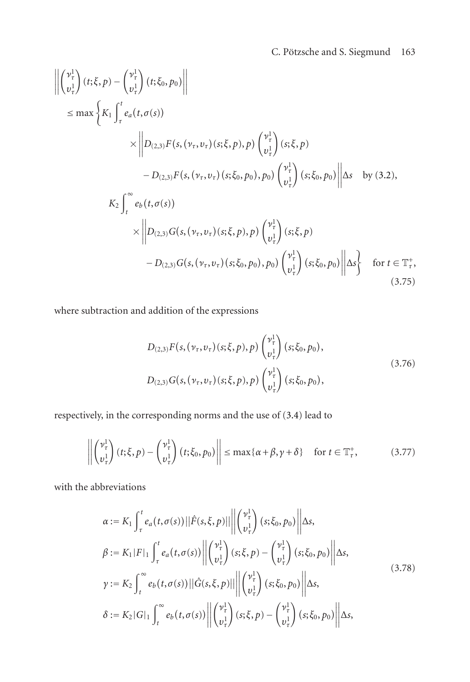$$
\left\| \begin{pmatrix} v_{\tau}^{1} \\ v_{\tau}^{1} \end{pmatrix} (t; \xi, p) - \begin{pmatrix} v_{\tau}^{1} \\ v_{\tau}^{1} \end{pmatrix} (t; \xi_{0}, p_{0}) \right\|
$$
\n
$$
\leq \max \left\{ K_{1} \int_{\tau}^{t} e_{a}(t, \sigma(s)) \times \left\| D_{(2,3)} F(s, (\nu_{\tau}, \nu_{\tau})(s; \xi, p), p) \begin{pmatrix} v_{\tau}^{1} \\ v_{\tau}^{1} \end{pmatrix} (s; \xi, p) - D_{(2,3)} F(s, (\nu_{\tau}, \nu_{\tau})(s; \xi_{0}, p_{0}), p_{0}) \begin{pmatrix} v_{\tau}^{1} \\ v_{\tau}^{1} \end{pmatrix} (s; \xi_{0}, p_{0}) \right\| \Delta s \text{ by (3.2)},
$$
\n
$$
K_{2} \int_{t}^{\infty} e_{b}(t, \sigma(s)) \times \left\| D_{(2,3)} G(s, (\nu_{\tau}, \nu_{\tau})(s; \xi, p), p) \begin{pmatrix} v_{\tau}^{1} \\ v_{\tau}^{1} \end{pmatrix} (s; \xi, p) - D_{(2,3)} G(s, (\nu_{\tau}, \nu_{\tau})(s; \xi_{0}, p_{0}), p_{0}) \begin{pmatrix} v_{\tau}^{1} \\ v_{\tau}^{1} \end{pmatrix} (s; \xi_{0}, p_{0}) \right\| \Delta s \right\} \text{ for } t \in \mathbb{T}_{\tau}^{+},
$$
\n(3.75)

where subtraction and addition of the expressions

$$
D_{(2,3)}F(s,(\nu_{\tau},\nu_{\tau})(s;\xi,p),p) \begin{pmatrix} \nu_{\tau}^{1} \\ \nu_{\tau}^{1} \end{pmatrix} (s;\xi_{0},p_{0}),
$$
  
\n
$$
D_{(2,3)}G(s,(\nu_{\tau},\nu_{\tau})(s;\xi,p),p) \begin{pmatrix} \nu_{\tau}^{1} \\ \nu_{\tau}^{1} \end{pmatrix} (s;\xi_{0},p_{0}),
$$
\n(3.76)

respectively, in the corresponding norms and the use of [\(3.4\)](#page-7-0) lead to

$$
\left\| \begin{pmatrix} \nu_{\tau}^{1} \\ \nu_{\tau}^{1} \end{pmatrix} (t; \xi, p) - \begin{pmatrix} \nu_{\tau}^{1} \\ \nu_{\tau}^{1} \end{pmatrix} (t; \xi_{0}, p_{0}) \right\| \le \max\{\alpha + \beta, \gamma + \delta\} \quad \text{for } t \in \mathbb{T}_{\tau}^{+},
$$
 (3.77)

with the abbreviations

$$
\alpha := K_1 \int_{\tau}^{t} e_a(t, \sigma(s)) ||\hat{F}(s, \xi, p)|| \left\| \begin{pmatrix} v_t^1 \\ v_t^1 \end{pmatrix} (s; \xi_0, p_0) \right\| \Delta s,
$$
  
\n
$$
\beta := K_1 |F|_1 \int_{\tau}^{t} e_a(t, \sigma(s)) \left\| \begin{pmatrix} v_t^1 \\ v_t^1 \end{pmatrix} (s; \xi, p) - \begin{pmatrix} v_t^1 \\ v_t^1 \end{pmatrix} (s; \xi_0, p_0) \right\| \Delta s,
$$
  
\n
$$
\gamma := K_2 \int_{t}^{\infty} e_b(t, \sigma(s)) ||\hat{G}(s, \xi, p)|| \left\| \begin{pmatrix} v_t^1 \\ v_t^1 \end{pmatrix} (s; \xi_0, p_0) \right\| \Delta s,
$$
  
\n
$$
\delta := K_2 |G|_1 \int_{t}^{\infty} e_b(t, \sigma(s)) \left\| \begin{pmatrix} v_t^1 \\ v_t^1 \end{pmatrix} (s; \xi, p) - \begin{pmatrix} v_t^1 \\ v_t^1 \end{pmatrix} (s; \xi_0, p_0) \right\| \Delta s,
$$
\n(3.78)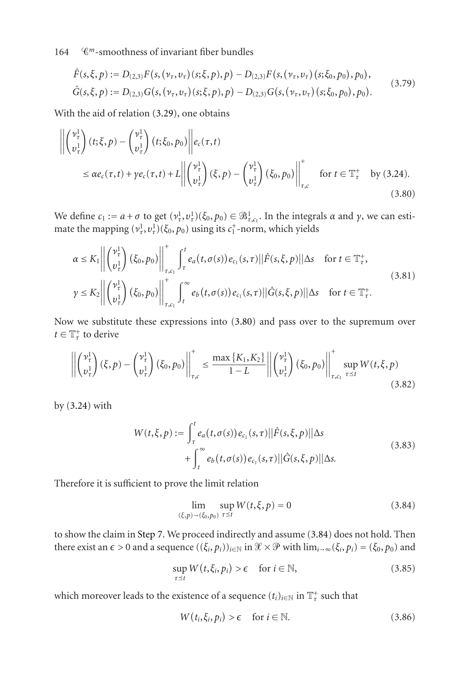<span id="page-23-2"></span>
$$
\hat{F}(s,\xi,p) := D_{(2,3)}F(s,(\nu_{\tau},\nu_{\tau})(s;\xi,p),p) - D_{(2,3)}F(s,(\nu_{\tau},\nu_{\tau})(s;\xi_0,p_0),p_0),\n\hat{G}(s,\xi,p) := D_{(2,3)}G(s,(\nu_{\tau},\nu_{\tau})(s;\xi,p),p) - D_{(2,3)}G(s,(\nu_{\tau},\nu_{\tau})(s;\xi_0,p_0),p_0).
$$
\n(3.79)

With the aid of relation [\(3.29\)](#page-12-1), one obtains

$$
\left\| \begin{pmatrix} \nu_{\tau}^{1} \\ \nu_{\tau}^{1} \end{pmatrix} (t; \xi, p) - \begin{pmatrix} \nu_{\tau}^{1} \\ \nu_{\tau}^{1} \end{pmatrix} (t; \xi_{0}, p_{0}) \right\| e_{c}(\tau, t)
$$
\n
$$
\leq \alpha e_{c}(\tau, t) + \gamma e_{c}(\tau, t) + L \left\| \begin{pmatrix} \nu_{\tau}^{1} \\ \nu_{\tau}^{1} \end{pmatrix} (\xi, p) - \begin{pmatrix} \nu_{\tau}^{1} \\ \nu_{\tau}^{1} \end{pmatrix} (\xi_{0}, p_{0}) \right\|_{\tau, c}^{+} \quad \text{for } t \in \mathbb{T}_{\tau}^{+} \quad \text{by (3.24).}
$$
\n(3.80)

We define  $c_1 := a + \sigma$  to get  $(\nu_\tau^1, \nu_\tau^1)(\xi_0, p_0) \in \mathcal{B}^1_{\tau, c_1}$ . In the integrals  $\alpha$  and  $\gamma$ , we can estimate the mapping  $(v^1_\tau, v^1_\tau)$  ( $\xi_0, p_0$ ) using its  $c^+_1$ -norm, which yields

<span id="page-23-0"></span>
$$
\alpha \leq K_1 \left\| \begin{pmatrix} \nu_{\tau}^1 \\ v_{\tau}^1 \end{pmatrix} (\xi_0, p_0) \right\|_{\tau, c_1}^{\tau} \int_{\tau}^{t} e_a(t, \sigma(s)) e_{c_1}(s, \tau) ||\hat{F}(s, \xi, p)||\Delta s \quad \text{for } t \in \mathbb{T}_{\tau}^+,
$$
  
\n
$$
\gamma \leq K_2 \left\| \begin{pmatrix} \nu_{\tau}^1 \\ v_{\tau}^1 \end{pmatrix} (\xi_0, p_0) \right\|_{\tau, c_1}^{\tau} \int_{t}^{\infty} e_b(t, \sigma(s)) e_{c_1}(s, \tau) ||\hat{G}(s, \xi, p)||\Delta s \quad \text{for } t \in \mathbb{T}_{\tau}^+.
$$
\n(3.81)

Now we substitute these expressions into [\(3.80\)](#page-23-0) and pass over to the supremum over  $t \in \mathbb{T}^+_{\tau}$  to derive

$$
\left\| \begin{pmatrix} \nu_{\tau}^{1} \\ \nu_{\tau}^{1} \end{pmatrix} (\xi, p) - \begin{pmatrix} \nu_{\tau}^{1} \\ \nu_{\tau}^{1} \end{pmatrix} (\xi_{0}, p_{0}) \right\|_{\tau, c}^{+} \leq \frac{\max \{ K_{1}, K_{2} \}}{1 - L} \left\| \begin{pmatrix} \nu_{\tau}^{1} \\ \nu_{\tau}^{1} \end{pmatrix} (\xi_{0}, p_{0}) \right\|_{\tau, c_{1}}^{+} \sup_{\tau \leq t} W(t, \xi, p) \tag{3.82}
$$

by [\(3.24\)](#page-11-0) with

$$
W(t,\xi,p) := \int_{\tau}^{t} e_a(t,\sigma(s)) e_{c_1}(s,\tau) ||\hat{F}(s,\xi,p)||\Delta s + \int_{t}^{\infty} e_b(t,\sigma(s)) e_{c_1}(s,\tau) ||\hat{G}(s,\xi,p)||\Delta s.
$$
 (3.83)

Therefore it is sufficient to prove the limit relation

<span id="page-23-3"></span><span id="page-23-1"></span>
$$
\lim_{(\xi,p)\to(\xi_0,p_0)} \sup_{\tau\leq t} W(t,\xi,p) = 0
$$
\n(3.84)

to show the claim in [Step 7.](#page-21-1) We proceed indirectly and assume [\(3.84\)](#page-23-1) does not hold. Then there exist an  $\epsilon > 0$  and a sequence  $((\xi_i, p_i))_{i \in \mathbb{N}}$  in  $\mathcal{X} \times \mathcal{P}$  with  $\lim_{i \to \infty} (\xi_i, p_i) = (\xi_0, p_0)$  and

$$
\sup_{\tau \preceq t} W(t, \xi_i, p_i) > \epsilon \quad \text{for } i \in \mathbb{N},\tag{3.85}
$$

which moreover leads to the existence of a sequence  $(t_i)_{i\in\mathbb{N}}$  in  $\mathbb{T}^+_t$  such that

<span id="page-23-4"></span>
$$
W(t_i, \xi_i, p_i) > \epsilon \quad \text{for } i \in \mathbb{N}.
$$
 (3.86)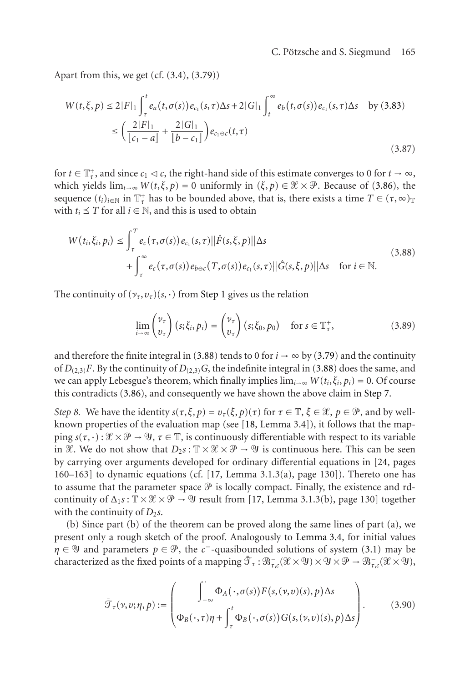Apart from this, we get (cf. [\(3.4\)](#page-7-0), [\(3.79\)](#page-23-2))

$$
W(t,\xi,p) \le 2|F|_1 \int_{\tau}^{t} e_a(t,\sigma(s)) e_{c_1}(s,\tau) \Delta s + 2|G|_1 \int_{t}^{\infty} e_b(t,\sigma(s)) e_{c_1}(s,\tau) \Delta s \quad \text{by (3.83)}
$$
  

$$
\le \left( \frac{2|F|_1}{|c_1 - a|} + \frac{2|G|_1}{|b - c_1|} \right) e_{c_1 \ominus c}(t,\tau)
$$
 (3.87)

for  $t \in \mathbb{T}^+_r$ , and since  $c_1 \lhd c$ , the right-hand side of this estimate converges to 0 for  $t \to \infty$ , which yields  $\lim_{t\to\infty} W(t,\xi,p) = 0$  uniformly in  $(\xi,p) \in \mathcal{X} \times \mathcal{P}$ . Because of [\(3.86\)](#page-23-4), the sequence  $(t_i)_{i \in \mathbb{N}}$  in  $\mathbb{T}^+_{\tau}$  has to be bounded above, that is, there exists a time  $T \in (\tau, \infty)_{\mathbb{T}}$ with  $t_i \leq T$  for all  $i \in \mathbb{N}$ , and this is used to obtain

$$
W(t_i, \xi_i, p_i) \le \int_{\tau}^{T} e_c(\tau, \sigma(s)) e_{c_1}(s, \tau) ||\hat{F}(s, \xi, p)||\Delta s
$$
  
+ 
$$
\int_{\tau}^{\infty} e_c(\tau, \sigma(s)) e_{b \ominus c}(\tau, \sigma(s)) e_{c_1}(s, \tau) ||\hat{G}(s, \xi, p)||\Delta s \quad \text{for } i \in \mathbb{N}.
$$
 (3.88)

The continuity of  $(\nu_\tau, \nu_\tau)(s, \cdot)$  from [Step 1](#page-11-2) gives us the relation

<span id="page-24-0"></span>
$$
\lim_{i \to \infty} {\nu_\tau \choose \nu_\tau} (s; \xi_i, p_i) = {\nu_\tau \choose \nu_\tau} (s; \xi_0, p_0) \quad \text{for } s \in \mathbb{T}^+_r,
$$
\n(3.89)

and therefore the finite integral in [\(3.88\)](#page-24-0) tends to 0 for  $i \rightarrow \infty$  by [\(3.79\)](#page-23-2) and the continuity of  $D_{(2,3)}F$ . By the continuity of  $D_{(2,3)}G$ , the indefinite integral in [\(3.88\)](#page-24-0) does the same, and we can apply Lebesgue's theorem, which finally implies  $\lim_{i\to\infty} W(t_i,\xi_i,p_i) = 0$ . Of course this contradicts [\(3.86\)](#page-23-4), and consequently we have shown the above claim in [Step 7.](#page-21-1)

*Step 8.* We have the identity  $s(\tau, \xi, p) = v_\tau(\xi, p)(\tau)$  for  $\tau \in \mathbb{T}, \xi \in \mathcal{X}, p \in \mathcal{P}$ , and by wellknown properties of the evaluation map (see [\[18,](#page-41-0) Lemma 3.4]), it follows that the mapping  $s(\tau, \cdot): \mathcal{X} \times \mathcal{P} \to \mathcal{Y}$ ,  $\tau \in \mathbb{T}$ , is continuously differentiable with respect to its variable in  $\mathcal{X}$ . We do not show that  $D_2s : \mathbb{T} \times \mathcal{X} \times \mathcal{P} \to \mathcal{Y}$  is continuous here. This can be seen by carrying over arguments developed for ordinary differential equations in [\[24,](#page-41-8) pages  $160-163$ ] to dynamic equations (cf. [\[17,](#page-41-12) Lemma 3.1.3(a), page 130]). Thereto one has to assume that the parameter space  $\mathcal P$  is locally compact. Finally, the existence and rdcontinuity of  $\Delta_1 s : \mathbb{T} \times \mathcal{X} \times \mathcal{P} \to \mathcal{Y}$  result from [\[17,](#page-41-12) Lemma 3.1.3(b), page 130] together with the continuity of  $D_2s$ .

(b) Since part (b) of the theorem can be proved along the same lines of part (a), we present only a rough sketch of the proof. Analogously to [Lemma 3.4,](#page-9-1) for initial values *η* ∈ <sup> $9$ </sup> and parameters *p* ∈  $\mathcal{P}$ , the *c*<sup>−</sup>-quasibounded solutions of system [\(3.1\)](#page-6-3) may be characterized as the fixed points of a mapping  $\bar{\mathcal{T}}_\tau : \mathcal{B}^-_{\tau,c}(\mathcal{X} \times \mathcal{Y}) \times \mathcal{Y} \times \mathcal{P} \to \mathcal{B}^-_{\tau,c}(\mathcal{X} \times \mathcal{Y}),$ 

<span id="page-24-1"></span>
$$
\bar{\mathcal{T}}_{\tau}(\nu,\nu;\eta,p) := \begin{pmatrix} \int_{-\infty}^{\cdot} \Phi_A(\cdot,\sigma(s)) F(s,(\nu,\nu)(s),p) \Delta s \\ \Phi_B(\cdot,\tau)\eta + \int_{\tau}^{t} \Phi_B(\cdot,\sigma(s)) G(s,(\nu,\nu)(s),p) \Delta s \end{pmatrix} .
$$
 (3.90)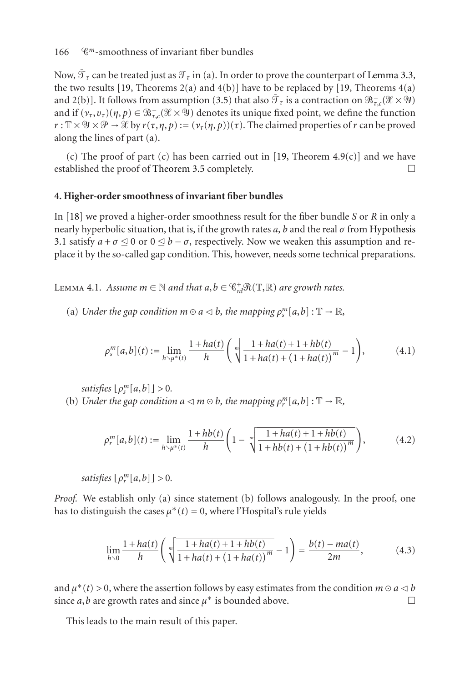Now,  $\bar{\mathcal{T}}_{\tau}$  can be treated just as  $\mathcal{T}_{\tau}$  in (a). In order to prove the counterpart of [Lemma 3.3,](#page-7-5) the two results [\[19,](#page-41-15) Theorems  $2(a)$  and  $4(b)$ ] have to be replaced by [19, Theorems  $4(a)$ and 2(b)]. It follows from assumption [\(3.5\)](#page-7-1) that also  $\bar{\mathcal{T}}_{\tau}$  is a contraction on  $\mathcal{B}^-_{\tau,c}(\mathcal{X}\times \mathcal{Y})$ and if  $(\nu_\tau, \nu_\tau)(\eta, p) \in \mathfrak{B}_{\tau,c}^-(\mathcal{X} \times \mathcal{Y})$  denotes its unique fixed point, we define the function  $r: \mathbb{T} \times \mathcal{Y} \times \mathcal{P} \to \mathcal{X}$  by  $r(\tau, \eta, p) := (\nu_\tau(\eta, p))(\tau)$ . The claimed properties of  $r$  can be proved along the lines of part (a).

(c) The proof of part (c) has been carried out in [\[19,](#page-41-15) Theorem 4.9(c)] and we have established the proof of [Theorem 3.5](#page-9-0) completely.  $\Box$ 

### <span id="page-25-0"></span>**4. Higher-order smoothness of invariant fiber bundles**

In [\[18\]](#page-41-0) we proved a higher-order smoothness result for the fiber bundle *S* or *R* in only a nearly hyperbolic situation, that is, if the growth rates  $a$ ,  $b$  and the real  $\sigma$  from [Hypothesis](#page-6-2) [3.1](#page-6-2) satisfy  $a + \sigma \leq 0$  or  $0 \leq b - \sigma$ , respectively. Now we weaken this assumption and replace it by the so-called gap condition. This, however, needs some technical preparations.

<span id="page-25-1"></span>Lemma 4.1. *Assume*  $m \in \mathbb{N}$  and that  $a, b \in \mathcal{C}_{rd}^+ \mathcal{R}(\mathbb{T}, \mathbb{R})$  are growth rates.

(a) *Under the gap condition*  $m \circ a \leq b$ , the mapping  $\rho_s^m[a, b] : \mathbb{T} \to \mathbb{R}$ ,

$$
\rho_s^m[a,b](t) := \lim_{h \searrow \mu^*(t)} \frac{1 + ha(t)}{h} \left( \sqrt[m]{\frac{1 + ha(t) + 1 + hb(t)}{1 + ha(t) + (1 + ha(t))^{m}}} - 1 \right), \tag{4.1}
$$

*satisfies*  $\lfloor \rho_s^m[a,b] \rfloor > 0$ .

(b) *Under the gap condition*  $a \triangleleft m \odot b$ *, the mapping*  $\rho_r^m[a, b] : \mathbb{T} \to \mathbb{R}$ *,* 

$$
\rho_r^m[a,b](t) := \lim_{h \searrow \mu^*(t)} \frac{1 + hb(t)}{h} \left( 1 - \sqrt[m]{\frac{1 + ha(t) + 1 + hb(t)}{1 + hb(t) + (1 + hb(t))^{m}}} \right),\tag{4.2}
$$

*satisfies*  $\lfloor \rho_r^m[a,b] \rfloor > 0$ .

*Proof.* We establish only (a) since statement (b) follows analogously. In the proof, one has to distinguish the cases  $\mu^*(t) = 0$ , where l'Hospital's rule yields

$$
\lim_{h \to 0} \frac{1 + ha(t)}{h} \left( \sqrt[m]{\frac{1 + ha(t) + 1 + hb(t)}{1 + ha(t) + (1 + ha(t))^{m}}} - 1 \right) = \frac{b(t) - ma(t)}{2m},
$$
\n(4.3)

and  $\mu^*(t) > 0$ , where the assertion follows by easy estimates from the condition *m*  $\odot$  *a*  $\triangleleft$  *b* since *a*,*b* are growth rates and since  $\mu^*$  is bounded above.

This leads to the main result of this paper.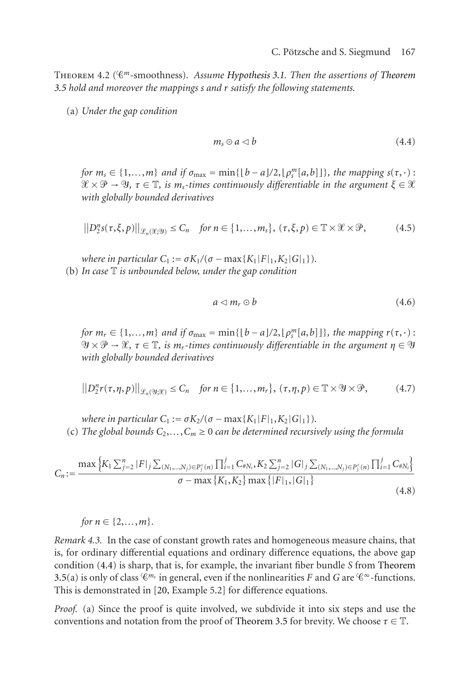<span id="page-26-0"></span>Theorem 4.2 (*<sup>m</sup>*-smoothness). *Assume [Hypothesis 3.1.](#page-6-2) Then the assertions of [Theorem](#page-9-0) [3.5](#page-9-0) hold and moreover the mappings s and r satisfy the following statements.*

(a) *Under the gap condition*

<span id="page-26-1"></span>
$$
m_s \odot a \lhd b \tag{4.4}
$$

*for*  $m_s \in \{1,\ldots,m\}$  *and if*  $\sigma_{\text{max}} = \min\{\lfloor b - a \rfloor/2, \lfloor \rho_s^m[a,b] \rfloor\}$ , the mapping  $s(\tau, \cdot)$ :  $\mathscr{X} \times \mathscr{P} \to \mathscr{Y}$ ,  $\tau \in \mathbb{T}$ , is  $m_s$ -times continuously differentiable in the argument  $\xi \in \mathscr{X}$ *with globally bounded derivatives*

$$
||D_2^n s(\tau,\xi,p)||_{\mathscr{L}_n(\mathscr{X};\mathscr{Y})} \leq C_n \quad \text{for } n \in \{1,\ldots,m_s\}, \ (\tau,\xi,p) \in \mathbb{T} \times \mathscr{X} \times \mathscr{P},\tag{4.5}
$$

*where in particular*  $C_1 := \sigma K_1/(\sigma - \max\{K_1 | F|_1, K_2 | G|_1\}).$ (b) *In case* T *is unbounded below, under the gap condition*

<span id="page-26-2"></span>
$$
a \lhd m_r \odot b \tag{4.6}
$$

*for*  $m_r \in \{1,\ldots,m\}$  *and if*  $\sigma_{\text{max}} = \min\{\lfloor b-a\rfloor/2, \lfloor \rho_s^m[a,b]\rfloor\}$ , the mapping  $r(\tau,\cdot)$ :  $\nu$   $\times$   $\mathcal{P}$   $\rightarrow$   $\mathcal{X}, \tau$   $\in$   $\mathbb{T},$  *is m<sub>r</sub>*-times continuously differentiable in the argument  $\eta$   $\in$   $\mathcal{Y}$ *with globally bounded derivatives*

$$
||D_2^n r(\tau, \eta, p)||_{\mathcal{L}_n(\mathfrak{Y}; \mathcal{X})} \leq C_n \quad \text{for } n \in \{1, \dots, m_r\}, \ (\tau, \eta, p) \in \mathbb{T} \times \mathfrak{Y} \times \mathcal{P}, \tag{4.7}
$$

*where in particular*  $C_1 := \sigma K_2/(\sigma - \max\{K_1 | F|_1, K_2 | G|_1\}).$ (c) The global bounds  $C_2, \ldots, C_m \ge 0$  *can be determined recursively using the formula* 

$$
C_n := \frac{\max\left\{K_1 \sum_{j=2}^n |F|_j \sum_{(N_1, \ldots, N_j) \in P_j^<(n)} \prod_{i=1}^j C_{\#N_i}, K_2 \sum_{j=2}^n |G|_j \sum_{(N_1, \ldots, N_j) \in P_j^<(n)} \prod_{i=1}^j C_{\#N_i}\right\}}{\sigma - \max\left\{K_1, K_2\right\} \max\left\{|F|_1, |G|_1\right\}}
$$
(4.8)

for 
$$
n \in \{2,\ldots,m\}
$$
.

*Remark 4.3.* In the case of constant growth rates and homogeneous measure chains, that is, for ordinary differential equations and ordinary difference equations, the above gap condition [\(4.4\)](#page-26-1) is sharp, that is, for example, the invariant fiber bundle *S* from [Theorem](#page-9-0) [3.5\(](#page-9-0)a) is only of class  $\mathcal{C}^{m_s}$  in general, even if the nonlinearities *F* and *G* are  $\mathcal{C}^{\infty}$ -functions. This is demonstrated in [\[20,](#page-41-7) Example 5.2] for difference equations.

*Proof.* (a) Since the proof is quite involved, we subdivide it into six steps and use the conventions and notation from the proof of [Theorem 3.5](#page-9-0) for brevity. We choose  $\tau \in \mathbb{T}$ .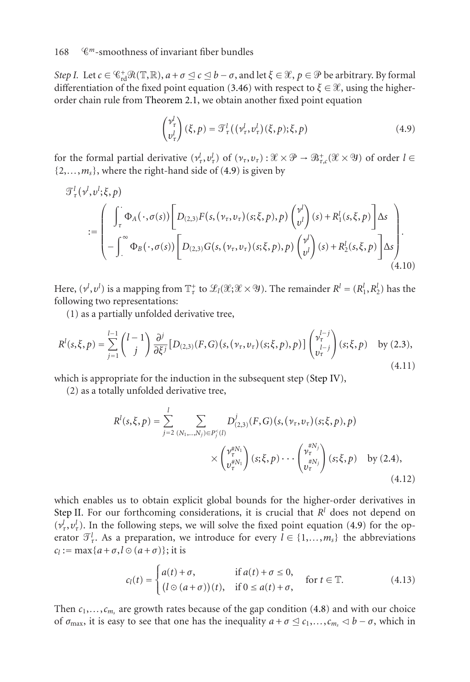### 168 *<sup>m</sup>*-smoothness of invariant fiber bundles

*Step I.* Let  $c \in \mathbb{C}_{\rm rd}^+ \mathcal{R}(\mathbb{T}, \mathbb{R})$ ,  $a + \sigma \leq c \leq b - \sigma$ , and let  $\xi \in \mathcal{X}$ ,  $p \in \mathcal{P}$  be arbitrary. By formal differentiation of the fixed point equation [\(3.46\)](#page-15-2) with respect to  $\xi \in \mathcal{X}$ , using the higherorder chain rule from [Theorem 2.1,](#page-3-2) we obtain another fixed point equation

<span id="page-27-2"></span><span id="page-27-0"></span>
$$
\begin{pmatrix} \nu_{\tau}^{l} \\ \nu_{\tau}^{l} \end{pmatrix} (\xi, p) = \mathcal{T}_{\tau}^{l} \left( (\nu_{\tau}^{l}, \nu_{\tau}^{l}) (\xi, p) ; \xi, p \right)
$$
\n(4.9)

for the formal partial derivative  $(\nu^l_\tau, \nu^l_\tau)$  of  $(\nu_\tau, \nu_\tau) : \mathcal{X} \times \mathcal{P} \to \mathcal{B}^+_{\tau,c}(\mathcal{X} \times \mathcal{Y})$  of order  $l \in$  $\{2,\ldots,m_s\}$ , where the right-hand side of [\(4.9\)](#page-27-0) is given by

$$
\mathcal{T}_{\tau}^{l}(\nu^{l},\nu^{l};\xi,p)
$$
\n
$$
:=\begin{pmatrix}\n\int_{\tau}\Phi_{A}(\cdot,\sigma(s))\bigg[D_{(2,3)}F(s,(\nu_{\tau},\nu_{\tau})(s;\xi,p),p)\begin{pmatrix}\nu^{l}\\ \nu^{l}\end{pmatrix}(s)+R_{1}^{l}(s,\xi,p)\bigg]\Delta s \\
-\int_{-\infty}^{\infty}\Phi_{B}(\cdot,\sigma(s))\bigg[D_{(2,3)}G(s,(\nu_{\tau},\nu_{\tau})(s;\xi,p),p)\begin{pmatrix}\nu^{l}\\ \nu^{l}\end{pmatrix}(s)+R_{2}^{l}(s,\xi,p)\bigg]\Delta s\n\end{pmatrix}.
$$
\n(4.10)

Here,  $(\nu^l, \nu^l)$  is a mapping from  $\mathbb{T}^+_\tau$  to  $\mathscr{L}_l(\mathscr{X}; \mathscr{X} \times \mathscr{Y})$ . The remainder  $R^l = (R^l_1, R^l_2)$  has the following two representations:

<span id="page-27-3"></span>(1) as a partially unfolded derivative tree,

$$
R^{l}(s,\xi,p) = \sum_{j=1}^{l-1} {l-1 \choose j} \frac{\partial^{j}}{\partial \xi^{j}} [D_{(2,3)}(F,G)(s,(\nu_{\tau},\nu_{\tau})(s;\xi,p),p)] \begin{pmatrix} \nu_{\tau}^{l-j} \\ \nu_{\tau}^{l-j} \\ \nu_{\tau}^{l} \end{pmatrix} (s;\xi,p) \text{ by (2.3)},
$$
\n(4.11)

which is appropriate for the induction in the subsequent step [\(Step IV\)](#page-15-3),

(2) as a totally unfolded derivative tree,

<span id="page-27-1"></span>
$$
R^{l}(s, \xi, p) = \sum_{j=2}^{l} \sum_{(N_{1}, \ldots, N_{j}) \in P_{j}^{c}(l)} D^{j}_{(2,3)}(F, G)(s, (\nu_{\tau}, \nu_{\tau})(s; \xi, p), p) \times \begin{pmatrix} \nu_{\tau}^{*N_{1}} \\ \nu_{\tau}^{*N_{1}} \end{pmatrix} (s; \xi, p) \cdots \begin{pmatrix} \nu_{\tau}^{*N_{j}} \\ \nu_{\tau}^{*N_{j}} \end{pmatrix} (s; \xi, p) \text{ by (2.4)},
$$
\n(4.12)

which enables us to obtain explicit global bounds for the higher-order derivatives in [Step II.](#page-14-1) For our forthcoming considerations, it is crucial that  $R<sup>l</sup>$  does not depend on  $(v_{\tau}^l, v_{\tau}^l)$ . In the following steps, we will solve the fixed point equation [\(4.9\)](#page-27-0) for the operator  $\mathcal{T}_\tau^l$ . As a preparation, we introduce for every  $l \in \{1, \ldots, m_s\}$  the abbreviations  $c_l := \max\{a + \sigma, l \odot (a + \sigma)\}\;$ ; it is

$$
c_l(t) = \begin{cases} a(t) + \sigma, & \text{if } a(t) + \sigma \le 0, \\ (l \odot (a + \sigma))(t), & \text{if } 0 \le a(t) + \sigma, \end{cases} \quad \text{for } t \in \mathbb{T}.
$$
 (4.13)

Then  $c_1, \ldots, c_{m_s}$  are growth rates because of the gap condition [\(4.8\)](#page-26-2) and with our choice of  $\sigma_{\text{max}}$ , it is easy to see that one has the inequality  $a + \sigma \leq c_1, \ldots, c_{m_s} \leq b - \sigma$ , which in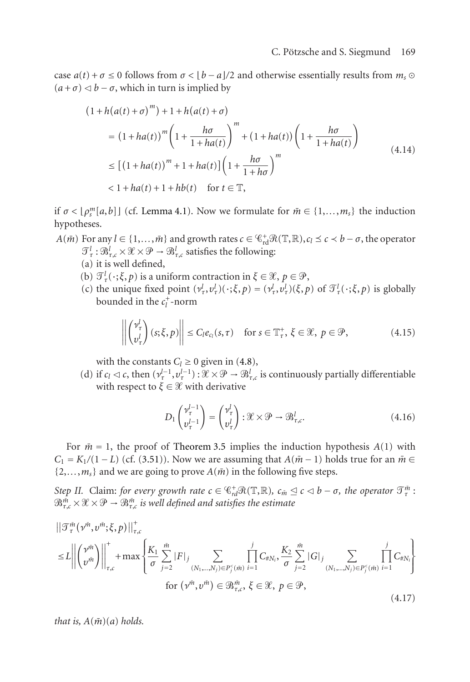case  $a(t) + \sigma \le 0$  follows from  $\sigma < [b - a]/2$  and otherwise essentially results from  $m_s \odot$  $(a + \sigma) \triangleleft b - \sigma$ , which in turn is implied by

$$
(1 + h(a(t) + \sigma)^m) + 1 + h(a(t) + \sigma)
$$
  
\n
$$
= (1 + ha(t))^m \left(1 + \frac{h\sigma}{1 + ha(t)}\right)^m + (1 + ha(t)) \left(1 + \frac{h\sigma}{1 + ha(t)}\right)
$$
  
\n
$$
\leq [(1 + ha(t))^m + 1 + ha(t)] \left(1 + \frac{h\sigma}{1 + h\sigma}\right)^m
$$
  
\n
$$
< 1 + ha(t) + 1 + hb(t) \quad \text{for } t \in \mathbb{T},
$$
\n(4.14)

if  $\sigma < \lfloor \rho_s^m[a, b] \rfloor$  (cf. [Lemma 4.1\)](#page-25-1). Now we formulate for  $\bar{m} \in \{1, \ldots, m_s\}$  the induction hypotheses.

- *A*( $\bar{m}$ ) For any  $l \in \{1, ..., \bar{m}\}$  and growth rates  $c \in \mathcal{C}_{rd}^+ \mathcal{R}(\mathbb{T}, \mathbb{R}), c_l \leq c < b \sigma$ , the operator  $\mathcal{I}_{\tau}^l : \mathfrak{B}_{\tau,c}^l \times \mathcal{X} \times \mathcal{P} \to \mathfrak{B}_{\tau,c}^l$  satisfies the following:
	- (a) it is well defined,
	- (b)  $\mathcal{T}_{\tau}^l(\cdot;\xi,p)$  is a uniform contraction in  $\xi \in \mathcal{X}, p \in \mathcal{P}$ ,
	- (c) the unique fixed point  $(v_\tau^l, v_\tau^l)(\cdot; \xi, p) = (v_\tau^l, v_\tau^l)(\xi, p)$  of  $\mathcal{T}_\tau^l(\cdot; \xi, p)$  is globally bounded in the  $c_l^+$ -norm

$$
\left\| \begin{pmatrix} \nu_{\tau}^{l} \\ \nu_{\tau}^{l} \end{pmatrix} (s; \xi, p) \right\| \leq C_l e_{c_l}(s, \tau) \quad \text{for } s \in \mathbb{T}_{\tau}^+, \xi \in \mathcal{X}, \ p \in \mathcal{P}, \tag{4.15}
$$

with the constants  $C_l \geq 0$  given in [\(4.8\)](#page-26-2),

(d) if  $c_l \lhd c$ , then  $(\nu_\tau^{l-1}, \nu_\tau^{l-1}) : \mathcal{X} \times \mathcal{P} \to \mathcal{B}_{\tau,c}^l$  is continuously partially differentiable with respect to  $\xi \in \mathcal{X}$  with derivative

<span id="page-28-0"></span>
$$
D_1 \begin{pmatrix} \nu_\tau^{l-1} \\ \nu_\tau^{l-1} \end{pmatrix} = \begin{pmatrix} \nu_\tau^l \\ \nu_\tau^l \end{pmatrix} : \mathcal{X} \times \mathcal{P} \to \mathcal{B}_{\tau,c}^l. \tag{4.16}
$$

For  $\bar{m} = 1$ , the proof of [Theorem 3.5](#page-9-0) implies the induction hypothesis  $A(1)$  with  $C_1 = K_1/(1 - L)$  (cf. [\(3.51\)](#page-16-2)). Now we are assuming that  $A(\bar{m} - 1)$  holds true for an  $\bar{m} \in$  $\{2,\ldots,m_s\}$  and we are going to prove  $A(m)$  in the following five steps.

*Step II.* Claim: *for every growth rate*  $c \in \mathcal{C}_{rd}^+ \mathcal{R}(\mathbb{T}, \mathbb{R})$ *,*  $c_{\tilde{m}} \leq c < b - \sigma$ *, the operator*  $\mathcal{T}_{\tau}^{\tilde{m}}$ *:*  $\mathfrak{B}^{\bar{m}}_{\tau,\mathfrak{c}} \times \mathscr{X} \times \mathscr{P} \to \mathfrak{B}^{\bar{m}}_{\tau,\mathfrak{c}}$  is well defined and satisfies the estimate

$$
\|\mathcal{T}_{\tau}^{\bar{m}}(\nu^{\bar{m}},\nu^{\bar{m}};\xi,p)\|_{\tau,c}^{+} \leq L \left\| \left( \nu^{\bar{m}} \right) \right\|_{\tau,c}^{+} + \max \left\{ \frac{K_{1}}{\sigma} \sum_{j=2}^{\bar{m}} |F|_{j} \sum_{(N_{1},...,N_{j}) \in P_{j}^{c}(\bar{m})} \prod_{i=1}^{j} C_{\#N_{i}}, \frac{K_{2}}{\sigma} \sum_{j=2}^{\bar{m}} |G|_{j} \sum_{(N_{1},...,N_{j}) \in P_{j}^{c}(\bar{m})} \prod_{i=1}^{j} C_{\#N_{i}} \right\} \text{for } (\nu^{\bar{m}},\nu^{\bar{m}}) \in \mathcal{B}_{\tau,c}^{\bar{m}}, \xi \in \mathcal{X}, p \in \mathcal{P}, \tag{4.17}
$$

*that is,*  $A(m)(a)$  *holds.*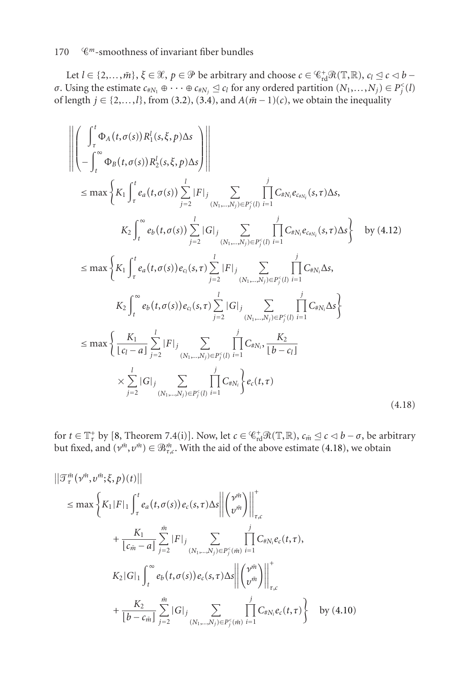Let  $l \in \{2,\ldots,m\}$ ,  $\xi \in \mathcal{X}$ ,  $p \in \mathcal{P}$  be arbitrary and choose  $c \in \mathcal{C}_{rd}^+\mathcal{R}(\mathbb{T},\mathbb{R})$ ,  $c_l \leq c < b - c$ *σ*. Using the estimate  $c_{N_1} \oplus \cdots \oplus c_{N_j} \leq c_l$  for any ordered partition  $(N_1, \ldots, N_j) \in P_j^<(l)$ of length  $j \in \{2,...,l\}$ , from [\(3.2\)](#page-7-3), [\(3.4\)](#page-7-0), and  $A(\bar{m}-1)(c)$ , we obtain the inequality

$$
\left\| \left( \int_{\tau}^{t} \Phi_{A}(t, \sigma(s)) R_{1}^{I}(s, \xi, p) \Delta s \right) \right\|
$$
\n
$$
\leq \max \left\{ K_{1} \int_{\tau}^{t} e_{a}(t, \sigma(s)) \sum_{j=2}^{l} |F|_{j} \sum_{(N_{1},...,N_{j}) \in P_{j}^{c}(l)} \prod_{i=1}^{j} C_{\#N_{i}} e_{\epsilon_{\theta N_{i}}}(s, \tau) \Delta s, \right.
$$
\n
$$
K_{2} \int_{t}^{\infty} e_{b}(t, \sigma(s)) \sum_{j=2}^{l} |G|_{j} \sum_{(N_{1},...,N_{j}) \in P_{j}^{c}(l)} \prod_{i=1}^{j} C_{\#N_{i}} e_{\epsilon_{\theta N_{i}}}(s, \tau) \Delta s \right\} \text{ by (4.12)}
$$
\n
$$
\leq \max \left\{ K_{1} \int_{\tau}^{t} e_{a}(t, \sigma(s)) e_{c_{i}}(s, \tau) \sum_{j=2}^{l} |F|_{j} \sum_{(N_{1},...,N_{j}) \in P_{j}^{c}(l)} \prod_{i=1}^{j} C_{\#N_{i}} \Delta s, \right.
$$
\n
$$
K_{2} \int_{t}^{\infty} e_{b}(t, \sigma(s)) e_{c_{i}}(s, \tau) \sum_{j=2}^{l} |G|_{j} \sum_{(N_{1},...,N_{j}) \in P_{j}^{c}(l)} \prod_{i=1}^{j} C_{\#N_{i}} \Delta s \right\}
$$
\n
$$
\leq \max \left\{ \frac{K_{1}}{\lfloor c_{i} - a \rfloor} \sum_{j=2}^{l} |F|_{j} \sum_{(N_{1},...,N_{j}) \in P_{j}^{c}(l)} \prod_{i=1}^{j} C_{\#N_{i}}, \frac{K_{2}}{\lfloor b - c_{i} \rfloor} \right.
$$
\n
$$
\times \sum_{j=2}^{l} |G|_{j} \sum_{(N_{1},...,N_{j}) \in P_{j}^{c}(l)} \prod_{i=1}^{j} C_{\#N_{i}} \right\} e_{c}(t, \tau)
$$
\n(4.18)

<span id="page-29-0"></span>for  $t \in \mathbb{T}_{\tau}^{+}$  by [\[8,](#page-40-8) Theorem 7.4(i)]. Now, let  $c \in \mathcal{C}_{rd}^{+}\mathcal{R}(\mathbb{T}, \mathbb{R})$ ,  $c_{\tilde{m}} \leq c \leq b - \sigma$ , be arbitrary but fixed, and  $(v^{\bar{m}}, v^{\bar{m}}) \in \mathcal{B}_{\tau,c}^{\bar{m}}$ . With the aid of the above estimate [\(4.18\)](#page-29-0), we obtain

$$
\|\mathcal{T}_{\tau}^{\tilde{m}}(\nu^{\tilde{m}},\nu^{\tilde{m}};\xi,p)(t)\|
$$
\n
$$
\leq \max \left\{ K_{1}|F|_{1} \int_{\tau}^{t} e_{a}(t,\sigma(s)) e_{c}(s,\tau) \Delta s \left\| \begin{pmatrix} \nu^{\tilde{m}} \\ \nu^{\tilde{m}} \end{pmatrix} \right\|_{\tau,c}^{+} + \frac{K_{1}}{|c_{\tilde{m}}-a|} \sum_{j=2}^{\tilde{m}} |F|_{j} \sum_{(N_{1},...,N_{j}) \in P_{j}^{c}(\tilde{m})} \prod_{i=1}^{j} C_{\#N_{i}} e_{c}(t,\tau),
$$
\n
$$
K_{2}|G|_{1} \int_{t}^{\infty} e_{b}(t,\sigma(s)) e_{c}(s,\tau) \Delta s \left\| \begin{pmatrix} \nu^{\tilde{m}} \\ \nu^{\tilde{m}} \end{pmatrix} \right\|_{\tau,c}^{+} + \frac{K_{2}}{|b-c_{\tilde{m}}|} \sum_{j=2}^{\tilde{m}} |G|_{j} \sum_{(N_{1},...,N_{j}) \in P_{j}^{c}(\tilde{m})} \prod_{i=1}^{j} C_{\#N_{i}} e_{c}(t,\tau) \right\} \text{ by (4.10)}
$$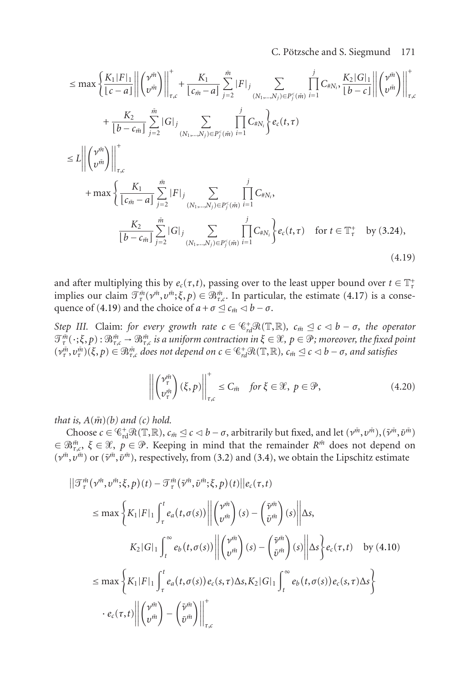### <span id="page-30-0"></span>C. Pötzsche and S. Siegmund 171

$$
\leq \max \left\{ \frac{K_1 |F|_1}{|c-a|} \left\| \binom{v^{\tilde{m}}}{v^{\tilde{m}}} \right\|_{\tau,c}^{\tau} + \frac{K_1}{|c_{\tilde{m}} - a|} \sum_{j=2}^{\tilde{m}} |F|_j \sum_{(N_1, \ldots, N_j) \in P_j^c(\tilde{m})} \prod_{i=1}^j C_{\tilde{\pi}N_i}, \frac{K_2 |G|_1}{|b-c|} \left\| \binom{v^{\tilde{m}}}{v^{\tilde{m}}} \right\|_{\tau,c}^{\tau} + \frac{K_2}{|b-c_{\tilde{m}}|} \sum_{j=2}^{\tilde{m}} |G|_j \sum_{(N_1, \ldots, N_j) \in P_j^c(\tilde{m})} \prod_{i=1}^j C_{\tilde{\pi}N_i} \right\} e_c(t, \tau)
$$
  
\n
$$
\leq L \left\| \binom{v^{\tilde{m}}}{v^{\tilde{m}}} \right\|_{\tau,c}^{\tau} + \max \left\{ \frac{K_1}{|c_{\tilde{m}} - a|} \sum_{j=2}^{\tilde{m}} |F|_j \sum_{(N_1, \ldots, N_j) \in P_j^c(\tilde{m})} \prod_{i=1}^j C_{\tilde{\pi}N_i},
$$
  
\n
$$
\frac{K_2}{|b-c_{\tilde{m}}|} \sum_{j=2}^{\tilde{m}} |G|_j \sum_{(N_1, \ldots, N_j) \in P_j^c(\tilde{m})} \prod_{i=1}^j C_{\tilde{\pi}N_i} \right\} e_c(t, \tau) \quad \text{for } t \in \mathbb{T}_{\tau}^+ \text{ by (3.24)},
$$
  
\n(4.19)

and after multiplying this by  $e_c(\tau, t)$ , passing over to the least upper bound over  $t \in \mathbb{T}^+_t$ implies our claim  $\mathcal{T}_{\tau}^{\tilde{m}}(\nu^{\tilde{m}},\nu^{\tilde{m}};\xi,p) \in \mathcal{B}_{\tau,c}^{\tilde{m}}$ . In particular, the estimate [\(4.17\)](#page-28-0) is a conse-quence of [\(4.19\)](#page-30-0) and the choice of  $a + \sigma \leq c_{\bar{m}} \leq b - \sigma$ .

*Step III.* Claim: *for every growth rate*  $c \in \mathcal{C}_{rd}^+ \mathcal{R}(\mathbb{T}, \mathbb{R})$ *,*  $c_{\tilde{m}} \leq c < b - \sigma$ *, the operator*  $\mathcal{T}_{\tau}^{\bar{m}}(\cdot;\xi,p):\mathcal{B}_{\tau,c}^{\bar{m}}\to\mathcal{B}_{\tau,c}^{\bar{m}}$  is a uniform contraction in  $\xi\in\mathcal{X},\,p\in\mathcal{P};$  moreover, the fixed point  $(v^{\tilde{m}}_r, v^{\tilde{m}}_r)(\xi, p) \in \mathbb{B}^{\tilde{m}}_{\tau,c}$  does not depend on  $c \in \mathbb{G}^+_{rd} \mathcal{R}(\mathbb{T}, \mathbb{R})$ ,  $c_{\tilde{m}} \leq c < b - \sigma$ , and satisfies

<span id="page-30-1"></span>
$$
\left\| \begin{pmatrix} \nu_{\tau}^{\tilde{m}} \\ \nu_{\tau}^{\tilde{m}} \end{pmatrix} (\xi, p) \right\|_{\tau, c}^{\dagger} \le C_{\tilde{m}} \quad \text{for } \xi \in \mathcal{X}, \ p \in \mathcal{P}, \tag{4.20}
$$

*that is,*  $A(\bar{m})$ *(b)* and *(c)* hold.

Choose  $c \in \mathbb{C}_{rd}^+ \mathcal{R}(\mathbb{T}, \mathbb{R})$ ,  $c_{\tilde{m}} \leq c < b - \sigma$ , arbitrarily but fixed, and let  $(\nu^{\tilde{m}}, \nu^{\tilde{m}})$ ,  $(\bar{\nu}^{\tilde{m}}, \bar{\nu}^{\tilde{m}})$  $f \in \mathbb{R}_{\tau,c}^m$ ,  $\xi \in \mathcal{X}, p \in \mathcal{P}$ . Keeping in mind that the remainder  $R^m$  does not depend on  $(v^m, v^m)$  or  $(\bar{v}^m, \bar{v}^m)$ , respectively, from [\(3.2\)](#page-7-3) and [\(3.4\)](#page-7-0), we obtain the Lipschitz estimate

$$
\|\mathcal{T}_{\tau}^{\tilde{m}}(\nu^{\tilde{m}},\nu^{\tilde{m}};\xi,p)(t)-\mathcal{T}_{\tau}^{\tilde{m}}(\tilde{\nu}^{\tilde{m}},\tilde{\nu}^{\tilde{m}};\xi,p)(t)\|e_{c}(\tau,t)
$$
\n
$$
\leq \max\left\{K_{1}|F|_{1}\int_{\tau}^{t}e_{a}(t,\sigma(s))\left\|\begin{pmatrix}\nu^{\tilde{m}}\\ \nu^{\tilde{m}}\end{pmatrix}(s)-\begin{pmatrix}\tilde{\nu}^{\tilde{m}}\\ \tilde{\nu}^{\tilde{m}}\end{pmatrix}(s)\right\|\Delta s,\right.
$$
\n
$$
K_{2}|G|_{1}\int_{t}^{\infty}e_{b}(t,\sigma(s))\left\|\begin{pmatrix}\nu^{\tilde{m}}\\ \nu^{\tilde{m}}\end{pmatrix}(s)-\begin{pmatrix}\tilde{\nu}^{\tilde{m}}\\ \tilde{\nu}^{\tilde{m}}\end{pmatrix}(s)\right\|\Delta s\right\}e_{c}(\tau,t) \quad \text{by (4.10)}
$$
\n
$$
\leq \max\left\{K_{1}|F|_{1}\int_{\tau}^{t}e_{a}(t,\sigma(s))e_{c}(s,\tau)\Delta s,K_{2}|G|_{1}\int_{t}^{\infty}e_{b}(t,\sigma(s))e_{c}(s,\tau)\Delta s\right\}
$$
\n
$$
\cdot e_{c}(\tau,t)\left\|\begin{pmatrix}\nu^{\tilde{m}}\\ \nu^{\tilde{m}}\end{pmatrix}-\begin{pmatrix}\tilde{\nu}^{\tilde{m}}\\ \tilde{\nu}^{\tilde{m}}\end{pmatrix}\right\|_{\tau,c}^{+}
$$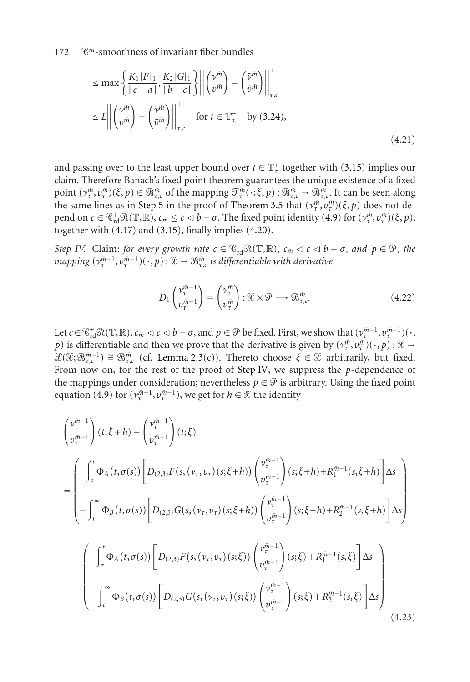$$
\leq \max \left\{ \frac{K_1|F|_1}{\left[c-a\right]}, \frac{K_2|G|_1}{\left[b-c\right]} \right\} \left\| \begin{pmatrix} \nu^{\tilde{m}} \\ \nu^{\tilde{m}} \end{pmatrix} - \begin{pmatrix} \tilde{\nu}^{\tilde{m}} \\ \tilde{\nu}^{\tilde{m}} \end{pmatrix} \right\|_{\tau,c}^{\tau}
$$
\n
$$
\leq L \left\| \begin{pmatrix} \nu^{\tilde{m}} \\ \nu^{\tilde{m}} \end{pmatrix} - \begin{pmatrix} \tilde{\nu}^{\tilde{m}} \\ \tilde{\nu}^{\tilde{m}} \end{pmatrix} \right\|_{\tau,c}^{\tau} \quad \text{for } t \in \mathbb{T}_{\tau}^{+} \quad \text{by (3.24),}
$$
\n(4.21)

and passing over to the least upper bound over  $t \in \mathbb{T}_\tau^+$  together with [\(3.15\)](#page-9-2) implies our claim. Therefore Banach's fixed point theorem guarantees the unique existence of a fixed point  $(\nu^{\tilde{m}}_{\tau}, \nu^{\tilde{m}}_{\tau})(\xi, p) \in \mathbb{B}^{\tilde{m}}_{\tau,c}$  of the mapping  $\mathcal{T}^{\tilde{m}}_{\tau}(\cdot; \xi, p) : \mathbb{B}^{\tilde{m}}_{\tau,c} \to \mathbb{B}^{\tilde{m}}_{\tau,c}$ . It can be seen along the same lines as in [Step 5](#page-16-3) in the proof of [Theorem 3.5](#page-9-0) that  $(\nu_\tau^m, \nu_\tau^m)(\xi, p)$  does not de- $\mathbf{p}$ end on  $c \in \mathbb{C}_{\rm rd}^+ \mathcal{R}(\mathbb{T}, \mathbb{R}), c_{\tilde{m}} \leq c \leq b - \sigma$ . The fixed point identity [\(4.9\)](#page-27-0) for  $(\nu^{\tilde{m}}_{\tau}, \nu^{\tilde{m}}_{\tau})(\xi, p)$ , together with [\(4.17\)](#page-28-0) and [\(3.15\)](#page-9-2), finally implies [\(4.20\)](#page-30-1).

*Step IV.* Claim: *for every growth rate*  $c \in \mathbb{C}_{rd}^+ \mathcal{R}(\mathbb{T}, \mathbb{R})$ ,  $c_{\tilde{m}} < c < b - \sigma$ , and  $p \in \mathcal{P}$ , the  $m$ apping  $(v_{\tau}^{\tilde{m}-1}, v_{\tau}^{\tilde{m}-1})(\,\cdot\,,p)$  :  $\mathscr{X}\to\mathscr{B}_{\tau,c}^{\tilde{m}}$  *is differentiable with derivative* 

<span id="page-31-0"></span>
$$
D_1 \begin{pmatrix} \nu_t^{\tilde{m}-1} \\ v_t^{\tilde{m}-1} \end{pmatrix} = \begin{pmatrix} \nu_t^{\tilde{m}} \\ v_t^{\tilde{m}} \end{pmatrix} : \mathcal{X} \times \mathcal{P} \longrightarrow \mathcal{B}_{\tau,c}^{\tilde{m}}.
$$
 (4.22)

Let  $c \in \mathbb{C}_{rd}^+ \mathcal{R}(\mathbb{T}, \mathbb{R})$ ,  $c_{\tilde{m}} \lhd c \lhd b - \sigma$ , and  $p \in \mathcal{P}$  be fixed. First, we show that  $(\nu_{\tau}^{\tilde{m}-1}, \nu_{\tau}^{\tilde{m}-1})(\cdot)$ *p*) is differentiable and then we prove that the derivative is given by  $(\nu^{\bar{m}}_{\tau}, \nu^{\bar{m}}_{\tau})(\cdot, p) : \mathcal{X} \to$  $\mathscr{L}(\mathscr{X}; \mathscr{B}_{\tau,c}^{\bar{m}-1}) \cong \mathscr{B}_{\tau,c}^{\bar{m}}$  (cf. [Lemma 2.3\(](#page-4-1)c)). Thereto choose  $\xi \in \mathscr{X}$  arbitrarily, but fixed. From now on, for the rest of the proof of [Step IV,](#page-15-3) we suppress the *p*-dependence of the mappings under consideration; nevertheless  $p \in \mathcal{P}$  is arbitrary. Using the fixed point equation [\(4.9\)](#page-27-0) for  $(\nu_{\tau}^{\bar{m}-1}, \nu_{\tau}^{\bar{m}-1})$ , we get for  $h \in \mathcal{X}$  the identity

$$
\begin{pmatrix}\n v_{\tau}^{m-1} \\
 v_{\tau}^{m-1}\n\end{pmatrix}\n(t; \xi + h) - \begin{pmatrix}\n v_{\tau}^{m-1} \\
 v_{\tau}^{m-1}\n\end{pmatrix}\n(t; \xi) \n= \begin{pmatrix}\n \int_{\tau}^{t} \Phi_{A}(t, \sigma(s)) \left[ D_{(2,3)} F(s, (\nu_{\tau}, \nu_{\tau})(s; \xi + h)) \begin{pmatrix}\n v_{\tau}^{m-1} \\
 v_{\tau}^{m-1}\n\end{pmatrix}\n(s; \xi + h) + R_{1}^{m-1}(s, \xi + h) \right]\n\Delta s \n- \int_{t}^{\infty} \Phi_{B}(t, \sigma(s)) \left[ D_{(2,3)} G(s, (\nu_{\tau}, \nu_{\tau})(s; \xi + h)) \begin{pmatrix}\n v_{\tau}^{m-1} \\
 v_{\tau}^{m-1}\n\end{pmatrix}\n(s; \xi + h) + R_{2}^{m-1}(s, \xi + h) \right]\n\Delta s \n- \begin{pmatrix}\n \int_{\tau}^{t} \Phi_{A}(t, \sigma(s)) \left[ D_{(2,3)} F(s, (\nu_{\tau}, \nu_{\tau})(s; \xi)) \begin{pmatrix}\n v_{\tau}^{m-1} \\
 v_{\tau}^{m-1}\n\end{pmatrix}\n(s; \xi) + R_{1}^{m-1}(s, \xi) \right]\n\Delta s \n- \begin{pmatrix}\n \int_{\tau}^{t} \Phi_{B}(t, \sigma(s)) \left[ D_{(2,3)} G(s, (\nu_{\tau}, \nu_{\tau})(s; \xi)) \begin{pmatrix}\n v_{\tau}^{m-1} \\
 v_{\tau}^{m-1}\n\end{pmatrix}\n(s; \xi) + R_{2}^{m-1}(s, \xi) \right]\n\Delta s \n- (4.23)\n\end{pmatrix}
$$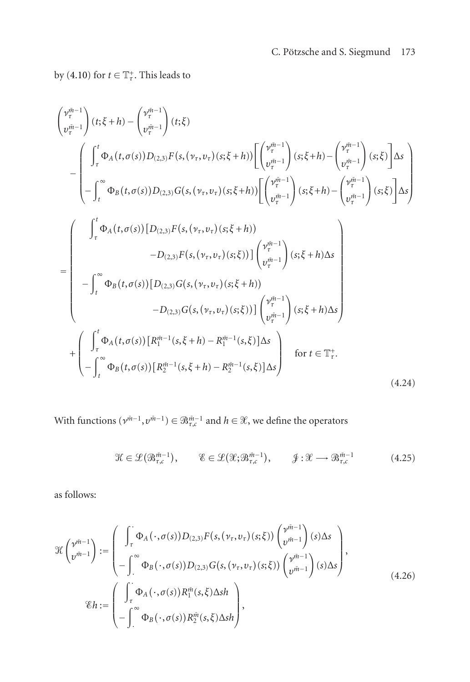by [\(4.10\)](#page-27-2) for  $t \in \mathbb{T}^+_t$ . This leads to

$$
\begin{pmatrix}\n v_t^{\tilde{m}-1} \\
 v_t^{\tilde{m}-1}\n\end{pmatrix}(t;\xi+h) - \begin{pmatrix}\n v_t^{\tilde{m}-1} \\
 v_t^{\tilde{m}-1}\n\end{pmatrix}(t;\xi) \n- \begin{pmatrix}\n \int_t^t \Phi_A(t,\sigma(s))D_{(2,3)}F(s, (v_\tau, v_\tau)(s;\xi+h))\n\begin{pmatrix}\n v_t^{\tilde{m}-1} \\
 v_t^{\tilde{m}-1}\n\end{pmatrix}(s;\xi+h) - \begin{pmatrix}\n v_t^{\tilde{m}-1} \\
 v_t^{\tilde{m}-1}\n\end{pmatrix}(s;\xi)\n\end{pmatrix}\Delta s \n- \begin{pmatrix}\n \int_t^t \Phi_B(t,\sigma(s))D_{(2,3)}G(s, (v_\tau, v_\tau)(s;\xi+h))\n\begin{pmatrix}\n v_t^{\tilde{m}-1} \\
 v_t^{\tilde{m}-1}\n\end{pmatrix}(s;\xi+h) - \begin{pmatrix}\n v_t^{\tilde{m}-1} \\
 v_t^{\tilde{m}-1}\n\end{pmatrix}(s;\xi)\n\end{pmatrix}\Delta s\n\end{pmatrix}
$$
\n
$$
= \begin{pmatrix}\n \int_t^t \Phi_A(t,\sigma(s))\left[D_{(2,3)}F(s, (v_\tau, v_\tau)(s;\xi+h))\n\begin{pmatrix}\n v_t^{\tilde{m}-1} \\
 v_t^{\tilde{m}-1}\n\end{pmatrix}(s;\xi+h)\Delta s\n\end{pmatrix} - D_{(2,3)}G(s, (v_\tau, v_\tau)(s;\xi+h))
$$
\n
$$
- D_{(2,3)}G(s, (v_\tau, v_\tau)(s;\xi))\n\begin{pmatrix}\n v_t^{\tilde{m}-1} \\
 v_t^{\tilde{m}-1}\n\end{pmatrix}(s;\xi+h)\Delta s\n\end{pmatrix}
$$
\n
$$
+ \begin{pmatrix}\n \int_t^t \Phi_A(t,\sigma(s))\left[R_1^{\tilde{m}-1}(s,\xi+h) - R_1^{\tilde{m}-1}(s,\xi)\right]\Delta s\n\end{pmatrix} \quad \text{for } t \in \mathbb{T}_{\tau}^+.
$$
\n(4.24)

With functions  $(v^{m-1}, v^{m-1}) \in \mathfrak{B}_{\tau,c}^{m-1}$  and  $h \in \mathcal{X}$ , we define the operators

<span id="page-32-0"></span>
$$
\mathcal{H} \in \mathcal{L}(\mathfrak{B}_{\tau,c}^{\bar{m}-1}), \qquad \mathcal{E} \in \mathcal{L}(\mathcal{X};\mathfrak{B}_{\tau,c}^{\bar{m}-1}), \qquad \mathcal{J}: \mathcal{X} \longrightarrow \mathfrak{B}_{\tau,c}^{\bar{m}-1}
$$
(4.25)

as follows:

$$
\mathcal{H}\begin{pmatrix} \nu^{\tilde{m}-1} \\ v^{\tilde{m}-1} \end{pmatrix} := \begin{pmatrix} \int_{\tau} \Phi_A(\cdot, \sigma(s)) D_{(2,3)} F(s, (\nu_{\tau}, \nu_{\tau})(s; \xi)) \begin{pmatrix} \nu^{\tilde{m}-1} \\ v^{\tilde{m}-1} \end{pmatrix} (s) \Delta s \\ - \int_{-\infty}^{\infty} \Phi_B(\cdot, \sigma(s)) D_{(2,3)} G(s, (\nu_{\tau}, \nu_{\tau})(s; \xi)) \begin{pmatrix} \nu^{\tilde{m}-1} \\ v^{\tilde{m}-1} \end{pmatrix} (s) \Delta s \end{pmatrix},
$$
  
\n
$$
\mathcal{E}h := \begin{pmatrix} \int_{\tau} \Phi_A(\cdot, \sigma(s)) R_1^{\tilde{m}}(s, \xi) \Delta sh \\ - \int_{-\infty}^{\infty} \Phi_B(\cdot, \sigma(s)) R_2^{\tilde{m}}(s, \xi) \Delta sh \end{pmatrix},
$$
\n(4.26)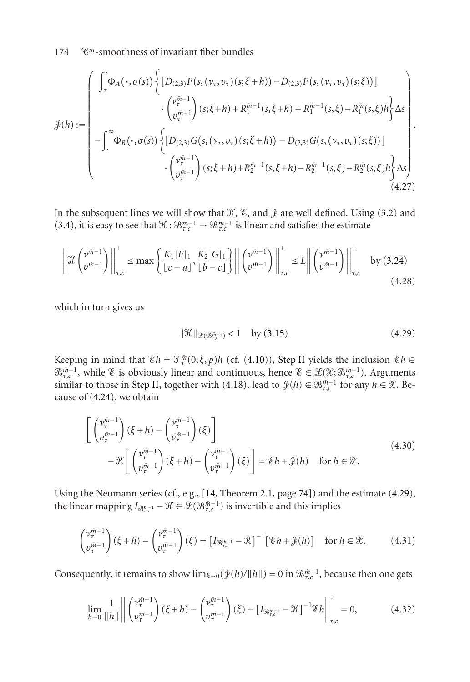$$
\mathcal{J}(h) := \begin{pmatrix}\n\int_{\tau} \Phi_A(\cdot, \sigma(s)) \left\{ \left[ D_{(2,3)} F(s, (\nu_{\tau}, \nu_{\tau})(s; \xi + h)) - D_{(2,3)} F(s, (\nu_{\tau}, \nu_{\tau})(s; \xi)) \right] \\
\cdot \left( \nu_{\tau}^{\tilde{m}-1} \right) (s; \xi + h) + R_1^{\tilde{m}-1}(s, \xi + h) - R_1^{\tilde{m}-1}(s, \xi) - R_1^{\tilde{m}}(s, \xi) h \right\} \Delta s \\
-\int_{-\infty}^{\infty} \Phi_B(\cdot, \sigma(s)) \left\{ \left[ D_{(2,3)} G(s, (\nu_{\tau}, \nu_{\tau})(s; \xi + h)) - D_{(2,3)} G(s, (\nu_{\tau}, \nu_{\tau})(s; \xi)) \right] \\
\cdot \left( \nu_{\tau}^{\tilde{m}-1} \right) (s; \xi + h) + R_2^{\tilde{m}-1}(s, \xi + h) - R_2^{\tilde{m}-1}(s, \xi) - R_2^{\tilde{m}}(s, \xi) h \right\} \Delta s \right\} \tag{4.27}
$$

In the subsequent lines we will show that  $\mathcal{K}, \, \mathcal{E},$  and  $\mathcal J$  are well defined. Using [\(3.2\)](#page-7-3) and [\(3.4\)](#page-7-0), it is easy to see that  $\mathcal{K}: \mathfrak{B}_{\tau,c}^{\bar{m}-1} \to \mathfrak{B}_{\tau,c}^{\bar{m}-1}$  is linear and satisfies the estimate

$$
\left\| \mathcal{H} \left( \nu^{\bar{m}-1} \right) \right\|_{\tau,c}^{+} \le \max \left\{ \frac{K_1 |F|_1}{|c-a|}, \frac{K_2 |G|_1}{|b-c|} \right\} \left\| \left( \nu^{\bar{m}-1} \right) \right\|_{\tau,c}^{+} \le L \left\| \left( \nu^{\bar{m}-1} \right) \right\|_{\tau,c}^{+} \text{ by (3.24)} \tag{4.28}
$$

which in turn gives us

<span id="page-33-1"></span><span id="page-33-0"></span>
$$
\|\mathcal{K}\|_{\mathcal{L}(\mathfrak{B}_{\tau,\mathrm{c}}^{\tilde{m}-1})} < 1 \quad \text{by (3.15).} \tag{4.29}
$$

Keeping in mind that  $\mathscr{E}h = \mathscr{T}_{\tau}^{\bar{m}}(0;\xi,p)h$  (cf. [\(4.10\)](#page-27-2)), [Step II](#page-14-1) yields the inclusion  $\mathscr{E}h \in$  $\mathfrak{B}_{\tau,c}^{\bar{m}-1}$ , while  $\mathscr{C}$  is obviously linear and continuous, hence  $\mathscr{C} \in \mathscr{L}(\mathscr{X}; \mathscr{B}_{\tau,c}^{\bar{m}-1})$ . Arguments similar to those in [Step II,](#page-14-1) together with [\(4.18\)](#page-29-0), lead to  $\mathcal{J}(h) \in \mathfrak{B}_{\tau,c}^{\tilde{m}-1}$  for any  $h \in \mathcal{X}$ . Because of [\(4.24\)](#page-32-0), we obtain

$$
\begin{bmatrix}\n\begin{pmatrix}\n\mathbf{v}_{\tau}^{m-1} \\
\mathbf{v}_{\tau}^{m-1}\n\end{pmatrix}(\xi+h) - \begin{pmatrix}\n\mathbf{v}_{\tau}^{m-1} \\
\mathbf{v}_{\tau}^{m-1}\n\end{pmatrix}(\xi)\n\end{bmatrix}\n-\mathcal{H}\begin{bmatrix}\n\begin{pmatrix}\n\mathbf{v}_{\tau}^{m-1} \\
\mathbf{v}_{\tau}^{m-1}\n\end{pmatrix}(\xi+h) - \begin{pmatrix}\n\mathbf{v}_{\tau}^{m-1} \\
\mathbf{v}_{\tau}^{m-1}\n\end{pmatrix}(\xi)\n\end{bmatrix} = \mathcal{E}h + \mathcal{J}(h) \quad \text{for } h \in \mathcal{X}.
$$
\n(4.30)

Using the Neumann series (cf., e.g., [\[14,](#page-41-13) Theorem 2.1, page 74]) and the estimate [\(4.29\)](#page-33-0), the linear mapping  $I_{\mathfrak{R}_{\tau,c}^{m-1}} - \mathfrak{X} \in \mathscr{L}(\mathfrak{R}_{\tau,c}^{m-1})$  is invertible and this implies

$$
\begin{pmatrix} \nu_{\tau}^{\tilde{m}-1} \\ \nu_{\tau}^{\tilde{m}-1} \end{pmatrix} (\xi + h) - \begin{pmatrix} \nu_{\tau}^{\tilde{m}-1} \\ \nu_{\tau}^{\tilde{m}-1} \end{pmatrix} (\xi) = \left[ I_{\mathcal{B}_{\tau,c}^{\tilde{m}-1}} - \mathcal{K} \right]^{-1} \left[ \mathcal{E} h + \mathcal{J}(h) \right] \quad \text{for } h \in \mathcal{X}.
$$
 (4.31)

Consequently, it remains to show  $\lim_{h\to 0} (\mathcal{J}(h)/||h||) = 0$  in  $\mathcal{B}_{\tau,c}^{\bar{m}-1}$ , because then one gets

$$
\lim_{h \to 0} \frac{1}{\|h\|} \left\| \begin{pmatrix} \nu_{\tau}^{\tilde{m}-1} \\ \nu_{\tau}^{\tilde{m}-1} \end{pmatrix} (\xi + h) - \begin{pmatrix} \nu_{\tau}^{\tilde{m}-1} \\ \nu_{\tau}^{\tilde{m}-1} \end{pmatrix} (\xi) - \left[ I_{\mathcal{B}_{\tau,c}^{\tilde{m}-1}} - \mathcal{K} \right]^{-1} \mathcal{E} h \right\|_{\tau,c}^{+} = 0, \tag{4.32}
$$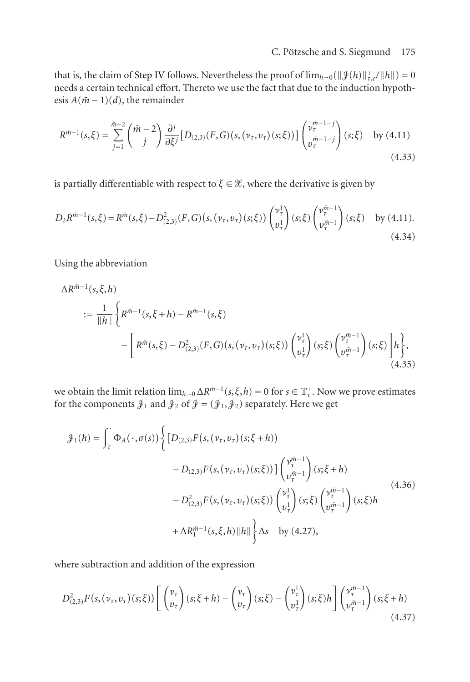### C. Pötzsche and S. Siegmund 175

that is, the claim of [Step IV](#page-15-3) follows. Nevertheless the proof of  $\lim_{h\to 0} (\|\mathcal{J}(h)\|_{\tau,c}^+/\|h\|) = 0$ needs a certain technical effort. Thereto we use the fact that due to the induction hypothesis  $A(\bar{m}-1)(d)$ , the remainder

$$
R^{\tilde{m}-1}(s,\xi) = \sum_{j=1}^{\tilde{m}-2} \binom{\tilde{m}-2}{j} \frac{\partial^j}{\partial \xi^j} \left[ D_{(2,3)}(F,G)(s,(\nu_\tau,\nu_\tau)(s;\xi)) \right] \binom{\nu_\tau^{\tilde{m}-1-j}}{\nu_\tau^{\tilde{m}-1-j}}(s;\xi) \quad \text{by (4.11)}
$$
\n(4.33)

is partially differentiable with respect to  $\xi \in \mathcal{X}$ , where the derivative is given by

$$
D_2 R^{\tilde{m}-1}(s,\xi) = R^{\tilde{m}}(s,\xi) - D^2_{(2,3)}(F,G)(s,(\nu_\tau,\nu_\tau)(s,\xi)) \begin{pmatrix} \nu_\tau^1 \\ v_\tau^1 \end{pmatrix} (s,\xi) \begin{pmatrix} \nu_\tau^{\tilde{m}-1} \\ \nu_\tau^{\tilde{m}-1} \end{pmatrix} (s,\xi) \text{ by (4.11).}
$$
\n(4.34)

Using the abbreviation

$$
\Delta R^{\tilde{m}-1}(s,\xi,h) = \frac{1}{\|h\|} \left\{ R^{\tilde{m}-1}(s,\xi+h) - R^{\tilde{m}-1}(s,\xi) - \left[ R^{\tilde{m}}(s,\xi) - D_{(2,3)}^2(F,G)(s,(\nu_{\tau},\nu_{\tau})(s,\xi)) \begin{pmatrix} \nu_{\tau}^1 \\ v_{\tau}^1 \end{pmatrix} (s,\xi) \begin{pmatrix} \nu_{\tau}^{\tilde{m}-1} \\ \nu_{\tau}^{\tilde{m}-1} \end{pmatrix} (s,\xi) \right\},
$$
\n(4.35)

we obtain the limit relation  $\lim_{h\to 0} \Delta R^{\bar{m}-1}(s,\xi,h) = 0$  for  $s \in \mathbb{T}^+_r$ . Now we prove estimates for the components  $\mathcal{J}_1$  and  $\mathcal{J}_2$  of  $\mathcal{J} = (\mathcal{J}_1, \mathcal{J}_2)$  separately. Here we get

$$
\mathcal{J}_{1}(h) = \int_{\tau}^{\cdot} \Phi_{A}(\cdot, \sigma(s)) \left\{ \left[ D_{(2,3)} F(s, (\nu_{\tau}, \nu_{\tau})(s; \xi + h)) - D_{(2,3)} F(s, (\nu_{\tau}, \nu_{\tau})(s; \xi)) \right] \binom{\nu_{\tau}^{\bar{m}-1}}{\nu_{\tau}^{\bar{m}-1}} (s; \xi + h) - D_{(2,3)}^{2} F(s, (\nu_{\tau}, \nu_{\tau})(s; \xi)) \binom{\nu_{\tau}^{1}}{\nu_{\tau}^{1}} (s; \xi) \binom{\nu_{\tau}^{\bar{m}-1}}{\nu_{\tau}^{\bar{m}-1}} (s; \xi) h + \Delta R_{1}^{\bar{m}-1} (s, \xi, h) ||h|| \right\} \Delta s \quad \text{by (4.27)},
$$
\n(4.36)

where subtraction and addition of the expression

$$
D_{(2,3)}^{2}F(s,(\nu_{\tau},\nu_{\tau})(s;\xi))\left[\begin{pmatrix} \nu_{\tau} \\ v_{\tau} \end{pmatrix}(s;\xi+h) - \begin{pmatrix} \nu_{\tau} \\ v_{\tau} \end{pmatrix}(s;\xi) - \begin{pmatrix} \nu_{\tau}^{1} \\ v_{\tau}^{1} \end{pmatrix}(s;\xi)h\right]\begin{pmatrix} \nu_{\tau}^{m-1} \\ v_{\tau}^{m-1} \end{pmatrix}(s;\xi+h) \tag{4.37}
$$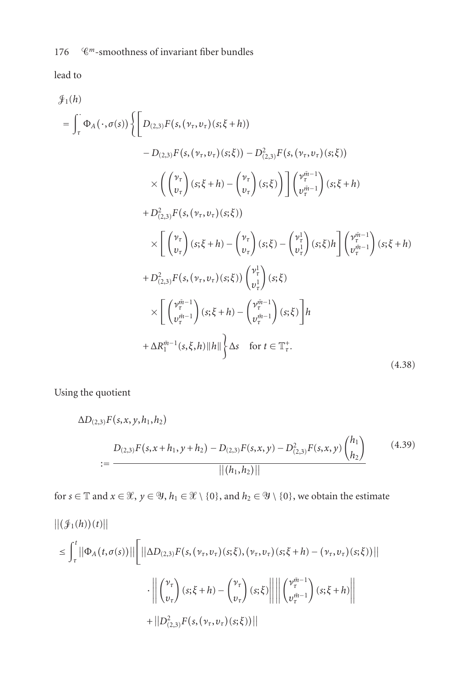lead to

$$
\mathcal{J}_{1}(h) = \int_{\tau}^{\tau} \Phi_{A}(\cdot, \sigma(s)) \left\{ \left[ D_{(2,3)} F(s, (\nu_{\tau}, \nu_{\tau})(s; \xi + h)) - D_{(2,3)} F(s, (\nu_{\tau}, \nu_{\tau})(s; \xi)) - D_{(2,3)}^2 F(s, (\nu_{\tau}, \nu_{\tau})(s; \xi)) \right] \right. \times \left( \begin{pmatrix} \nu_{\tau} \\ v_{\tau} \end{pmatrix} (s; \xi + h) - \begin{pmatrix} \nu_{\tau} \\ v_{\tau} \end{pmatrix} (s; \xi) \right) \left[ \begin{pmatrix} \nu_{\tau}^{m-1} \\ v_{\tau}^{m-1} \end{pmatrix} (s; \xi + h) + D_{(2,3)}^2 F(s, (\nu_{\tau}, \nu_{\tau})(s; \xi)) \right. \\
\times \left[ \begin{pmatrix} \nu_{\tau} \\ v_{\tau} \end{pmatrix} (s; \xi + h) - \begin{pmatrix} \nu_{\tau} \\ v_{\tau} \end{pmatrix} (s; \xi) - \begin{pmatrix} \nu_{\tau}^1 \\ v_{\tau}^1 \end{pmatrix} (s; \xi) h \right] \left[ \begin{pmatrix} \nu_{\tau}^{m-1} \\ v_{\tau}^{m-1} \end{pmatrix} (s; \xi + h) + D_{(2,3)}^2 F(s, (\nu_{\tau}, \nu_{\tau})(s; \xi)) \begin{pmatrix} \nu_{\tau}^1 \\ v_{\tau}^1 \end{pmatrix} (s; \xi) \right. \\
\times \left[ \begin{pmatrix} \nu_{\tau}^{m-1} \\ v_{\tau}^{m-1} \end{pmatrix} (s; \xi + h) - \begin{pmatrix} \nu_{\tau}^1 \\ v_{\tau}^{m-1} \end{pmatrix} (s; \xi) \right] h \\
+ \Delta R_1^{\tilde{m}-1} (s, \xi, h) \|h\| \right\} \Delta s \quad \text{for } t \in \mathbb{T}_{\tau}^+.
$$
\n(4.38)

Using the quotient

$$
\Delta D_{(2,3)} F(s,x,y,h_1,h_2)
$$
  
= 
$$
\frac{D_{(2,3)} F(s,x+h_1,y+h_2) - D_{(2,3)} F(s,x,y) - D_{(2,3)}^2 F(s,x,y) {h_1 \choose h_2}}{||(h_1,h_2)||}
$$
 (4.39)

for  $s \in \mathbb{T}$  and  $x \in \mathcal{X}$ ,  $y \in \mathcal{Y}$ ,  $h_1 \in \mathcal{X} \setminus \{0\}$ , and  $h_2 \in \mathcal{Y} \setminus \{0\}$ , we obtain the estimate

$$
\left\| \left( \mathcal{J}_1(h) \right)(t) \right\|
$$
\n
$$
\leq \int_{\tau}^{t} \left\| \Phi_A(t, \sigma(s)) \right\| \left[ \left\| \Delta D_{(2,3)} F(s, (\nu_{\tau}, \nu_{\tau})(s; \xi), (\nu_{\tau}, \nu_{\tau})(s; \xi + h) - (\nu_{\tau}, \nu_{\tau})(s; \xi)) \right\| \right.
$$
\n
$$
\cdot \left\| \left( \frac{\nu_{\tau}}{\nu_{\tau}} \right) (s; \xi + h) - \left( \frac{\nu_{\tau}}{\nu_{\tau}} \right) (s; \xi) \right\| \left\| \left( \frac{\nu_{\tau}^{m-1}}{\nu_{\tau}^{m-1}} \right) (s; \xi + h) \right\|
$$
\n
$$
+ \left\| D_{(2,3)}^2 F(s, (\nu_{\tau}, \nu_{\tau})(s; \xi)) \right\|
$$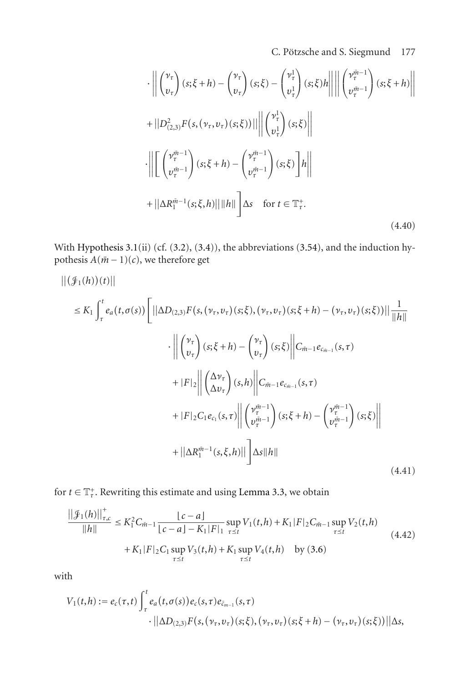C. Pötzsche and S. Siegmund 177

$$
\begin{aligned}\n\cdot \left\| \begin{pmatrix} \nu_{\tau} \\ v_{\tau} \end{pmatrix} (s; \xi + h) - \begin{pmatrix} \nu_{\tau} \\ v_{\tau} \end{pmatrix} (s; \xi) - \begin{pmatrix} \nu_{\tau}^1 \\ v_{\tau}^1 \end{pmatrix} (s; \xi) h \right\| \left\| \begin{pmatrix} \nu_{\tau}^{\bar{m}-1} \\ v_{\tau}^{\bar{m}-1} \end{pmatrix} (s; \xi + h) \right\| \\
+ \left\| D_{(2,3)}^2 F(s, (\nu_{\tau}, \nu_{\tau})(s; \xi)) \right\| \left\| \begin{pmatrix} \nu_{\tau}^1 \\ v_{\tau}^1 \end{pmatrix} (s; \xi) \right\| \\
\cdot \left\| \begin{pmatrix} \nu_{\tau}^{\bar{m}-1} \\ v_{\tau}^{\bar{m}-1} \end{pmatrix} (s; \xi + h) - \begin{pmatrix} \nu_{\tau}^{\bar{m}-1} \\ v_{\tau}^{\bar{m}-1} \end{pmatrix} (s; \xi) \right] h \right\| \\
+ \left\| \Delta R_{1}^{\bar{m}-1} (s; \xi, h) \right\| \|h\| \Delta s \quad \text{for } t \in \mathbb{T}_{\tau}^{+}.\n\end{aligned} \tag{4.40}
$$

With [Hypothesis 3.1\(](#page-6-2)ii) (cf. [\(3.2\)](#page-7-3), [\(3.4\)](#page-7-0)), the abbreviations [\(3.54\)](#page-17-3), and the induction hypothesis  $A(m - 1)(c)$ , we therefore get

$$
\|(\mathcal{J}_{1}(h))(t)\| \n\leq K_{1} \int_{\tau}^{t} e_{a}(t, \sigma(s)) \left[ ||\Delta D_{(2,3)}F(s, (\nu_{\tau}, \nu_{\tau})(s; \xi), (\nu_{\tau}, \nu_{\tau})(s; \xi+h) - (\nu_{\tau}, \nu_{\tau})(s; \xi))|| \frac{1}{||h||} \right. \\ \cdot \left\| \begin{pmatrix} \nu_{\tau} \\ \nu_{\tau} \end{pmatrix} (s; \xi+h) - \begin{pmatrix} \nu_{\tau} \\ \nu_{\tau} \end{pmatrix} (s; \xi) \right\| C_{\tilde{m}-1} e_{c_{\tilde{m}-1}}(s, \tau) \n+ |F|_{2} \left\| \begin{pmatrix} \Delta \nu_{\tau} \\ \Delta \nu_{\tau} \end{pmatrix} (s, h) \right\| C_{\tilde{m}-1} e_{c_{\tilde{m}-1}}(s, \tau) \n+ |F|_{2} C_{1} e_{c_{1}}(s, \tau) \left\| \begin{pmatrix} \nu_{\tau}^{\tilde{m}-1} \\ \nu_{\tau}^{\tilde{m}-1} \end{pmatrix} (s; \xi+h) - \begin{pmatrix} \nu_{\tau}^{\tilde{m}-1} \\ \nu_{\tau}^{\tilde{m}-1} \end{pmatrix} (s; \xi) \right\| \n+ ||\Delta R_{1}^{\tilde{m}-1}(s, \xi, h)||] \Delta s ||h||
$$
\n(4.41)

for  $t \in \mathbb{T}^+_t$ . Rewriting this estimate and using [Lemma 3.3,](#page-7-5) we obtain

$$
\frac{||\mathcal{J}_1(h)||^+_{\tau,c}}{||h||} \leq K_1^2 C_{\tilde{m}-1} \frac{|c-a|}{|c-a|-K_1|F|_1} \sup_{\tau \leq t} V_1(t,h) + K_1|F|_2 C_{\tilde{m}-1} \sup_{\tau \leq t} V_2(t,h) + K_1|F|_2 C_1 \sup_{\tau \leq t} V_3(t,h) + K_1 \sup_{\tau \leq t} V_4(t,h) \quad \text{by (3.6)}
$$
\n(4.42)

with

$$
V_1(t,h) := e_c(\tau,t) \int_{\tau}^{t} e_a(t,\sigma(s)) e_c(s,\tau) e_{\bar{c}_{m-1}}(s,\tau)
$$
  
 
$$
\cdot ||\Delta D_{(2,3)} F(s,(\nu_{\tau},\nu_{\tau})(s;\xi),(\nu_{\tau},\nu_{\tau})(s;\xi+h) - (\nu_{\tau},\nu_{\tau})(s;\xi))||\Delta s,
$$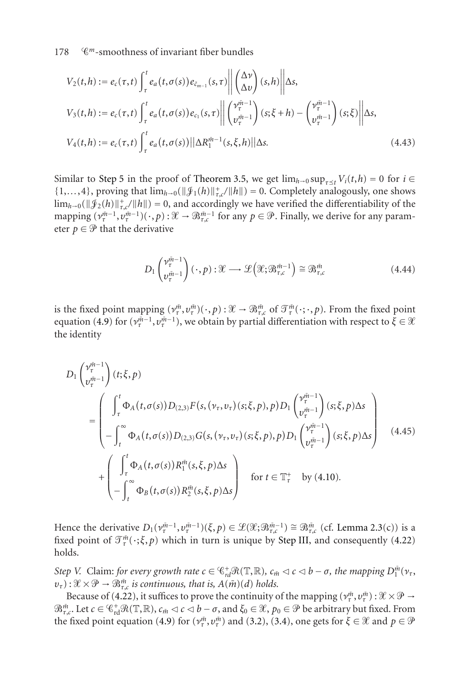$$
V_2(t,h) := e_c(\tau,t) \int_{\tau}^t e_a(t,\sigma(s)) e_{\bar{c}_{m-1}}(s,\tau) \left\| \begin{pmatrix} \Delta v \\ \Delta v \end{pmatrix} (s,h) \right\| \Delta s,
$$
  
\n
$$
V_3(t,h) := e_c(\tau,t) \int_{\tau}^t e_a(t,\sigma(s)) e_{c_1}(s,\tau) \left\| \begin{pmatrix} \gamma_t^{\bar{m}-1} \\ v_{\tau}^{\bar{m}-1} \end{pmatrix} (s;\xi+h) - \begin{pmatrix} \gamma_t^{\bar{m}-1} \\ v_{\tau}^{\bar{m}-1} \end{pmatrix} (s;\xi) \right\| \Delta s,
$$
  
\n
$$
V_4(t,h) := e_c(\tau,t) \int_{\tau}^t e_a(t,\sigma(s)) \|\Delta R_1^{\bar{m}-1}(s,\xi,h)\|\Delta s.
$$
\n(4.43)

Similar to [Step 5](#page-16-3) in the proof of [Theorem 3.5,](#page-9-0) we get  $\lim_{h\to 0} \sup_{\tau\le t} V_i(t, h) = 0$  for  $i \in$  $\{1,\ldots,4\}$ , proving that  $\lim_{h\to 0} (\|\mathcal{J}_1(h)\|_{\tau,c}^+/\|h\|) = 0$ . Completely analogously, one shows  $\lim_{h\to 0} (\|\mathcal{J}_2(h)\|_{\tau,c}^+/\|h\|) = 0$ , and accordingly we have verified the differentiability of the mapping  $(\nu_{\tau}^{m-1}, \nu_{\tau}^{m-1})(\cdot, p) : \mathcal{X} \to \mathcal{B}_{\tau,c}^{m-1}$  for any  $p \in \mathcal{P}$ . Finally, we derive for any parameter  $p \in \mathcal{P}$  that the derivative

$$
D_1 \begin{pmatrix} \nu_t^{\tilde{m}-1} \\ \nu_t^{\tilde{m}-1} \end{pmatrix} (\cdot, p) : \mathcal{X} \longrightarrow \mathcal{L} \Big( \mathcal{X}; \mathcal{B}_{\tau,c}^{\tilde{m}-1} \Big) \cong \mathcal{B}_{\tau,c}^{\tilde{m}} \tag{4.44}
$$

is the fixed point mapping  $(v_i^{\bar{m}}, v_{\tau}^{\bar{m}})(\cdot, p)$ :  $\mathcal{X} \to \mathcal{B}_{\tau,c}^{\bar{m}}$  of  $\mathcal{T}_{\tau}^{\bar{m}}(\cdot; \cdot, p)$ . From the fixed point equation [\(4.9\)](#page-27-0) for  $(\nu_{\tau}^{m-1}, \nu_{\tau}^{m-1})$ , we obtain by partial differentiation with respect to  $\xi \in \mathcal{X}$ the identity

$$
D_{1}\left(\nu_{\tau}^{\tilde{m}-1}\right)(t;\xi,p)
$$
\n
$$
=\left(\int_{\tau}^{t} \Phi_{A}(t,\sigma(s))D_{(2,3)}F(s,(\nu_{\tau},\nu_{\tau})(s;\xi,p),p)D_{1}\left(\nu_{\tau}^{\tilde{m}-1}\right)(s;\xi,p)\Delta s\right)
$$
\n
$$
-\int_{t}^{\infty} \Phi_{A}(t,\sigma(s))D_{(2,3)}G(s,(\nu_{\tau},\nu_{\tau})(s;\xi,p),p)D_{1}\left(\nu_{\tau}^{\tilde{m}-1}\right)(s;\xi,p)\Delta s\right)
$$
\n
$$
+\left(\int_{\tau}^{t} \Phi_{A}(t,\sigma(s))R_{1}^{\tilde{m}}(s,\xi,p)\Delta s\right) \quad \text{for } t \in \mathbb{T}_{\tau}^{+} \quad \text{by (4.10).}
$$
\n(4.45)

Hence the derivative  $D_1(\nu^{m-1}_\tau, \nu^{m-1}_\tau)(\xi, p) \in \mathcal{L}(\mathcal{X}; \mathcal{B}^{m-1}_{\tau,c}) \cong \mathcal{B}^m_{\tau,c}$  (cf. [Lemma 2.3\(](#page-4-1)c)) is a fixed point of  $\mathcal{T}_{\tau}^{\tilde{m}}(\cdot;\xi,p)$  which in turn is unique by [Step III,](#page-15-4) and consequently [\(4.22\)](#page-31-0) holds.

*Step V.* Claim: *for every growth rate*  $c \in \mathcal{C}_{rd}^+ \mathcal{R}(\mathbb{T}, \mathbb{R})$ *,*  $c_{\bar{m}} \lhd c \lhd b - \sigma$ *, the mapping*  $D_1^{\bar{m}}(\nu_{\tau}, \mathbb{R})$  $(v_{\tau}): \mathcal{X} \times \mathcal{P} \rightarrow \mathcal{B}_{\tau,c}^{\bar{m}}$  *is continuous, that is,*  $A(\bar{m})(d)$  *holds.* 

Because of [\(4.22\)](#page-31-0), it suffices to prove the continuity of the mapping  $(\nu_{\tau}^{\bar{m}}, \nu_{\tau}^{\bar{m}}): \mathcal{X} \times \mathcal{P} \to$  $\mathfrak{B}_{\tau,c}^{\tilde{m}}$ . Let  $c \in \mathbb{C}_{\rm rd}^+ \mathfrak{R}(\mathbb{T}, \mathbb{R})$ ,  $c_{\tilde{m}} \lhd c \lhd b - \sigma$ , and  $\xi_0 \in \mathcal{X}$ ,  $p_0 \in \mathcal{P}$  be arbitrary but fixed. From the fixed point equation [\(4.9\)](#page-27-0) for  $(\nu_r^{\tilde{m}}, \nu_r^{\tilde{m}})$  and [\(3.2\)](#page-7-3), [\(3.4\)](#page-7-0), one gets for  $\xi \in \mathcal{X}$  and  $p \in \mathcal{P}$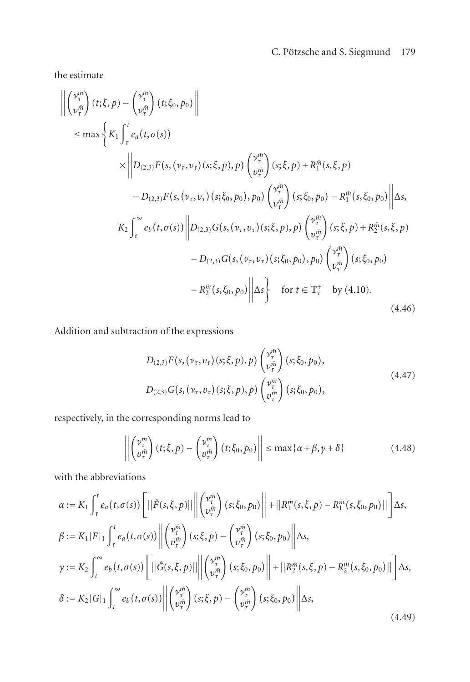the estimate

$$
\left\| \begin{pmatrix} \nu_{\tau}^{\tilde{m}} \\ v_{\tau}^{\tilde{m}} \end{pmatrix} (t; \xi, p) - \begin{pmatrix} \nu_{\tau}^{\tilde{m}} \\ v_{\tau}^{\tilde{m}} \end{pmatrix} (t; \xi_{0}, p_{0}) \right\|
$$
\n
$$
\leq \max \left\{ K_{1} \int_{\tau}^{t} e_{a}(t, \sigma(s)) \times \left\| D_{(2,3)} F(s, (\nu_{\tau}, \nu_{\tau})(s; \xi, p), p) \begin{pmatrix} \nu_{\tau}^{\tilde{m}} \\ v_{\tau}^{\tilde{m}} \end{pmatrix} (s; \xi, p) + R_{1}^{\tilde{m}}(s, \xi, p) \right. \\ \left. - D_{(2,3)} F(s, (\nu_{\tau}, \nu_{\tau})(s; \xi_{0}, p_{0}), p_{0}) \begin{pmatrix} \nu_{\tau}^{\tilde{m}} \\ v_{\tau}^{\tilde{m}} \end{pmatrix} (s; \xi_{0}, p_{0}) - R_{1}^{\tilde{m}}(s, \xi_{0}, p_{0}) \right\| \Delta s,
$$
\n
$$
K_{2} \int_{t}^{\infty} e_{b}(t, \sigma(s)) \left\| D_{(2,3)} G(s, (\nu_{\tau}, \nu_{\tau})(s; \xi, p), p) \begin{pmatrix} \nu_{\tau}^{\tilde{m}} \\ v_{\tau}^{\tilde{m}} \end{pmatrix} (s; \xi, p) + R_{2}^{\tilde{m}}(s, \xi, p) \right. \\ \left. - D_{(2,3)} G(s, (\nu_{\tau}, \nu_{\tau})(s; \xi_{0}, p_{0}), p_{0}) \begin{pmatrix} \nu_{\tau}^{\tilde{m}} \\ v_{\tau}^{\tilde{m}} \end{pmatrix} (s; \xi_{0}, p_{0}) - R_{2}^{\tilde{m}}(s, \xi_{0}, p_{0}) \right\| \Delta s \right\} \quad \text{for } t \in \mathbb{T}_{\tau}^{+} \quad \text{by (4.10).}
$$
\n(4.46)

Addition and subtraction of the expressions

$$
D_{(2,3)}F(s,(\nu_{\tau},\nu_{\tau})(s;\xi,p),p) \begin{pmatrix} \nu_{\tau}^{j\bar{n}} \\ \nu_{\tau}^{j\bar{n}} \end{pmatrix} (s;\xi_{0},p_{0}),
$$
  
\n
$$
D_{(2,3)}G(s,(\nu_{\tau},\nu_{\tau})(s;\xi,p),p) \begin{pmatrix} \nu_{\tau}^{j\bar{n}} \\ \nu_{\tau}^{j\bar{n}} \end{pmatrix} (s;\xi_{0},p_{0}),
$$
\n(4.47)

respectively, in the corresponding norms lead to

$$
\left\| \begin{pmatrix} \nu_{\tau}^{\tilde{m}} \\ \nu_{\tau}^{\tilde{m}} \end{pmatrix} (t; \xi, p) - \begin{pmatrix} \nu_{\tau}^{\tilde{m}} \\ \nu_{\tau}^{\tilde{m}} \end{pmatrix} (t; \xi_{0}, p_{0}) \right\| \le \max\{\alpha + \beta, \gamma + \delta\}
$$
(4.48)

with the abbreviations

$$
\alpha := K_{1} \int_{\tau}^{t} e_{a}(t, \sigma(s)) \left[ ||\hat{F}(s, \xi, p)|| \right] \left( \begin{matrix} \nu_{\tau}^{m} \\ \nu_{\tau}^{m} \end{matrix} \right) (s; \xi_{0}, p_{0}) \right] + ||R_{1}^{\tilde{m}}(s, \xi, p) - R_{1}^{\tilde{m}}(s, \xi_{0}, p_{0}) || \right] \Delta s,
$$
\n
$$
\beta := K_{1} |F|_{1} \int_{\tau}^{t} e_{a}(t, \sigma(s)) \left\| \begin{pmatrix} \nu_{\tau}^{m} \\ \nu_{\tau}^{m} \end{pmatrix} (s; \xi, p) - \begin{pmatrix} \nu_{\tau}^{m} \\ \nu_{\tau}^{m} \end{pmatrix} (s; \xi_{0}, p_{0}) \right\| \Delta s,
$$
\n
$$
\gamma := K_{2} \int_{t}^{\infty} e_{b}(t, \sigma(s)) \left[ ||\hat{G}(s, \xi, p)|| \right] \left( \begin{matrix} \nu_{\tau}^{m} \\ \nu_{\tau}^{m} \end{matrix} \right) (s; \xi_{0}, p_{0}) \right\| + ||R_{2}^{\tilde{m}}(s, \xi, p) - R_{2}^{\tilde{m}}(s, \xi_{0}, p_{0}) || \right] \Delta s,
$$
\n
$$
\delta := K_{2} |G|_{1} \int_{t}^{\infty} e_{b}(t, \sigma(s)) \left\| \begin{pmatrix} \nu_{\tau}^{m} \\ \nu_{\tau}^{m} \end{pmatrix} (s; \xi, p) - \begin{pmatrix} \nu_{\tau}^{m} \\ \nu_{\tau}^{m} \end{pmatrix} (s; \xi_{0}, p_{0}) \right\| \Delta s,
$$
\n(4.49)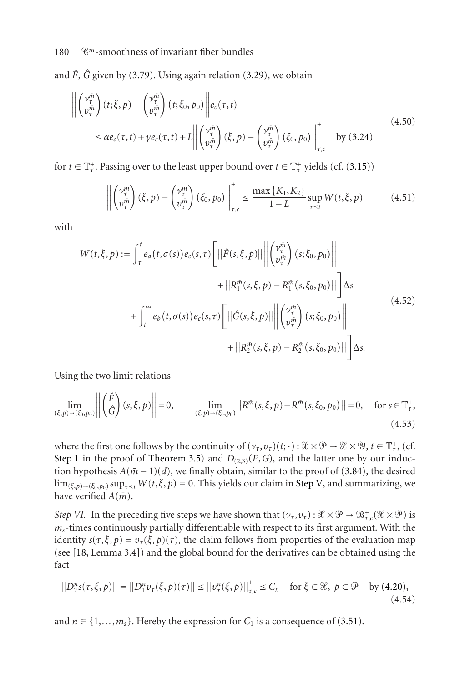and  $\hat{F}$ ,  $\hat{G}$  given by [\(3.79\)](#page-23-2). Using again relation [\(3.29\)](#page-12-1), we obtain

$$
\left\| \begin{pmatrix} \nu_{\tau}^{\tilde{m}} \\ v_{\tau}^{\tilde{m}} \end{pmatrix} (t; \xi, p) - \begin{pmatrix} \nu_{\tau}^{\tilde{m}} \\ \nu_{\tau}^{\tilde{m}} \end{pmatrix} (t; \xi_{0}, p_{0}) \right\| e_{c}(\tau, t)
$$
\n
$$
\leq \alpha e_{c}(\tau, t) + \gamma e_{c}(\tau, t) + L \left\| \begin{pmatrix} \nu_{\tau}^{\tilde{m}} \\ v_{\tau}^{\tilde{m}} \end{pmatrix} (\xi, p) - \begin{pmatrix} \nu_{\tau}^{\tilde{m}} \\ \nu_{\tau}^{\tilde{m}} \end{pmatrix} (\xi_{0}, p_{0}) \right\|_{\tau, c}^{+} \text{ by (3.24)}
$$
\n(4.50)

for  $t \in \mathbb{T}^+_r$ . Passing over to the least upper bound over  $t \in \mathbb{T}^+_r$  yields (cf. [\(3.15\)](#page-9-2))

$$
\left\| \begin{pmatrix} \nu_{\tau}^{\tilde{m}} \\ \nu_{\tau}^{\tilde{m}} \end{pmatrix} (\xi, p) - \begin{pmatrix} \nu_{\tau}^{\tilde{m}} \\ \nu_{\tau}^{\tilde{m}} \end{pmatrix} (\xi_0, p_0) \right\|_{\tau, c}^{\tilde{r}} \le \frac{\max\left\{K_1, K_2\right\}}{1 - L} \sup_{\tau \le t} W(t, \xi, p) \tag{4.51}
$$

with

$$
W(t,\xi,p) := \int_{\tau}^{t} e_a(t,\sigma(s)) e_c(s,\tau) \left[ ||\hat{F}(s,\xi,p)|| \left\| \begin{pmatrix} \nu_{\tau}^{in} \\ \nu_{\tau}^{in} \end{pmatrix} (s;\xi_0,p_0) \right\| \right. \\ \left. + ||R_1^{\tilde{m}}(s,\xi,p) - R_1^{\tilde{m}}(s,\xi_0,p_0)|| \right] \Delta s
$$
  
+ 
$$
\int_{t}^{\infty} e_b(t,\sigma(s)) e_c(s,\tau) \left[ ||\hat{G}(s,\xi,p)|| \left\| \begin{pmatrix} \nu_{\tau}^{in} \\ \nu_{\tau}^{in} \end{pmatrix} (s;\xi_0,p_0) \right\| \right. \\ \left. + ||R_2^{\tilde{m}}(s,\xi,p) - R_2^{\tilde{m}}(s,\xi_0,p_0) || \right] \Delta s.
$$
 (4.52)

Using the two limit relations

$$
\lim_{(\xi,p)\to(\xi_0,p_0)}\left\| \begin{pmatrix} \hat{F} \\ \hat{G} \end{pmatrix}(s,\xi,p) \right\| = 0, \qquad \lim_{(\xi,p)\to(\xi_0,p_0)}\left\| R^{\bar{m}}(s,\xi,p) - R^{\bar{m}}(s,\xi_0,p_0) \right\| = 0, \quad \text{for } s \in \mathbb{T}_\tau^*.
$$
\n(4.53)

where the first one follows by the continuity of  $(\nu_\tau, \nu_\tau)(t; \cdot) : \mathcal{X} \times \mathcal{P} \to \mathcal{X} \times \mathcal{Y}, t \in \mathbb{T}^+_t$ , (cf. [Step 1](#page-11-2) in the proof of [Theorem 3.5\)](#page-9-0) and  $D_{(2,3)}(F,G)$ , and the latter one by our induction hypothesis  $A(\bar{m}-1)(d)$ , we finally obtain, similar to the proof of [\(3.84\)](#page-23-1), the desired  $\lim_{(\xi,p)\to(\xi_0,p_0)}\sup_{\tau\leq t}W(t,\xi,p)=0.$  This yields our claim in [Step V,](#page-16-3) and summarizing, we have verified  $A(m)$ .

*Step VI.* In the preceding five steps we have shown that  $(\nu_\tau, \nu_\tau) : \mathcal{X} \times \mathcal{P} \to \mathcal{B}^+_{\tau,c}(\mathcal{X} \times \mathcal{P})$  is *ms*-times continuously partially differentiable with respect to its first argument. With the identity  $s(\tau, \xi, p) = v_{\tau}(\xi, p)(\tau)$ , the claim follows from properties of the evaluation map (see [\[18,](#page-41-0) Lemma 3.4]) and the global bound for the derivatives can be obtained using the fact

<span id="page-39-0"></span>
$$
||D_2^n s(\tau, \xi, p)|| = ||D_1^n v_\tau(\xi, p)(\tau)|| \le ||v_\tau^n(\xi, p)||_{\tau, c}^+ \le C_n \quad \text{for } \xi \in \mathcal{X}, \ p \in \mathcal{P} \quad \text{by (4.20)},
$$
\n(4.54)

and  $n \in \{1, \ldots, m_s\}$ . Hereby the expression for  $C_1$  is a consequence of [\(3.51\)](#page-16-2).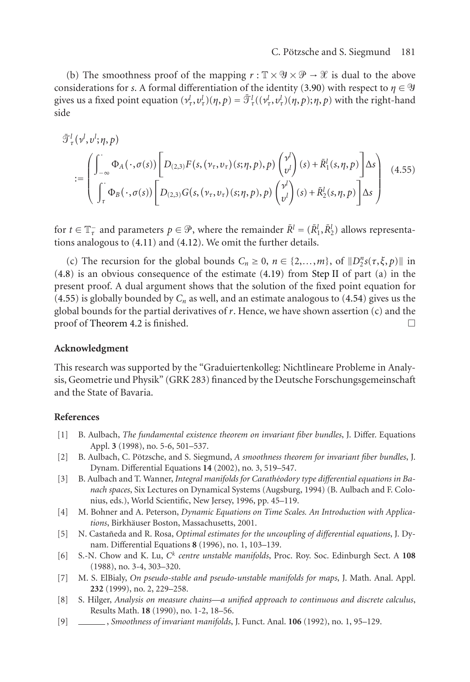(b) The smoothness proof of the mapping  $r : \mathbb{T} \times \mathcal{Y} \times \mathcal{P} \to \mathcal{X}$  is dual to the above considerations for *s*. A formal differentiation of the identity [\(3.90\)](#page-24-1) with respect to  $\eta \in \mathcal{Y}$ gives us a fixed point equation  $(\nu^l_\tau, v^l_\tau)(\eta, p) = \bar{\mathcal{T}}^l_\tau((\nu^l_\tau, v^l_\tau)(\eta, p); \eta, p)$  with the right-hand side

<span id="page-40-9"></span>
$$
\overline{\mathcal{F}}_{\tau}^{l}(\nu^{l},\nu^{l};\eta,p)
$$
\n
$$
:=\n\begin{pmatrix}\n\int_{-\infty}^{\infty} \Phi_{A}(\cdot,\sigma(s)) \left[ D_{(2,3)} F(s,(\nu_{\tau},\nu_{\tau})(s;\eta,p),p) \begin{pmatrix} \nu^{l} \\ \nu^{l} \end{pmatrix} (s) + \overline{R}_{1}^{l}(s,\eta,p) \right] \Delta s \\
\int_{\tau}^{\infty} \Phi_{B}(\cdot,\sigma(s)) \left[ D_{(2,3)} G(s,(\nu_{\tau},\nu_{\tau})(s;\eta,p),p) \begin{pmatrix} \nu^{l} \\ \nu^{l} \end{pmatrix} (s) + \overline{R}_{2}^{l}(s,\eta,p) \right] \Delta s\n\end{pmatrix}
$$
\n(4.55)

for  $t \in \mathbb{T}^-_7$  and parameters  $p \in \mathcal{P}$ , where the remainder  $\bar{R}^l = (\bar{R}^l_1, \bar{R}^l_2)$  allows representations analogous to [\(4.11\)](#page-27-3) and [\(4.12\)](#page-27-1). We omit the further details.

(c) The recursion for the global bounds  $C_n \geq 0$ ,  $n \in \{2,...,m\}$ , of  $||D_2^n s(\tau, \xi, p)||$  in [\(4.8\)](#page-26-2) is an obvious consequence of the estimate [\(4.19\)](#page-30-0) from [Step II](#page-14-1) of part (a) in the present proof. A dual argument shows that the solution of the fixed point equation for  $(4.55)$  is globally bounded by  $C_n$  as well, and an estimate analogous to  $(4.54)$  gives us the global bounds for the partial derivatives of *r*. Hence, we have shown assertion (c) and the proof of [Theorem 4.2](#page-26-0) is finished.  $\Box$ 

#### **Acknowledgment**

This research was supported by the "Graduiertenkolleg: Nichtlineare Probleme in Analysis, Geometrie und Physik" (GRK 283) financed by the Deutsche Forschungsgemeinschaft and the State of Bavaria.

#### <span id="page-40-1"></span>**References**

- <span id="page-40-2"></span>[1] B. Aulbach, *The fundamental existence theorem on invariant fiber bundles*, J. Differ. Equations Appl. **3** (1998), no. 5-6, 501–537.
- [2] B. Aulbach, C. Pötzsche, and S. Siegmund, A *smoothness theorem for invariant fiber bundles*, J. Dynam. Differential Equations **14** (2002), no. 3, 519–547.
- <span id="page-40-3"></span>[3] B. Aulbach and T. Wanner, *Integral manifolds for Carathéodory type differential equations in Banach spaces*, Six Lectures on Dynamical Systems (Augsburg, 1994) (B. Aulbach and F. Colonius, eds.), World Scientific, New Jersey, 1996, pp. 45–119.
- <span id="page-40-7"></span><span id="page-40-0"></span>[4] M. Bohner and A. Peterson, *Dynamic Equations on Time Scales. An Introduction with Applica*tions, Birkhäuser Boston, Massachusetts, 2001.
- [5] N. Castañeda and R. Rosa, *Optimal estimates for the uncoupling of differential equations*, J. Dynam. Differential Equations **8** (1996), no. 1, 103–139.
- <span id="page-40-5"></span>[6] S.-N. Chow and K. Lu, *Ck centre unstable manifolds*, Proc. Roy. Soc. Edinburgh Sect. A **108** (1988), no. 3-4, 303–320.
- <span id="page-40-8"></span><span id="page-40-6"></span>[7] M. S. ElBialy, *On pseudo-stable and pseudo-unstable manifolds for maps*, J. Math. Anal. Appl. **232** (1999), no. 2, 229–258.
- [8] S. Hilger, *Analysis on measure chains—a unified approach to continuous and discrete calculus*, Results Math. **18** (1990), no. 1-2, 18–56.
- <span id="page-40-4"></span>[9] , *Smoothness of invariant manifolds*, J. Funct. Anal. **106** (1992), no. 1, 95–129.